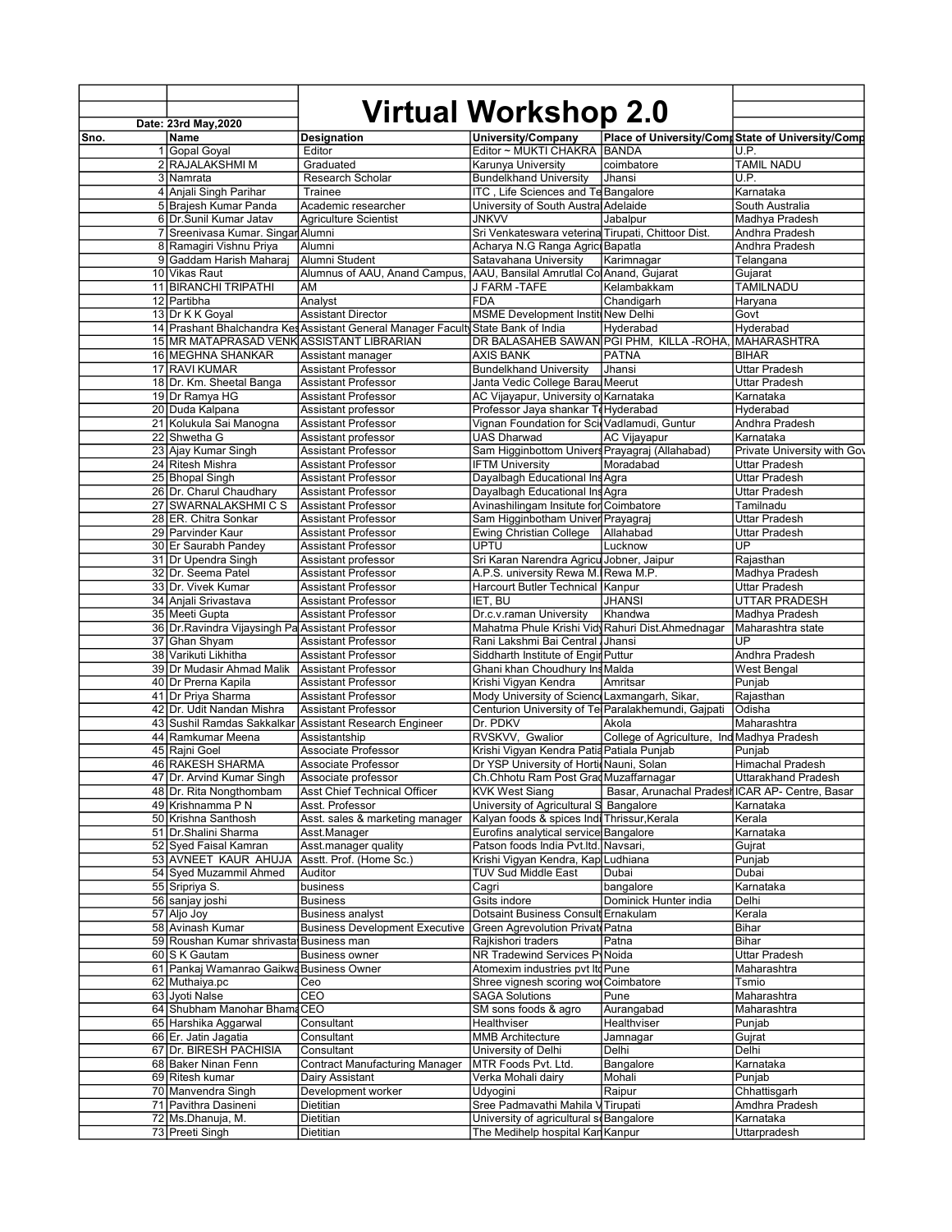|      | Date: 23rd May, 2020                              |                                                                                  | Virtual Workshop 2.0                                |                                                 |                                                   |
|------|---------------------------------------------------|----------------------------------------------------------------------------------|-----------------------------------------------------|-------------------------------------------------|---------------------------------------------------|
| Sno. | Name                                              | Designation                                                                      | University/Company                                  |                                                 | Place of University/Comr State of University/Comr |
|      | 1 Gopal Goyal                                     | Editor                                                                           | Editor ~ MUKTI CHAKRA BANDA                         |                                                 | U.P.                                              |
|      | 2 RAJALAKSHMI M                                   | Graduated                                                                        | Karunya University                                  | coimbatore                                      | <b>TAMIL NADU</b>                                 |
|      | 3 Namrata                                         | Research Scholar                                                                 | <b>Bundelkhand University</b>                       | Jhansi                                          | U.P.                                              |
|      | 4 Anjali Singh Parihar                            | Trainee                                                                          | ITC, Life Sciences and Te Bangalore                 |                                                 | Karnataka                                         |
|      | 5 Brajesh Kumar Panda                             | Academic researcher                                                              | University of South Austral Adelaide                |                                                 | South Australia                                   |
|      | 6 Dr.Sunil Kumar Jatav                            | <b>Agriculture Scientist</b>                                                     | <b>JNKVV</b>                                        | Jabalpur                                        | Madhya Pradesh                                    |
|      |                                                   |                                                                                  |                                                     |                                                 | Andhra Pradesh                                    |
|      | 7 Sreenivasa Kumar. Singar Alumni                 |                                                                                  | Sri Venkateswara veterina Tirupati, Chittoor Dist.  |                                                 |                                                   |
|      | 8 Ramagiri Vishnu Priya                           | Alumni                                                                           | Acharya N.G Ranga Agric Bapatla                     |                                                 | Andhra Pradesh                                    |
|      | 9 Gaddam Harish Maharaj                           | Alumni Student                                                                   | Satavahana University                               | Karimnagar                                      | Telangana                                         |
|      | 10 Vikas Raut                                     | Alumnus of AAU, Anand Campus,                                                    | AAU, Bansilal Amrutlal Col Anand, Gujarat           |                                                 | Gujarat                                           |
|      | 11 BIRANCHI TRIPATHI                              | AM                                                                               | J FARM -TAFE                                        | Kelambakkam                                     | <b>TAMILNADU</b>                                  |
|      | 12 Partibha                                       | Analyst                                                                          | FDA                                                 | Chandigarh                                      | Haryana                                           |
|      | 13 Dr K K Goyal                                   | <b>Assistant Director</b>                                                        | <b>MSME Development Institi New Delhi</b>           |                                                 | Govt                                              |
|      |                                                   | 14 Prashant Bhalchandra Kes Assistant General Manager Facult State Bank of India |                                                     | Hyderabad                                       | Hyderabad                                         |
|      | 15 MR MATAPRASAD VENK ASSISTANT LIBRARIAN         |                                                                                  | DR BALASAHEB SAWAN PGI PHM, KILLA - ROHA            |                                                 | <b>MAHARASHTRA</b>                                |
|      | 16 MEGHNA SHANKAR                                 | Assistant manager                                                                | <b>AXIS BANK</b>                                    | <b>PATNA</b>                                    | <b>BIHAR</b>                                      |
|      | 17 RAVI KUMAR                                     | <b>Assistant Professor</b>                                                       | <b>Bundelkhand University</b>                       | Jhansi                                          | Uttar Pradesh                                     |
|      | 18 Dr. Km. Sheetal Banga                          | <b>Assistant Professor</b>                                                       | Janta Vedic College Barau Meerut                    |                                                 | Uttar Pradesh                                     |
|      | 19Dr Ramya HG                                     | <b>Assistant Professor</b>                                                       | AC Vijayapur, University o Karnataka                |                                                 | Karnataka                                         |
|      |                                                   |                                                                                  |                                                     |                                                 |                                                   |
|      | 20 Duda Kalpana                                   | Assistant professor                                                              | Professor Jaya shankar TeHyderabad                  |                                                 | Hyderabad                                         |
|      | 21 Kolukula Sai Manogna                           | <b>Assistant Professor</b>                                                       | Vignan Foundation for Sci Vadlamudi, Guntur         |                                                 | Andhra Pradesh                                    |
|      | 22 Shwetha G                                      | Assistant professor                                                              | UAS Dharwad                                         | AC Vijayapur                                    | Karnataka                                         |
|      | 23 Ajay Kumar Singh                               | <b>Assistant Professor</b>                                                       | Sam Higginbottom Univers Prayagraj (Allahabad)      |                                                 | Private University with Gov                       |
|      | 24 Ritesh Mishra                                  | <b>Assistant Professor</b>                                                       | <b>IFTM University</b>                              | Moradabad                                       | Uttar Pradesh                                     |
|      | 25 Bhopal Singh                                   | Assistant Professor                                                              | Dayalbagh Educational Ins Agra                      |                                                 | <b>Uttar Pradesh</b>                              |
|      | 26 Dr. Charul Chaudhary                           | <b>Assistant Professor</b>                                                       | Dayalbagh Educational Ins Agra                      |                                                 | <b>Uttar Pradesh</b>                              |
|      | 27 SWARNALAKSHMICS                                | <b>Assistant Professor</b>                                                       | Avinashilingam Insitute for Coimbatore              |                                                 | Tamilnadu                                         |
|      | 28 ER. Chitra Sonkar                              | <b>Assistant Professor</b>                                                       | Sam Higginbotham Univer Prayagraj                   |                                                 | <b>Uttar Pradesh</b>                              |
|      | 29 Parvinder Kaur                                 | <b>Assistant Professor</b>                                                       | <b>Ewing Christian College</b>                      | Allahabad                                       | Uttar Pradesh                                     |
|      | 30 Er Saurabh Pandey                              | <b>Assistant Professor</b>                                                       | <b>UPTU</b>                                         | Lucknow                                         | UP                                                |
|      | 31 Dr Upendra Singh                               |                                                                                  | Sri Karan Narendra Agricu Jobner, Jaipur            |                                                 |                                                   |
|      |                                                   | Assistant professor                                                              |                                                     |                                                 | Rajasthan                                         |
|      | 32 Dr. Seema Patel                                | Assistant Professor                                                              | A.P.S. university Rewa M. Rewa M.P.                 |                                                 | Madhya Pradesh                                    |
|      | 33 Dr. Vivek Kumar                                | <b>Assistant Professor</b>                                                       | Harcourt Butler Technical Kanpur                    |                                                 | <b>Uttar Pradesh</b>                              |
|      | 34 Anjali Srivastava                              | <b>Assistant Professor</b>                                                       | IET, BU                                             | <b>JHANSI</b>                                   | UTTAR PRADESH                                     |
|      | 35 Meeti Gupta                                    | <b>Assistant Professor</b>                                                       | Dr.c.v.raman University                             | Khandwa                                         | Madhya Pradesh                                    |
|      | 36 Dr. Ravindra Vijaysingh Pa Assistant Professor |                                                                                  | Mahatma Phule Krishi Vidy Rahuri Dist.Ahmednagar    |                                                 | Maharashtra state                                 |
|      | 37 Ghan Shyam                                     | Assistant Professor                                                              | Rani Lakshmi Bai Central Jhansi                     |                                                 | UP                                                |
|      | 38 Varikuti Likhitha                              | <b>Assistant Professor</b>                                                       | Siddharth Institute of Engir Puttur                 |                                                 | Andhra Pradesh                                    |
|      | 39 Dr Mudasir Ahmad Malik                         | <b>Assistant Professor</b>                                                       | Ghani khan Choudhury Ins Malda                      |                                                 | West Bengal                                       |
|      | 40 Dr Prerna Kapila                               | <b>Assistant Professor</b>                                                       | Krishi Vigyan Kendra                                | Amritsar                                        | Punjab                                            |
|      | 41 Dr Priya Sharma                                | <b>Assistant Professor</b>                                                       | Mody University of Scienc Laxmangarh, Sikar,        |                                                 | Rajasthan                                         |
|      | 42 Dr. Udit Nandan Mishra                         | <b>Assistant Professor</b>                                                       | Centurion University of Tel Paralakhemundi, Gajpati |                                                 | Odisha                                            |
|      |                                                   |                                                                                  | Dr. PDKV                                            |                                                 |                                                   |
|      | 43 Sushil Ramdas Sakkalkar                        | Assistant Research Engineer                                                      |                                                     | Akola                                           | Maharashtra                                       |
|      | 44 Ramkumar Meena                                 | Assistantship                                                                    | RVSKVV, Gwalior                                     | College of Agriculture, Ind Madhya Pradesh      |                                                   |
|      | 45 Rajni Goel                                     | Associate Professor                                                              | Krishi Vigyan Kendra Patia Patiala Punjab           |                                                 | Punjab                                            |
|      | 46 RAKESH SHARMA                                  | Associate Professor                                                              | Dr YSP University of HorticNauni, Solan             |                                                 | Himachal Pradesh                                  |
|      | 47 Dr. Arvind Kumar Singh                         | Associate professor                                                              | Ch. Chhotu Ram Post Grad Muzaffarnagar              |                                                 | Uttarakhand Pradesh                               |
|      | 48 Dr. Rita Nongthombam                           | Asst Chief Technical Officer                                                     | KVK West Siang                                      | Basar, Arunachal Pradesh ICAR AP- Centre, Basar |                                                   |
|      | 49 Krishnamma P N                                 | Asst. Professor                                                                  | University of Agricultural S Bangalore              |                                                 | Karnataka                                         |
|      | 50 Krishna Santhosh                               | Asst. sales & marketing manager                                                  | Kalyan foods & spices Indi Thrissur, Kerala         |                                                 | Kerala                                            |
|      | 51 Dr. Shalini Sharma                             | Asst.Manager                                                                     | Eurofins analytical service Bangalore               |                                                 | Karnataka                                         |
|      | 52 Syed Faisal Kamran                             | Asst.manager quality                                                             | Patson foods India Pvt. Itd. Navsari,               |                                                 | Gujrat                                            |
|      | 53 AVNEET KAUR AHUJA                              | Asstt. Prof. (Home Sc.)                                                          | Krishi Vigyan Kendra, Kap Ludhiana                  |                                                 | Punjab                                            |
|      |                                                   |                                                                                  | <b>TUV Sud Middle East</b>                          |                                                 |                                                   |
|      | 54 Syed Muzammil Ahmed                            | Auditor                                                                          |                                                     | Dubai                                           | Dubai                                             |
|      | 55 Sripriya S.                                    | business                                                                         | Cagri                                               | bangalore                                       | Karnataka                                         |
|      | 56 sanjay joshi                                   | <b>Business</b>                                                                  | Gsits indore                                        | Dominick Hunter india                           | Delhi                                             |
|      | 57 Aljo Joy                                       | <b>Business analyst</b>                                                          | Dotsaint Business Consult Ernakulam                 |                                                 | Kerala                                            |
|      | 58 Avinash Kumar                                  | <b>Business Development Executive</b>                                            | <b>Green Agrevolution Private Patna</b>             |                                                 | Bihar                                             |
|      | 59 Roushan Kumar shrivasta Business man           |                                                                                  | Rajkishori traders                                  | Patna                                           | Bihar                                             |
|      | 60 S K Gautam                                     | <b>Business owner</b>                                                            | <b>NR Tradewind Services PyNoida</b>                |                                                 | Uttar Pradesh                                     |
|      | 61 Pankaj Wamanrao Gaikwa Business Owner          |                                                                                  | Atomexim industries pvt Ite Pune                    |                                                 | Maharashtra                                       |
|      | 62 Muthaiya.pc                                    | Ceo                                                                              | Shree vignesh scoring wol Coimbatore                |                                                 | Tsmio                                             |
|      | 63 Jyoti Nalse                                    | CEO                                                                              | <b>SAGA Solutions</b>                               | Pune                                            | Maharashtra                                       |
|      |                                                   |                                                                                  |                                                     |                                                 |                                                   |
|      | 64 Shubham Manohar Bhama CEO                      |                                                                                  | SM sons foods & agro                                | Aurangabad                                      | Maharashtra                                       |
|      | 65 Harshika Aggarwal                              | Consultant                                                                       | Healthviser                                         | Healthviser                                     | Punjab                                            |
|      | 66 Er. Jatin Jagatia                              | Consultant                                                                       | <b>MMB</b> Architecture                             | Jamnagar                                        | Gujrat                                            |
|      | 67 Dr. BIRESH PACHISIA                            | Consultant                                                                       | University of Delhi                                 | Delhi                                           | Delhi                                             |
|      | 68 Baker Ninan Fenn                               | <b>Contract Manufacturing Manager</b>                                            | MTR Foods Pvt. Ltd.                                 | Bangalore                                       | Karnataka                                         |
|      | 69 Ritesh kumar                                   | Dairy Assistant                                                                  | Verka Mohali dairy                                  | Mohali                                          | Punjab                                            |
|      | 70 Manvendra Singh                                | Development worker                                                               | Udyogini                                            | Raipur                                          | Chhattisgarh                                      |
|      | 71 Pavithra Dasineni                              | Dietitian                                                                        | Sree Padmavathi Mahila V Tirupati                   |                                                 | Amdhra Pradesh                                    |
|      | 72 Ms.Dhanuja, M.                                 | Dietitian                                                                        | University of agricultural so Bangalore             |                                                 | Karnataka                                         |
|      | 73 Preeti Singh                                   | Dietitian                                                                        | The Medihelp hospital Kan Kanpur                    |                                                 | Uttarpradesh                                      |
|      |                                                   |                                                                                  |                                                     |                                                 |                                                   |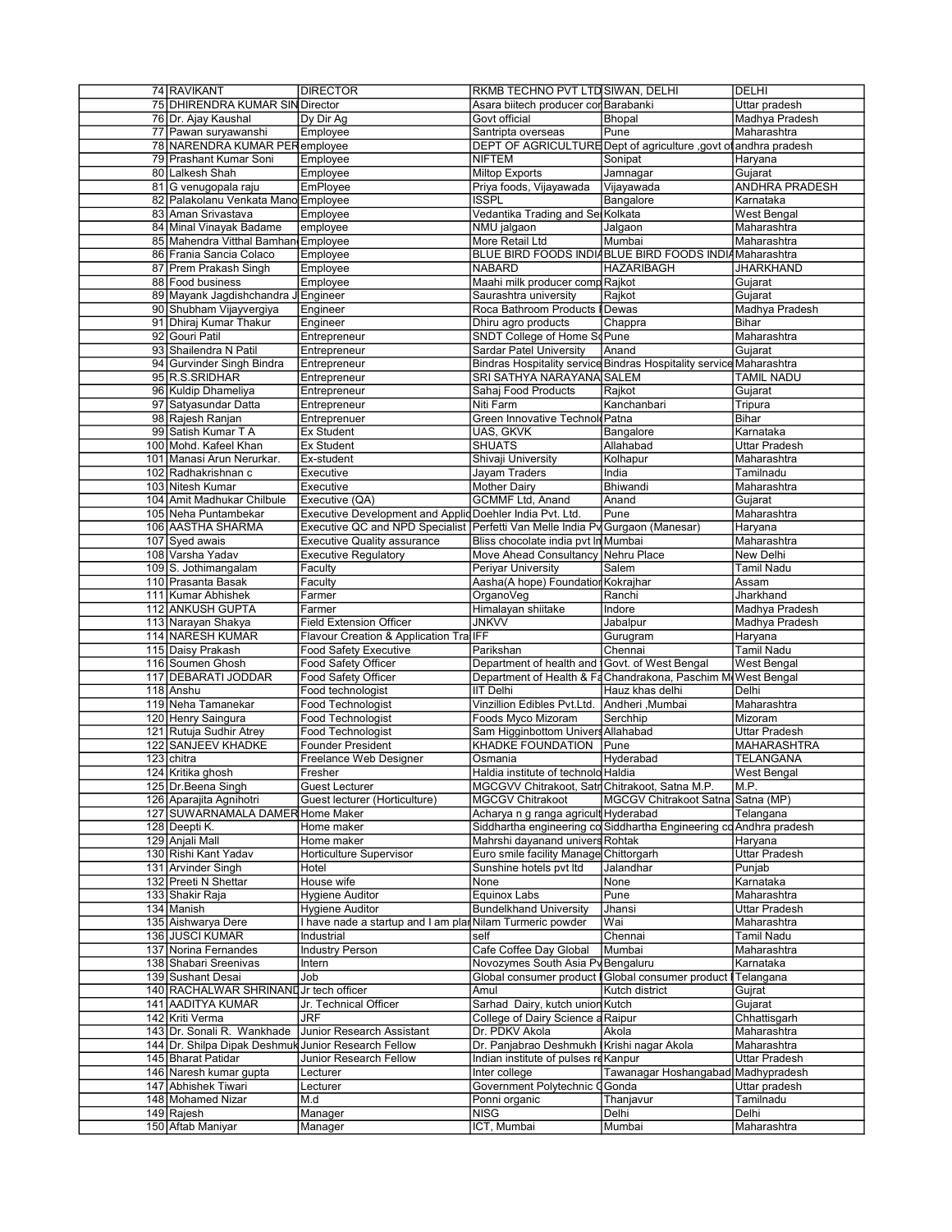| 74 RAVIKANT                                         | <b>DIRECTOR</b>                                                               | RKMB TECHNO PVT LTD SIWAN, DELHI               |                                                                     | <b>DELHI</b>          |
|-----------------------------------------------------|-------------------------------------------------------------------------------|------------------------------------------------|---------------------------------------------------------------------|-----------------------|
| 75 DHIRENDRA KUMAR SIN Director                     |                                                                               | Asara biitech producer cor Barabanki           |                                                                     | Uttar pradesh         |
| 76 Dr. Ajay Kaushal                                 | Dy Dir Ag                                                                     | Govt official                                  | Bhopal                                                              | Madhya Pradesh        |
| 77 Pawan suryawanshi                                | Employee                                                                      | Santripta overseas                             | Pune                                                                | Maharashtra           |
| 78 NARENDRA KUMAR PERemployee                       |                                                                               |                                                | DEPT OF AGRICULTURE Dept of agriculture , govt of andhra pradesh    |                       |
| 79 Prashant Kumar Soni                              | Employee                                                                      | <b>NIFTEM</b>                                  | Sonipat                                                             | Haryana               |
| 80 Lalkesh Shah                                     | Employee                                                                      | <b>Miltop Exports</b>                          | Jamnagar                                                            | Gujarat               |
| 81 G venugopala raju                                | EmPloyee                                                                      | Priya foods, Vijayawada                        | Vijayawada                                                          | <b>ANDHRA PRADESH</b> |
| 82 Palakolanu Venkata Mano Employee                 |                                                                               | <b>ISSPL</b>                                   | Bangalore                                                           | Karnataka             |
|                                                     |                                                                               |                                                |                                                                     |                       |
| 83 Aman Srivastava                                  | Employee                                                                      | Vedantika Trading and Ser Kolkata              |                                                                     | <b>West Bengal</b>    |
| 84 Minal Vinayak Badame                             | employee                                                                      | NMU jalgaon                                    | Jalgaon                                                             | Maharashtra           |
| 85 Mahendra Vitthal Bamhan Employee                 |                                                                               | More Retail Ltd                                | Mumbai                                                              | Maharashtra           |
| 86 Frania Sancia Colaco                             | Employee                                                                      |                                                | BLUE BIRD FOODS INDIABLUE BIRD FOODS INDIAMaharashtra               |                       |
| 87 Prem Prakash Singh                               | Employee                                                                      | <b>NABARD</b>                                  | <b>HAZARIBAGH</b>                                                   | <b>JHARKHAND</b>      |
| 88 Food business                                    | Employee                                                                      | Maahi milk producer comp Rajkot                |                                                                     | Gujarat               |
| 89 Mayank Jagdishchandra                            | JEngineer                                                                     | Saurashtra university                          | Rajkot                                                              | Gujarat               |
| 90 Shubham Vijayvergiya                             | Engineer                                                                      | Roca Bathroom Products                         | Dewas                                                               | Madhya Pradesh        |
| 91 Dhiraj Kumar Thakur                              | Engineer                                                                      | Dhiru agro products                            | Chappra                                                             | <b>Bihar</b>          |
| 92 Gouri Patil                                      | Entrepreneur                                                                  | SNDT College of Home ScPune                    |                                                                     | Maharashtra           |
| 93 Shailendra N Patil                               | Entrepreneur                                                                  | Sardar Patel University                        | Anand                                                               | Gujarat               |
| 94 Gurvinder Singh Bindra                           | Entrepreneur                                                                  |                                                | Bindras Hospitality service Bindras Hospitality service Maharashtra |                       |
| 95 R.S.SRIDHAR                                      | Entrepreneur                                                                  | SRI SATHYA NARAYANA SALEM                      |                                                                     | <b>TAMIL NADU</b>     |
| 96 Kuldip Dhameliya                                 | Entrepreneur                                                                  | Sahaj Food Products                            | Rajkot                                                              | Gujarat               |
| 97 Satyasundar Datta                                | Entrepreneur                                                                  | Niti Farm                                      | Kanchanbari                                                         | Tripura               |
| 98 Rajesh Ranjan                                    | Entreprenuer                                                                  | Green Innovative Technold Patna                |                                                                     | <b>Bihar</b>          |
| 99 Satish Kumar T A                                 | <b>Ex Student</b>                                                             | UAS, GKVK                                      | Bangalore                                                           | Karnataka             |
| 100 Mohd. Kafeel Khan                               | <b>Ex Student</b>                                                             | <b>SHUATS</b>                                  | Allahabad                                                           | <b>Uttar Pradesh</b>  |
| 101 Manasi Arun Nerurkar.                           | Ex-student                                                                    | Shivaji University                             | Kolhapur                                                            | Maharashtra           |
| 102 Radhakrishnan c                                 | Executive                                                                     | <b>Jayam Traders</b>                           | India                                                               | Tamilnadu             |
|                                                     | Executive                                                                     |                                                | Bhiwandi                                                            | Maharashtra           |
| 103 Nitesh Kumar                                    |                                                                               | <b>Mother Dairy</b>                            |                                                                     | Guiarat               |
| 104 Amit Madhukar Chilbule                          | Executive (QA)                                                                | <b>GCMMF Ltd, Anand</b>                        | Anand                                                               |                       |
| 105 Neha Puntambekar                                | Executive Development and Applid Doehler India Pvt. Ltd.                      |                                                | Pune                                                                | Maharashtra           |
| 106 AASTHA SHARMA                                   | Executive QC and NPD Specialist Perfetti Van Melle India Py Gurgaon (Manesar) |                                                |                                                                     | Haryana               |
| 107 Syed awais                                      | <b>Executive Quality assurance</b>                                            | Bliss chocolate india pvt In Mumbai            |                                                                     | Maharashtra           |
| 108 Varsha Yadav                                    | <b>Executive Regulatory</b>                                                   | Move Ahead Consultancy Nehru Place             |                                                                     | New Delhi             |
| 109 S. Jothimangalam                                | Faculty                                                                       | Periyar University                             | Salem                                                               | Tamil Nadu            |
| 110 Prasanta Basak                                  | Faculty                                                                       | Aasha(A hope) Foundation Kokrajhar             |                                                                     | Assam                 |
| 111 Kumar Abhishek                                  | Farmer                                                                        | OrganoVeg                                      | Ranchi                                                              | Jharkhand             |
|                                                     |                                                                               |                                                |                                                                     |                       |
| 112 ANKUSH GUPTA                                    | Farmer                                                                        | Himalayan shiitake                             | Indore                                                              | Madhya Pradesh        |
| 113 Narayan Shakya                                  | <b>Field Extension Officer</b>                                                | <b>JNKVV</b>                                   | Jabalpur                                                            | Madhya Pradesh        |
| 114 NARESH KUMAR                                    |                                                                               |                                                | Gurugram                                                            | Haryana               |
| 115 Daisy Prakash                                   | Flavour Creation & Application TraIFF<br><b>Food Safety Executive</b>         | Parikshan                                      | Chennai                                                             | Tamil Nadu            |
| 116 Soumen Ghosh                                    | Food Safety Officer                                                           | Department of health and Govt. of West Bengal  |                                                                     | West Bengal           |
| 117 DEBARATI JODDAR                                 | Food Safety Officer                                                           |                                                | Department of Health & Fa Chandrakona, Paschim M West Bengal        |                       |
| 118 Anshu                                           | Food technologist                                                             | <b>IIT Delhi</b>                               | Hauz khas delhi                                                     | Delhi                 |
| 119 Neha Tamanekar                                  | <b>Food Technologist</b>                                                      |                                                |                                                                     | Maharashtra           |
|                                                     |                                                                               | Vinzillion Edibles Pvt.Ltd. Andheri ,Mumbai    |                                                                     |                       |
| 120 Henry Saingura                                  | Food Technologist                                                             | Foods Myco Mizoram                             | Serchhip                                                            | Mizoram               |
| 121 Rutuja Sudhir Atrey                             | Food Technologist                                                             | Sam Higginbottom Univers Allahabad             |                                                                     | Uttar Pradesh         |
| 122 SANJEEV KHADKE                                  | Founder President                                                             | <b>KHADKE FOUNDATION</b>                       | Pune                                                                | <b>MAHARASHTRA</b>    |
| 123 chitra                                          | Freelance Web Designer                                                        | Osmania                                        | Hyderabad                                                           | <b>TELANGANA</b>      |
| 124 Kritika ghosh                                   | Fresher                                                                       | Haldia institute of technolo Haldia            |                                                                     | <b>West Bengal</b>    |
| 125   Dr. Beena Singh                               | Guest Lecturer                                                                | MGCGVV Chitrakoot, Satr Chitrakoot, Satna M.P. |                                                                     | M.P.                  |
| 126 Aparajita Agnihotri                             | Guest lecturer (Horticulture)                                                 | <b>MGCGV Chitrakoot</b>                        | MGCGV Chitrakoot Satna Satna (MP)                                   |                       |
| 127 SUWARNAMALA DAMER Home Maker                    |                                                                               | Acharya n g ranga agricult Hyderabad           |                                                                     | Telangana             |
| 128 Deepti K.                                       | Home maker                                                                    |                                                | Siddhartha engineering co Siddhartha Engineering co Andhra pradesh  |                       |
| 129 Anjali Mall                                     | Home maker                                                                    | Mahrshi dayanand univers Rohtak                |                                                                     | Haryana               |
| 130 Rishi Kant Yadav                                | <b>Horticulture Supervisor</b>                                                | Euro smile facility Manage Chittorgarh         |                                                                     | Uttar Pradesh         |
| 131 Arvinder Singh                                  | Hotel                                                                         | Sunshine hotels pvt Itd                        | Jalandhar                                                           | Punjab                |
| 132 Preeti N Shettar                                | House wife                                                                    | None                                           | None                                                                | Karnataka             |
| 133 Shakir Raja                                     | Hygiene Auditor                                                               | Equinox Labs                                   | Pune                                                                | Maharashtra           |
| 134 Manish                                          | Hygiene Auditor                                                               | <b>Bundelkhand University</b>                  | Jhansi                                                              | Uttar Pradesh         |
| 135 Aishwarya Dere                                  | I have nade a startup and I am plar Nilam Turmeric powder                     |                                                | Wai                                                                 | Maharashtra           |
| 136 JUSCI KUMAR                                     | Industrial                                                                    | self                                           | Chennai                                                             | <b>Tamil Nadu</b>     |
| 137 Norina Fernandes                                | <b>Industry Person</b>                                                        | Cafe Coffee Day Global                         | Mumbai                                                              | Maharashtra           |
| 138 Shabari Sreenivas                               | Intern                                                                        | Novozymes South Asia Py Bengaluru              |                                                                     | Karnataka             |
| 139 Sushant Desai                                   | Job                                                                           |                                                | Global consumer product I Global consumer product I                 | Telangana             |
| 140 RACHALWAR SHRINAND Jr tech officer              |                                                                               | Amul                                           | Kutch district                                                      | Gujrat                |
| 141 AADITYA KUMAR                                   | Jr. Technical Officer                                                         | Sarhad Dairy, kutch union Kutch                |                                                                     | Gujarat               |
| 142 Kriti Verma                                     | <b>JRF</b>                                                                    | College of Dairy Science a Raipur              |                                                                     | Chhattisgarh          |
| 143 Dr. Sonali R. Wankhade                          | Junior Research Assistant                                                     | Dr. PDKV Akola                                 | Akola                                                               | Maharashtra           |
| 144 Dr. Shilpa Dipak Deshmuk Junior Research Fellow |                                                                               | Dr. Panjabrao Deshmukh Krishi nagar Akola      |                                                                     | Maharashtra           |
| 145 Bharat Patidar                                  | Junior Research Fellow                                                        | Indian institute of pulses re Kanpur           |                                                                     | Uttar Pradesh         |
| 146 Naresh kumar gupta                              | Lecturer                                                                      | Inter college                                  |                                                                     |                       |
| 147 Abhishek Tiwari                                 | Lecturer                                                                      |                                                | Tawanagar Hoshangabad Madhypradesh<br>Gonda                         | Uttar pradesh         |
|                                                     |                                                                               | Government Polytechnic                         |                                                                     |                       |
| 148 Mohamed Nizar                                   | M.d                                                                           | Ponni organic                                  | Thanjavur                                                           | Tamilnadu             |
| 149 Rajesh<br>150 Aftab Maniyar                     | Manager<br>Manager                                                            | <b>NISG</b><br>ICT, Mumbai                     | Delhi<br>Mumbai                                                     | Delhi<br>Maharashtra  |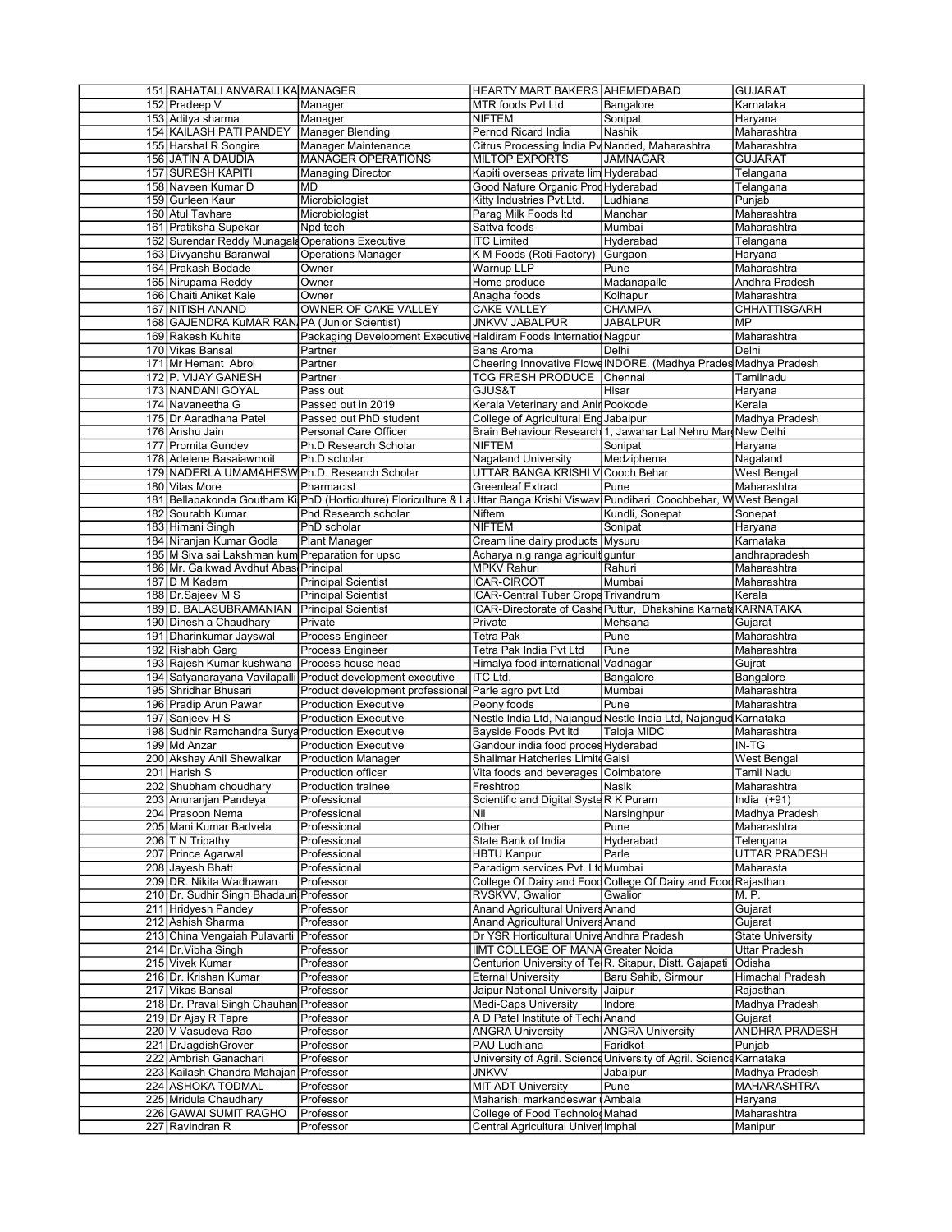| 151 RAHATALI ANVARALI KA MANAGER                 |                                                                                                                                | <b>HEARTY MART BAKERS AHEMEDABAD</b>                                  |                                                                     | <b>GUJARAT</b>          |
|--------------------------------------------------|--------------------------------------------------------------------------------------------------------------------------------|-----------------------------------------------------------------------|---------------------------------------------------------------------|-------------------------|
| 152 Pradeep V                                    | Manager                                                                                                                        | MTR foods Pvt Ltd                                                     | Bangalore                                                           | Karnataka               |
| 153 Aditya sharma                                | Manager                                                                                                                        | <b>NIFTEM</b>                                                         | Sonipat                                                             | Haryana                 |
| 154 KAILASH PATI PANDEY                          | Manager Blending                                                                                                               | Pernod Ricard India                                                   | Nashik                                                              | Maharashtra             |
| 155 Harshal R Songire                            | Manager Maintenance                                                                                                            | Citrus Processing India Pv Nanded, Maharashtra                        |                                                                     | Maharashtra             |
| 156 JATIN A DAUDIA                               | <b>MANAGER OPERATIONS</b>                                                                                                      | <b>MILTOP EXPORTS</b>                                                 | <b>JAMNAGAR</b>                                                     | <b>GUJARAT</b>          |
| <b>157 SURESH KAPITI</b>                         | <b>Managing Director</b>                                                                                                       | Kapiti overseas private lim Hyderabad                                 |                                                                     | Telangana               |
| 158 Naveen Kumar D                               | MD                                                                                                                             | Good Nature Organic Prod Hyderabad                                    |                                                                     | Telangana               |
| 159 Gurleen Kaur                                 | Microbiologist                                                                                                                 | Kitty Industries Pvt.Ltd.                                             | Ludhiana                                                            | Punjab                  |
| 160 Atul Tavhare                                 | Microbiologist                                                                                                                 | Parag Milk Foods Itd                                                  | Manchar                                                             | Maharashtra             |
| 161 Pratiksha Supekar                            | Npd tech                                                                                                                       | Sattva foods                                                          | Mumbai                                                              | Maharashtra             |
| 162 Surendar Reddy Munagal Operations Executive  |                                                                                                                                | <b>ITC Limited</b>                                                    | Hyderabad                                                           | Telangana               |
|                                                  |                                                                                                                                |                                                                       |                                                                     |                         |
| 163 Divyanshu Baranwal                           | Operations Manager                                                                                                             | K M Foods (Roti Factory)                                              | Gurgaon                                                             | Haryana                 |
| 164 Prakash Bodade                               | Owner                                                                                                                          | Warnup LLP                                                            | Pune                                                                | Maharashtra             |
| 165 Nirupama Reddy                               | Owner                                                                                                                          | Home produce                                                          | Madanapalle                                                         | Andhra Pradesh          |
| 166 Chaiti Aniket Kale                           | Owner                                                                                                                          | Anagha foods                                                          | Kolhapur                                                            | Maharashtra             |
| 167 NITISH ANAND                                 | OWNER OF CAKE VALLEY                                                                                                           | <b>CAKE VALLEY</b>                                                    | <b>CHAMPA</b>                                                       | <b>CHHATTISGARH</b>     |
| 168 GAJENDRA KuMAR RAN PA (Junior Scientist)     |                                                                                                                                | <b>JNKVV JABALPUR</b>                                                 | <b>JABALPUR</b>                                                     | MP                      |
| 169 Rakesh Kuhite                                | Packaging Development Executive Haldiram Foods Internation Nagpur                                                              |                                                                       |                                                                     | Maharashtra             |
| 170 Vikas Bansal                                 | Partner                                                                                                                        | Bans Aroma                                                            | Delhi                                                               | Delhi                   |
| 171 Mr Hemant Abrol                              | Partner                                                                                                                        | Cheering Innovative Flowe INDORE. (Madhya Prades Madhya Pradesh       |                                                                     |                         |
| 172 P. VIJAY GANESH                              | Partner                                                                                                                        | <b>TCG FRESH PRODUCE</b> Chennai                                      |                                                                     | Tamilnadu               |
| 173 NANDANI GOYAL                                | Pass out                                                                                                                       | GJUS&T                                                                | Hisar                                                               | Haryana                 |
| 174 Navaneetha G                                 | Passed out in 2019                                                                                                             | Kerala Veterinary and Anir Pookode                                    |                                                                     | Kerala                  |
| 175 Dr Aaradhana Patel                           | Passed out PhD student                                                                                                         | College of Agricultural Eng Jabalpur                                  |                                                                     | Madhya Pradesh          |
| 176 Anshu Jain                                   | Personal Care Officer                                                                                                          |                                                                       | Brain Behaviour Research 1, Jawahar Lal Nehru Mar New Delhi         |                         |
|                                                  |                                                                                                                                |                                                                       |                                                                     |                         |
| 177 Promita Gundev                               | Ph.D Research Scholar                                                                                                          | <b>NIFTEM</b>                                                         | Sonipat                                                             | Haryana                 |
| 178 Adelene Basaiawmoit                          | Ph.D scholar                                                                                                                   | <b>Nagaland University</b>                                            | Medziphema                                                          | Nagaland                |
| 179 NADERLA UMAMAHESW Ph.D. Research Scholar     |                                                                                                                                | UTTAR BANGA KRISHI V Cooch Behar                                      |                                                                     | West Bengal             |
| 180 Vilas More                                   | Pharmacist                                                                                                                     | <b>Greenleaf Extract</b>                                              | Pune                                                                | Maharashtra             |
|                                                  | 181 Bellapakonda Goutham Ki PhD (Horticulture) Floriculture & La Uttar Banga Krishi Visway Pundibari, Coochbehar, WWest Bengal |                                                                       |                                                                     |                         |
| 182 Sourabh Kumar                                | Phd Research scholar                                                                                                           | <b>Niftem</b>                                                         | Kundli, Sonepat                                                     | Sonepat                 |
| 183 Himani Singh                                 | PhD scholar                                                                                                                    | <b>NIFTEM</b>                                                         | Sonipat                                                             | Haryana                 |
| 184 Niranjan Kumar Godla                         | <b>Plant Manager</b>                                                                                                           | Cream line dairy products                                             | Mysuru                                                              | Karnataka               |
| 185 M Siva sai Lakshman kum Preparation for upsc |                                                                                                                                | Acharya n.g ranga agricult guntur                                     |                                                                     | andhrapradesh           |
| 186 Mr. Gaikwad Avdhut Abas Principal            |                                                                                                                                | <b>MPKV Rahuri</b>                                                    | Rahuri                                                              | Maharashtra             |
| 187 D M Kadam                                    | <b>Principal Scientist</b>                                                                                                     | <b>ICAR-CIRCOT</b>                                                    | Mumbai                                                              | Maharashtra             |
|                                                  |                                                                                                                                |                                                                       |                                                                     |                         |
| 188 Dr. Sajeev M S                               | <b>Principal Scientist</b>                                                                                                     | ICAR-Central Tuber Crops Trivandrum                                   |                                                                     | Kerala                  |
| 189 D. BALASUBRAMANIAN                           | Principal Scientist                                                                                                            |                                                                       | ICAR-Directorate of Cashe Puttur, Dhakshina Karnata KARNATAKA       |                         |
| 190 Dinesh a Chaudhary                           | Private                                                                                                                        | Private                                                               | Mehsana                                                             | Gujarat                 |
| 191 Dharinkumar Jayswal                          | Process Engineer                                                                                                               | Tetra Pak                                                             | Pune                                                                | Maharashtra             |
|                                                  |                                                                                                                                |                                                                       |                                                                     |                         |
| 192 Rishabh Garg                                 | Process Engineer                                                                                                               | Tetra Pak India Pvt Ltd                                               | Pune                                                                | Maharashtra             |
| 193 Rajesh Kumar kushwaha                        | Process house head                                                                                                             | Himalya food international Vadnagar                                   |                                                                     | Gujrat                  |
|                                                  | 194 Satyanarayana Vavilapalli Product development executive                                                                    | <b>ITC Ltd.</b>                                                       | Bangalore                                                           | Bangalore               |
| 195 Shridhar Bhusari                             | Product development professional                                                                                               | Parle agro pvt Ltd                                                    | Mumbai                                                              | Maharashtra             |
|                                                  | <b>Production Executive</b>                                                                                                    | Peony foods                                                           | Pune                                                                | Maharashtra             |
| 196 Pradip Arun Pawar                            |                                                                                                                                |                                                                       |                                                                     |                         |
| 197 Sanjeev H S                                  | <b>Production Executive</b>                                                                                                    | Nestle India Ltd, Najangud Nestle India Ltd, Najangud Karnataka       |                                                                     |                         |
| 198 Sudhir Ramchandra Surya Production Executive |                                                                                                                                | Bayside Foods Pvt Itd                                                 | Taloja MIDC                                                         | Maharashtra             |
| 199 Md Anzar                                     | <b>Production Executive</b>                                                                                                    | Gandour india food proces Hyderabad                                   |                                                                     | $IN-TG$                 |
| 200 Akshay Anil Shewalkar                        | <b>Production Manager</b>                                                                                                      | Shalimar Hatcheries Limite Galsi                                      |                                                                     | West Bengal             |
| 201 Harish S                                     | Production officer                                                                                                             | Vita foods and beverages Coimbatore                                   |                                                                     | <b>Tamil Nadu</b>       |
| 202 Shubham choudhary                            | <b>Production trainee</b>                                                                                                      | Freshtrop                                                             | Nasik                                                               | Maharashtra             |
| 203 Anuranjan Pandeya                            | Professional                                                                                                                   | Scientific and Digital Syste R K Puram                                |                                                                     | India $(+91)$           |
| 204 Prasoon Nema                                 | Professional                                                                                                                   | Nil                                                                   | Narsinghpur                                                         | Madhya Pradesh          |
| 205 Mani Kumar Badvela                           | Professional                                                                                                                   | Other                                                                 | Pune                                                                | Maharashtra             |
| 206 T N Tripathy                                 | Professional                                                                                                                   | State Bank of India                                                   | Hyderabad                                                           | Telengana               |
| 207 Prince Agarwal                               | Professional                                                                                                                   | <b>HBTU Kanpur</b>                                                    | Parle                                                               | UTTAR PRADESH           |
| 208 Jayesh Bhatt                                 | Professional                                                                                                                   | Paradigm services Pvt. Ltd Mumbai                                     |                                                                     | Maharasta               |
| 209 DR. Nikita Wadhawan                          | Professor                                                                                                                      | College Of Dairy and Food College Of Dairy and Food Rajasthan         |                                                                     |                         |
| 210 Dr. Sudhir Singh Bhadauri Professor          |                                                                                                                                | RVSKVV, Gwalior                                                       | Gwalior                                                             | M. P.                   |
|                                                  |                                                                                                                                |                                                                       |                                                                     |                         |
| 211 Hridyesh Pandey                              | Professor                                                                                                                      | Anand Agricultural Univers Anand                                      |                                                                     | Gujarat                 |
| 212 Ashish Sharma                                | Professor                                                                                                                      | Anand Agricultural Univers Anand                                      |                                                                     | Gujarat                 |
| 213 China Vengaiah Pulavarti                     | Professor                                                                                                                      | Dr YSR Horticultural Unive Andhra Pradesh                             |                                                                     | <b>State University</b> |
| 214 Dr. Vibha Singh                              | Professor                                                                                                                      | IIMT COLLEGE OF MANA Greater Noida                                    |                                                                     | <b>Uttar Pradesh</b>    |
| 215 Vivek Kumar                                  | Professor                                                                                                                      | Centurion University of Te R. Sitapur, Distt. Gajapati                |                                                                     | Odisha                  |
| 216 Dr. Krishan Kumar                            | Professor                                                                                                                      | <b>Eternal University</b>                                             | Baru Sahib, Sirmour                                                 | Himachal Pradesh        |
| 217 Vikas Bansal                                 | Professor                                                                                                                      | Jaipur National University                                            | Jaipur                                                              | Rajasthan               |
| 218 Dr. Praval Singh Chauhan Professor           |                                                                                                                                | <b>Medi-Caps University</b>                                           | Indore                                                              | Madhya Pradesh          |
| 219 Dr Ajay R Tapre                              | Professor                                                                                                                      | A D Patel Institute of Techi Anand                                    |                                                                     | Gujarat                 |
| 220 V Vasudeva Rao                               | Professor                                                                                                                      | <b>ANGRA University</b>                                               | <b>ANGRA University</b>                                             | ANDHRA PRADESH          |
| 221 DrJagdishGrover                              | Professor                                                                                                                      | PAU Ludhiana                                                          | Faridkot                                                            | Punjab                  |
| 222 Ambrish Ganachari                            | Professor                                                                                                                      |                                                                       | University of Agril. Science University of Agril. Science Karnataka |                         |
| 223 Kailash Chandra Mahajan Professor            |                                                                                                                                | JNKVV                                                                 | Jabalpur                                                            |                         |
|                                                  |                                                                                                                                |                                                                       |                                                                     | Madhya Pradesh          |
| 224 ASHOKA TODMAL                                | Professor                                                                                                                      | <b>MIT ADT University</b>                                             | Pune                                                                | MAHARASHTRA             |
| 225 Mridula Chaudhary                            | Professor                                                                                                                      | Maharishi markandeswar                                                | <b>Ambala</b>                                                       | Haryana                 |
| 226 GAWAI SUMIT RAGHO<br>227 Ravindran R         | Professor<br>Professor                                                                                                         | College of Food Technolog Mahad<br>Central Agricultural Univer Imphal |                                                                     | Maharashtra<br>Manipur  |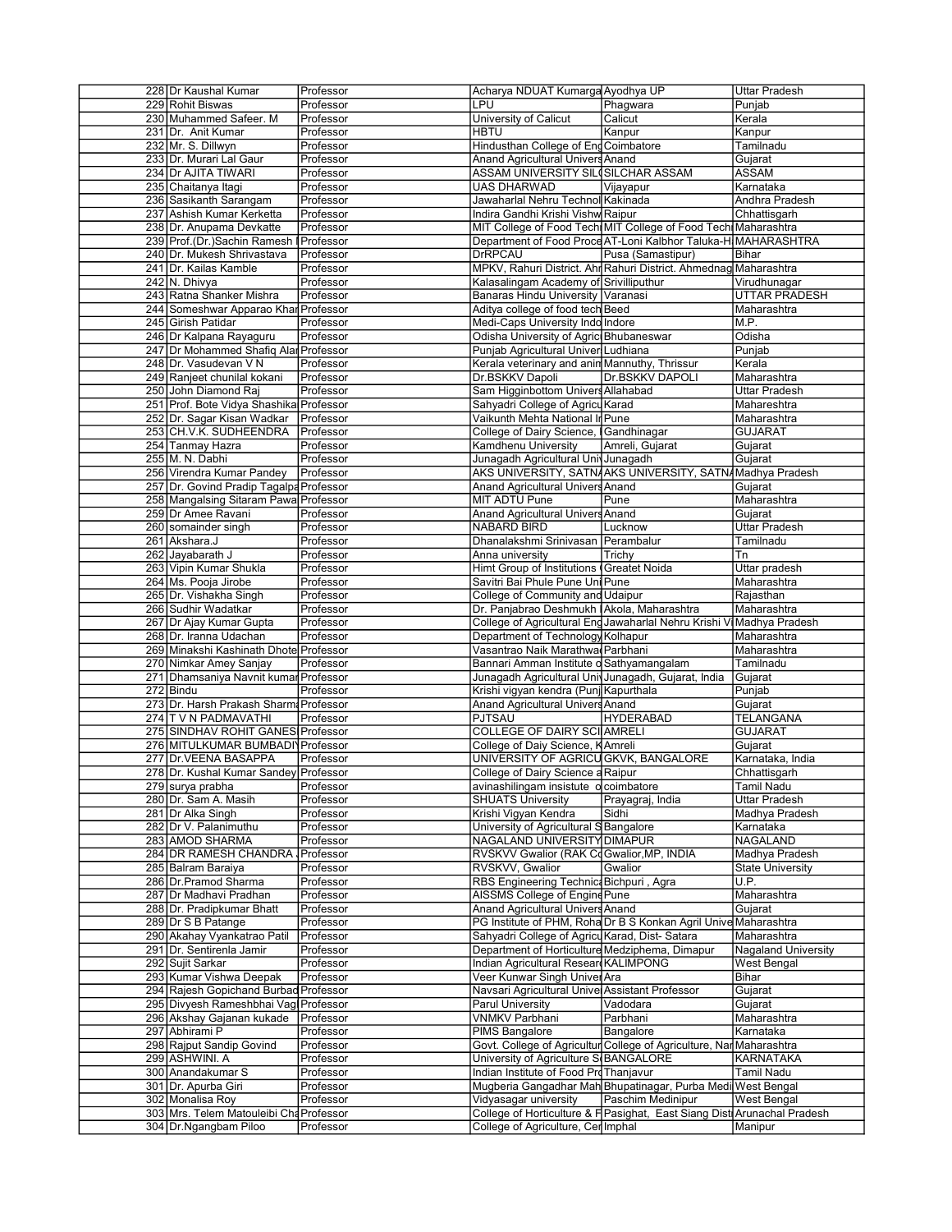| 228 Dr Kaushal Kumar                                             | Professor        | Acharya NDUAT Kumarga Ayodhya UP                    |                                                                         | Uttar Pradesh           |
|------------------------------------------------------------------|------------------|-----------------------------------------------------|-------------------------------------------------------------------------|-------------------------|
| 229 Rohit Biswas                                                 | Professor        | LPU                                                 | Phagwara                                                                | Punjab                  |
| 230 Muhammed Safeer. M                                           | Professor        | University of Calicut                               | Calicut                                                                 | Kerala                  |
| 231 Dr. Anit Kumar                                               | Professor        | <b>HBTU</b>                                         | Kanpur                                                                  | Kanpur                  |
| 232 Mr. S. Dillwyn                                               | Professor        | Hindusthan College of Eng Coimbatore                |                                                                         | Tamilnadu               |
| 233 Dr. Murari Lal Gaur                                          | Professor        | <b>Anand Agricultural Univers Anand</b>             |                                                                         | Gujarat                 |
| 234 Dr AJITA TIWARI                                              | Professor        | ASSAM UNIVERSITY SIL SILCHAR ASSAM                  |                                                                         | <b>ASSAM</b>            |
|                                                                  |                  | <b>UAS DHARWAD</b>                                  |                                                                         |                         |
| 235 Chaitanya Itagi                                              | Professor        |                                                     | Vijayapur                                                               | Karnataka               |
| 236 Sasikanth Sarangam                                           | Professor        | Jawaharlal Nehru Technol Kakinada                   |                                                                         | Andhra Pradesh          |
| 237 Ashish Kumar Kerketta                                        | Professor        | Indira Gandhi Krishi Vishw Raipur                   |                                                                         | Chhattisgarh            |
| 238 Dr. Anupama Devkatte                                         | Professor        |                                                     | MIT College of Food Tech MIT College of Food Tech Maharashtra           |                         |
| 239 Prof.(Dr.)Sachin Ramesh Professor                            |                  |                                                     | Department of Food Proce AT-Loni Kalbhor Taluka-H MAHARASHTRA           |                         |
| 240 Dr. Mukesh Shrivastava                                       | Professor        | DrRPCAU                                             | Pusa (Samastipur)                                                       | Bihar                   |
| 241 Dr. Kailas Kamble                                            | Professor        |                                                     | MPKV, Rahuri District. Ahr Rahuri District. Ahmednag Maharashtra        |                         |
|                                                                  |                  |                                                     |                                                                         |                         |
| 242 N. Dhivya                                                    | Professor        | Kalasalingam Academy of Srivilliputhur              |                                                                         | Virudhunagar            |
| 243 Ratna Shanker Mishra                                         | Professor        | Banaras Hindu University Varanasi                   |                                                                         | UTTAR PRADESH           |
| 244 Someshwar Apparao Khar Professor                             |                  | Aditya college of food tech Beed                    |                                                                         | Maharashtra             |
| 245 Girish Patidar                                               | Professor        | Medi-Caps University Indo Indore                    |                                                                         | M.P.                    |
| 246 Dr Kalpana Rayaguru                                          | Professor        | Odisha University of Agric Bhubaneswar              |                                                                         | Odisha                  |
| 247 Dr Mohammed Shafiq Alar Professor                            |                  | Punjab Agricultural Univer Ludhiana                 |                                                                         | Punjab                  |
|                                                                  |                  |                                                     |                                                                         |                         |
| 248 Dr. Vasudevan V N                                            | Professor        | Kerala veterinary and anin Mannuthy, Thrissur       |                                                                         | Kerala                  |
| 249 Ranjeet chunilal kokani                                      | Professor        | Dr.BSKKV Dapoli                                     | <b>Dr.BSKKV DAPOLI</b>                                                  | Maharashtra             |
| 250 John Diamond Raj                                             | Professor        | Sam Higginbottom Univers Allahabad                  |                                                                         | Uttar Pradesh           |
| 251 Prof. Bote Vidya Shashika Professor                          |                  | Sahyadri College of Agricu Karad                    |                                                                         | Mahareshtra             |
| 252 Dr. Sagar Kisan Wadkar Professor                             |                  | Vaikunth Mehta National In Pune                     |                                                                         | Maharashtra             |
| 253 CH.V.K. SUDHEENDRA                                           | Professor        | College of Dairy Science, Gandhinagar               |                                                                         | GUJARAT                 |
|                                                                  |                  |                                                     |                                                                         |                         |
| 254 Tanmay Hazra                                                 | Professor        | Kamdhenu University                                 | Amreli, Gujarat                                                         | Gujarat                 |
| 255 M. N. Dabhi                                                  | <b>Professor</b> | Junagadh Agricultural Univ Junagadh                 |                                                                         | Gujarat                 |
| 256 Virendra Kumar Pandey                                        | Professor        |                                                     | AKS UNIVERSITY, SATNAKS UNIVERSITY, SATNAMadhya Pradesh                 |                         |
| 257 Dr. Govind Pradip Tagalpa Professor                          |                  | Anand Agricultural Univers Anand                    |                                                                         | Gujarat                 |
| 258 Mangalsing Sitaram Pawa Professor                            |                  | MIT ADTU Pune                                       | Pune                                                                    | Maharashtra             |
| 259 Dr Amee Ravani                                               | Professor        | Anand Agricultural Univers Anand                    |                                                                         | Gujarat                 |
| 260 somainder singh                                              | Professor        | NABARD BIRD                                         | Lucknow                                                                 | Uttar Pradesh           |
|                                                                  |                  |                                                     |                                                                         |                         |
| 261 Akshara.J                                                    | Professor        | Dhanalakshmi Srinivasan Perambalur                  |                                                                         | Tamilnadu               |
| 262 Jayabarath J                                                 | Professor        | Anna university                                     | Trichy                                                                  | Tn                      |
| 263 Vipin Kumar Shukla                                           | Professor        | Himt Group of Institutions Greatet Noida            |                                                                         | Uttar pradesh           |
| 264 Ms. Pooja Jirobe                                             | Professor        | Savitri Bai Phule Pune Uni Pune                     |                                                                         | Maharashtra             |
| 265 Dr. Vishakha Singh                                           | Professor        | College of Community and Udaipur                    |                                                                         | Rajasthan               |
| 266 Sudhir Wadatkar                                              | Professor        | Dr. Panjabrao Deshmukh IAkola, Maharashtra          |                                                                         | Maharashtra             |
|                                                                  |                  |                                                     |                                                                         |                         |
| 267 Dr Ajay Kumar Gupta                                          | Professor        |                                                     | College of Agricultural Eng Jawaharlal Nehru Krishi Vi Madhya Pradesh   |                         |
| 268 Dr. Iranna Udachan                                           | Professor        | Department of Technology Kolhapur                   |                                                                         | Maharashtra             |
| 269 Minakshi Kashinath Dhote Professor                           |                  | Vasantrao Naik Marathwa Parbhani                    |                                                                         | Maharashtra             |
| 270 Nimkar Amey Sanjay                                           | Professor        | Bannari Amman Institute o Sathyamangalam            |                                                                         | Tamilnadu               |
|                                                                  |                  |                                                     |                                                                         |                         |
|                                                                  |                  |                                                     |                                                                         |                         |
| 271 Dhamsaniya Navnit kumar Professor                            |                  | Junagadh Agricultural Univ Junagadh, Gujarat, India |                                                                         | Gujarat                 |
| 272 Bindu                                                        | Professor        | Krishi vigyan kendra (Punj Kapurthala               |                                                                         | Punjab                  |
| 273 Dr. Harsh Prakash Sharm Professor                            |                  | Anand Agricultural Univers Anand                    |                                                                         | Gujarat                 |
| 274 T V N PADMAVATHI                                             | Professor        | PJTSAU                                              | <b>HYDERABAD</b>                                                        | TELANGANA               |
| 275 SINDHAV ROHIT GANES Professor                                |                  | COLLEGE OF DAIRY SCI AMRELI                         |                                                                         | GUJARAT                 |
| 276 MITULKUMAR BUMBADI Professor                                 |                  |                                                     |                                                                         | Gujarat                 |
|                                                                  |                  | College of Daiy Science, KAmreli                    |                                                                         |                         |
| 277 Dr. VEENA BASAPPA                                            | Professor        | UNIVERSITY OF AGRICU GKVK, BANGALORE                |                                                                         | Karnataka, India        |
| 278 Dr. Kushal Kumar Sandey Professor                            |                  | College of Dairy Science a Raipur                   |                                                                         | Chhattisgarh            |
| 279 surya prabha                                                 | Professor        | avinashilingam insistute o coimbatore               |                                                                         | Tamil Nadu              |
| 280 Dr. Sam A. Masih                                             | Professor        | <b>SHUATS University</b>                            | Prayagraj, India                                                        | Uttar Pradesh           |
| 281 Dr Alka Singh                                                | Professor        | Krishi Vigyan Kendra                                | Sidhi                                                                   | Madhya Pradesh          |
| 282 Dr V. Palanimuthu                                            | Professor        | University of Agricultural S Bangalore              |                                                                         | Karnataka               |
|                                                                  |                  |                                                     |                                                                         |                         |
| 283 AMOD SHARMA                                                  | Professor        | NAGALAND UNIVERSITY DIMAPUR                         |                                                                         | NAGALAND                |
| 284 DR RAMESH CHANDRA Professor                                  |                  | RVSKVV Gwalior (RAK Co Gwalior, MP, INDIA           |                                                                         | Madhya Pradesh          |
| 285 Balram Baraiya                                               | Professor        | RVSKVV, Gwalior                                     | Gwalior                                                                 | <b>State University</b> |
| 286 Dr. Pramod Sharma                                            | Professor        | RBS Engineering Technic: Bichpuri, Agra             |                                                                         | U.P.                    |
| 287 Dr Madhavi Pradhan                                           | Professor        | AISSMS College of Engine Pune                       |                                                                         | Maharashtra             |
| 288 Dr. Pradipkumar Bhatt                                        | Professor        | Anand Agricultural Univers Anand                    |                                                                         | Gujarat                 |
|                                                                  |                  |                                                     |                                                                         |                         |
| 289 Dr S B Patange                                               | Professor        |                                                     | PG Institute of PHM, Roha Dr B S Konkan Agril Unive Maharashtra         |                         |
| 290 Akahay Vyankatrao Patil                                      | Professor        | Sahyadri College of Agricu Karad, Dist-Satara       |                                                                         | Maharashtra             |
| 291 Dr. Sentirenla Jamir                                         | Professor        | Department of Horticulture Medziphema, Dimapur      |                                                                         | Nagaland University     |
| 292 Sujit Sarkar                                                 | Professor        | Indian Agricultural Resear KALIMPONG                |                                                                         | West Bengal             |
| 293 Kumar Vishwa Deepak                                          | Professor        | Veer Kunwar Singh Univer Ara                        |                                                                         | Bihar                   |
| 294 Rajesh Gopichand Burbad Professor                            |                  | Navsari Agricultural Unive Assistant Professor      |                                                                         |                         |
|                                                                  |                  |                                                     |                                                                         | Gujarat                 |
| 295 Divyesh Rameshbhai Vag Professor                             |                  | Parul University                                    | Vadodara                                                                | Gujarat                 |
| 296 Akshay Gajanan kukade                                        | Professor        | <b>VNMKV Parbhani</b>                               | Parbhani                                                                | Maharashtra             |
| 297 Abhirami P                                                   | Professor        | PIMS Bangalore                                      | Bangalore                                                               | Karnataka               |
| 298 Rajput Sandip Govind                                         | Professor        |                                                     | Govt. College of Agricultur College of Agriculture, Nar Maharashtra     |                         |
| 299 ASHWINI. A                                                   | Professor        | University of Agriculture S BANGALORE               |                                                                         | KARNATAKA               |
| 300 Anandakumar S                                                | Professor        | Indian Institute of Food Pro Thanjavur              |                                                                         | Tamil Nadu              |
|                                                                  |                  |                                                     |                                                                         |                         |
| 301 Dr. Apurba Giri                                              | Professor        |                                                     | Mugberia Gangadhar Mah Bhupatinagar, Purba Medi West Bengal             |                         |
| 302 Monalisa Roy                                                 | Professor        | Vidyasagar university                               | Paschim Medinipur                                                       | West Bengal             |
| 303 Mrs. Telem Matouleibi Cha Professor<br>304 Dr.Ngangbam Piloo | Professor        | College of Agriculture, Cerlmphal                   | College of Horticulture & F Pasighat, East Siang Dist Arunachal Pradesh | Manipur                 |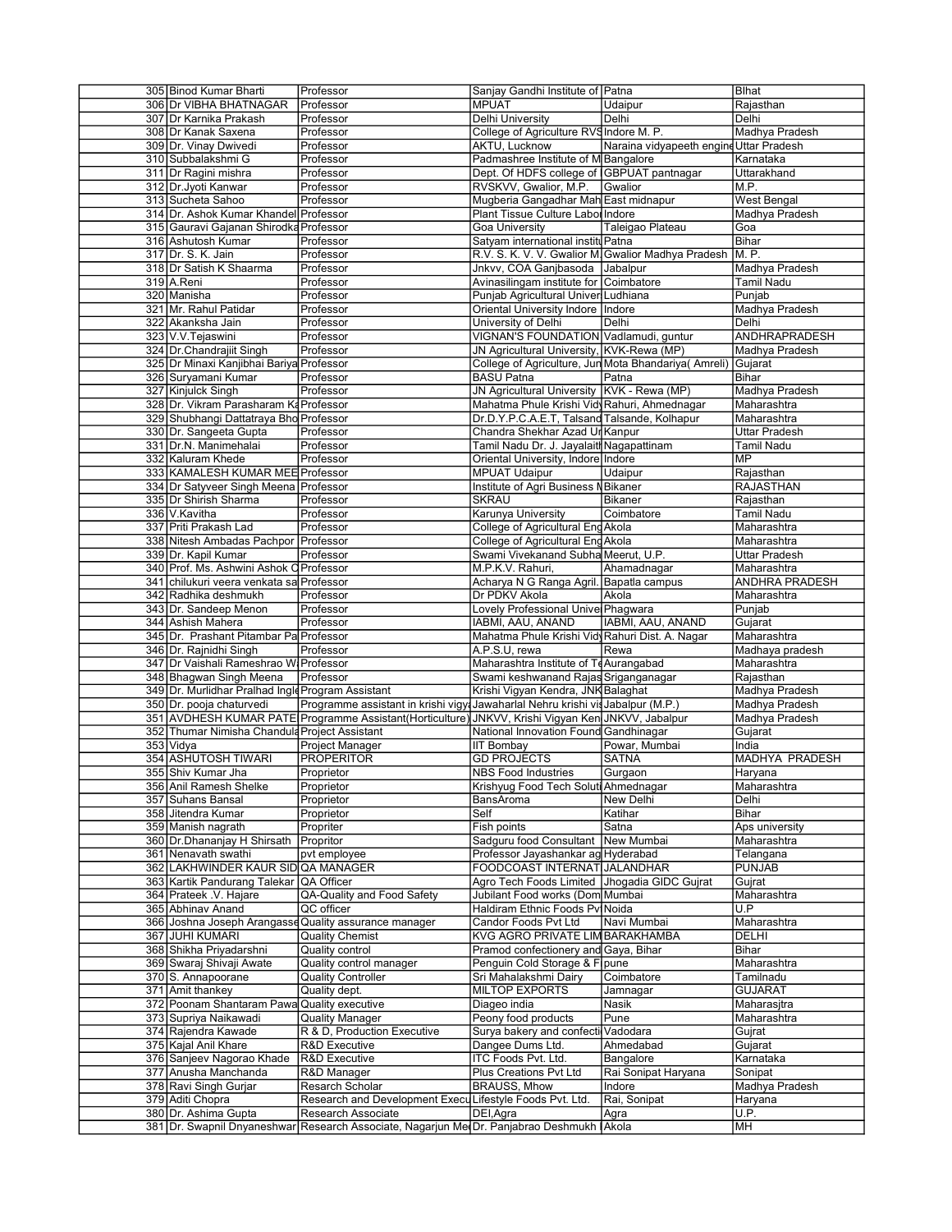| 305 Binod Kumar Bharti                            |                                                                                                    |                                                    |                                                              |                       |
|---------------------------------------------------|----------------------------------------------------------------------------------------------------|----------------------------------------------------|--------------------------------------------------------------|-----------------------|
|                                                   | Professor                                                                                          | Sanjay Gandhi Institute of Patna                   |                                                              | Blhat                 |
| 306 Dr VIBHA BHATNAGAR                            | Professor                                                                                          | <b>MPUAT</b>                                       | Udaipur                                                      | Rajasthan             |
| 307 Dr Karnika Prakash                            | Professor                                                                                          | Delhi University                                   | Delhi                                                        | Delhi                 |
|                                                   |                                                                                                    |                                                    |                                                              |                       |
| 308 Dr Kanak Saxena                               | Professor                                                                                          | College of Agriculture RVS Indore M. P.            |                                                              | Madhya Pradesh        |
| 309 Dr. Vinay Dwivedi                             | Professor                                                                                          | AKTU, Lucknow                                      | Naraina vidyapeeth engine                                    | Uttar Pradesh         |
| 310 Subbalakshmi G                                | Professor                                                                                          | Padmashree Institute of M Bangalore                |                                                              | Karnataka             |
|                                                   |                                                                                                    |                                                    |                                                              |                       |
| 311 Dr Ragini mishra                              | Professor                                                                                          | Dept. Of HDFS college of IGBPUAT pantnagar         |                                                              | Uttarakhand           |
| 312 Dr. Jyoti Kanwar                              | Professor                                                                                          | RVSKVV, Gwalior, M.P.                              | Gwalior                                                      | M.P.                  |
| 313 Sucheta Sahoo                                 | Professor                                                                                          | Mugberia Gangadhar Mah East midnapur               |                                                              | <b>West Bengal</b>    |
|                                                   |                                                                                                    |                                                    |                                                              |                       |
| 314 Dr. Ashok Kumar Khandel Professor             |                                                                                                    | Plant Tissue Culture Labor Indore                  |                                                              | Madhya Pradesh        |
| 315 Gauravi Gajanan Shirodka Professor            |                                                                                                    | Goa University                                     | Taleigao Plateau                                             | Goa                   |
| 316 Ashutosh Kumar                                | Professor                                                                                          | Satyam international institu Patna                 |                                                              | Bihar                 |
|                                                   |                                                                                                    |                                                    |                                                              |                       |
| 317 Dr. S. K. Jain                                | Professor                                                                                          | R.V. S. K. V. V. Gwalior M. Gwalior Madhya Pradesh |                                                              | M.P.                  |
| 318 Dr Satish K Shaarma                           | Professor                                                                                          | Jnkvv, COA Ganjbasoda Jabalpur                     |                                                              | Madhya Pradesh        |
| 319 A.Reni                                        | Professor                                                                                          | Avinasilingam institute for Coimbatore             |                                                              | Tamil Nadu            |
|                                                   |                                                                                                    |                                                    |                                                              |                       |
| 320 Manisha                                       | Professor                                                                                          | Punjab Agricultural Univer Ludhiana                |                                                              | Punjab                |
| 321 Mr. Rahul Patidar                             | Professor                                                                                          | Oriental University Indore   Indore                |                                                              | Madhva Pradesh        |
| 322 Akanksha Jain                                 | Professor                                                                                          | University of Delhi                                | Delhi                                                        | Delhi                 |
|                                                   |                                                                                                    |                                                    |                                                              |                       |
| 323 V.V. Tejaswini                                | Professor                                                                                          | VIGNAN'S FOUNDATION Vadlamudi, guntur              |                                                              | ANDHRAPRADESH         |
| 324 Dr.Chandrajiit Singh                          | Professor                                                                                          | JN Agricultural University, KVK-Rewa (MP)          |                                                              | Madhya Pradesh        |
|                                                   |                                                                                                    |                                                    |                                                              |                       |
| 325 Dr Minaxi Kanjibhai Bariya Professor          |                                                                                                    |                                                    | College of Agriculture, Jun Mota Bhandariya (Amreli) Gujarat |                       |
| 326 Suryamani Kumar                               | Professor                                                                                          | <b>BASU Patna</b>                                  | Patna                                                        | Bihar                 |
| 327 Kinjulck Singh                                | Professor                                                                                          | JN Agricultural University KVK - Rewa (MP)         |                                                              | Madhya Pradesh        |
|                                                   |                                                                                                    |                                                    |                                                              |                       |
| 328 Dr. Vikram Parasharam Ka Professor            |                                                                                                    | Mahatma Phule Krishi Vidy Rahuri, Ahmednagar       |                                                              | Maharashtra           |
| 329 Shubhangi Dattatraya Bho Professor            |                                                                                                    | Dr.D.Y.P.C.A.E.T, Talsand Talsande, Kolhapur       |                                                              | Maharashtra           |
| 330 Dr. Sangeeta Gupta                            | Professor                                                                                          | Chandra Shekhar Azad Ur Kanpur                     |                                                              | Uttar Pradesh         |
|                                                   |                                                                                                    |                                                    |                                                              |                       |
| 331 Dr.N. Manimehalai                             | Professor                                                                                          | Tamil Nadu Dr. J. Jayalaith Nagapattinam           |                                                              | Tamil Nadu            |
| 332 Kaluram Khede                                 | Professor                                                                                          | Oriental University, Indore Indore                 |                                                              | MP                    |
|                                                   |                                                                                                    |                                                    |                                                              |                       |
| 333 KAMALESH KUMAR MEE Professor                  |                                                                                                    | <b>MPUAT Udaipur</b>                               | Udaipur                                                      | Rajasthan             |
| 334 Dr Satyveer Singh Meena Professor             |                                                                                                    | Institute of Agri Business NBikaner                |                                                              | <b>RAJASTHAN</b>      |
| 335 Dr Shirish Sharma                             | Professor                                                                                          | <b>SKRAU</b>                                       | <b>Bikaner</b>                                               | Rajasthan             |
|                                                   |                                                                                                    |                                                    |                                                              |                       |
| 336 V.Kavitha                                     | Professor                                                                                          | Karunya University                                 | Coimbatore                                                   | Tamil Nadu            |
| 337 Priti Prakash Lad                             | Professor                                                                                          | College of Agricultural Eng Akola                  |                                                              | Maharashtra           |
|                                                   |                                                                                                    |                                                    |                                                              |                       |
| 338 Nitesh Ambadas Pachpor   Professor            |                                                                                                    | College of Agricultural Eng Akola                  |                                                              | Maharashtra           |
| 339 Dr. Kapil Kumar                               | Professor                                                                                          | Swami Vivekanand Subha Meerut, U.P.                |                                                              | Uttar Pradesh         |
| 340 Prof. Ms. Ashwini Ashok O Professor           |                                                                                                    | M.P.K.V. Rahuri,                                   | Ahamadnagar                                                  | Maharashtra           |
|                                                   |                                                                                                    |                                                    |                                                              |                       |
| 341 chilukuri veera venkata sa Professor          |                                                                                                    | Acharya N G Ranga Agril. Bapatla campus            |                                                              | <b>ANDHRA PRADESH</b> |
| 342 Radhika deshmukh                              | Professor                                                                                          | Dr PDKV Akola                                      | Akola                                                        | Maharashtra           |
| 343 Dr. Sandeep Menon                             | Professor                                                                                          | Lovely Professional Unive Phagwara                 |                                                              | Punjab                |
|                                                   |                                                                                                    |                                                    |                                                              |                       |
| 344 Ashish Mahera                                 | Professor                                                                                          | IABMI, AAU, ANAND                                  | IABMI, AAU, ANAND                                            | Gujarat               |
|                                                   |                                                                                                    |                                                    |                                                              |                       |
|                                                   |                                                                                                    |                                                    |                                                              |                       |
| 345 Dr. Prashant Pitambar Pa Professor            |                                                                                                    | Mahatma Phule Krishi Vidy Rahuri Dist. A. Nagar    |                                                              | Maharashtra           |
| 346 Dr. Rajnidhi Singh                            | Professor                                                                                          | A.P.S.U, rewa                                      | Rewa                                                         | Madhaya pradesh       |
| 347 Dr Vaishali Rameshrao W Professor             |                                                                                                    | Maharashtra Institute of TeAurangabad              |                                                              | Maharashtra           |
|                                                   |                                                                                                    |                                                    |                                                              |                       |
| 348 Bhagwan Singh Meena                           | Professor                                                                                          | Swami keshwanand Rajas Sriganganagar               |                                                              | Rajasthan             |
| 349 Dr. Murlidhar Pralhad Ingld Program Assistant |                                                                                                    | Krishi Vigyan Kendra, JNK Balaghat                 |                                                              | Madhya Pradesh        |
|                                                   |                                                                                                    |                                                    |                                                              |                       |
| 350 Dr. pooja chaturvedi                          | Programme assistant in krishi vigy: Jawaharlal Nehru krishi vis Jabalpur (M.P.)                    |                                                    |                                                              | Madhya Pradesh        |
|                                                   | 351 AVDHESH KUMAR PATE Programme Assistant (Horticulture) JNKVV, Krishi Vigyan Ken JNKVV, Jabalpur |                                                    |                                                              | Madhya Pradesh        |
|                                                   |                                                                                                    |                                                    |                                                              |                       |
| 352 Thumar Nimisha Chanduld Project Assistant     |                                                                                                    | National Innovation Found Gandhinagar              |                                                              | Gujarat               |
| 353 Vidya                                         | Project Manager                                                                                    | <b>IIT Bombay</b>                                  | Powar, Mumbai                                                | India                 |
| 354 ASHUTOSH TIWARI                               | <b>PROPERITOR</b>                                                                                  | <b>GD PROJECTS</b>                                 | SATNA                                                        | MADHYA PRADESH        |
|                                                   |                                                                                                    |                                                    |                                                              |                       |
| 355 Shiv Kumar Jha                                | Proprietor                                                                                         | <b>NBS Food Industries</b>                         | Gurgaon                                                      | Haryana               |
| 356 Anil Ramesh Shelke                            | Proprietor                                                                                         | Krishyug Food Tech Soluti Ahmednagar               |                                                              | Maharashtra           |
| 357 Suhans Bansal                                 | Proprietor                                                                                         | BansAroma                                          | New Delhi                                                    | Delhi                 |
|                                                   |                                                                                                    |                                                    |                                                              |                       |
| 358 Jitendra Kumar                                | Proprietor                                                                                         | Self                                               | Katihar                                                      | Bihar                 |
| 359 Manish nagrath                                | Propriter                                                                                          | Fish points                                        | Satna                                                        | Aps university        |
|                                                   |                                                                                                    |                                                    | New Mumbai                                                   |                       |
| 360 Dr.Dhananjay H Shirsath                       | Propritor                                                                                          | Sadguru food Consultant                            |                                                              | Maharashtra           |
| 361 Nenavath swathi                               | pvt employee                                                                                       | Professor Jayashankar ag Hyderabad                 |                                                              | Telangana             |
| 362 LAKHWINDER KAUR SID QA MANAGER                |                                                                                                    | FOODCOAST INTERNAT JALANDHAR                       |                                                              | PUNJAB                |
|                                                   |                                                                                                    |                                                    |                                                              |                       |
| 363 Kartik Pandurang Talekar QA Officer           |                                                                                                    | Agro Tech Foods Limited   Jhogadia GIDC Gujrat     |                                                              | Gujrat                |
| 364 Prateek V. Hajare                             | QA-Quality and Food Safety                                                                         | Jubilant Food works (Dom Mumbai                    |                                                              | Maharashtra           |
| 365 Abhinav Anand                                 | QC officer                                                                                         | Haldiram Ethnic Foods Pvi Noida                    |                                                              | U.P                   |
|                                                   |                                                                                                    |                                                    |                                                              |                       |
|                                                   | 366 Joshna Joseph Arangasse Quality assurance manager                                              | Candor Foods Pvt Ltd                               | Navi Mumbai                                                  | Maharashtra           |
| 367 JUHI KUMARI                                   | <b>Quality Chemist</b>                                                                             | KVG AGRO PRIVATE LIM BARAKHAMBA                    |                                                              | DELHI                 |
|                                                   |                                                                                                    |                                                    |                                                              | Bihar                 |
| 368 Shikha Priyadarshni                           | Quality control                                                                                    | Pramod confectionery and Gaya, Bihar               |                                                              |                       |
| 369 Swaraj Shivaji Awate                          | Quality control manager                                                                            | Penguin Cold Storage & Fipune                      |                                                              | Maharashtra           |
| 370 S. Annapoorane                                | Quality Controller                                                                                 | Sri Mahalakshmi Dairy                              | Coimbatore                                                   | Tamilnadu             |
|                                                   |                                                                                                    |                                                    |                                                              |                       |
| 371 Amit thankey                                  | Quality dept.                                                                                      | <b>MILTOP EXPORTS</b>                              | Jamnagar                                                     | <b>GUJARAT</b>        |
| 372 Poonam Shantaram Pawa Quality executive       |                                                                                                    | Diageo india                                       | Nasik                                                        | Maharasjtra           |
| 373 Supriya Naikawadi                             | <b>Quality Manager</b>                                                                             | Peony food products                                | Pune                                                         | Maharashtra           |
|                                                   |                                                                                                    |                                                    |                                                              |                       |
| 374 Rajendra Kawade                               | R & D, Production Executive                                                                        | Surya bakery and confecti Vadodara                 |                                                              | Gujrat                |
| 375 Kajal Anil Khare                              | R&D Executive                                                                                      | Dangee Dums Ltd.                                   | Ahmedabad                                                    | Gujarat               |
|                                                   |                                                                                                    |                                                    |                                                              |                       |
| 376 Sanjeev Nagorao Khade                         | R&D Executive                                                                                      | <b>ITC Foods Pvt. Ltd.</b>                         | Bangalore                                                    | Karnataka             |
| 377 Anusha Manchanda                              | R&D Manager                                                                                        | Plus Creations Pvt Ltd                             | Rai Sonipat Haryana                                          | Sonipat               |
|                                                   | Resarch Scholar                                                                                    | <b>BRAUSS, Mhow</b>                                | Indore                                                       | Madhya Pradesh        |
| 378 Ravi Singh Gurjar                             |                                                                                                    |                                                    |                                                              |                       |
| 379 Aditi Chopra                                  | Research and Development Execu Lifestyle Foods Pvt. Ltd.                                           |                                                    | Rai, Sonipat                                                 | Haryana               |
| 380 Dr. Ashima Gupta                              | Research Associate                                                                                 | DEI, Agra                                          | Agra                                                         | U.P.                  |
|                                                   | 381 Dr. Swapnil Dnyaneshwar Research Associate, Nagarjun Me Dr. Panjabrao Deshmukh   Akola         |                                                    |                                                              | MH                    |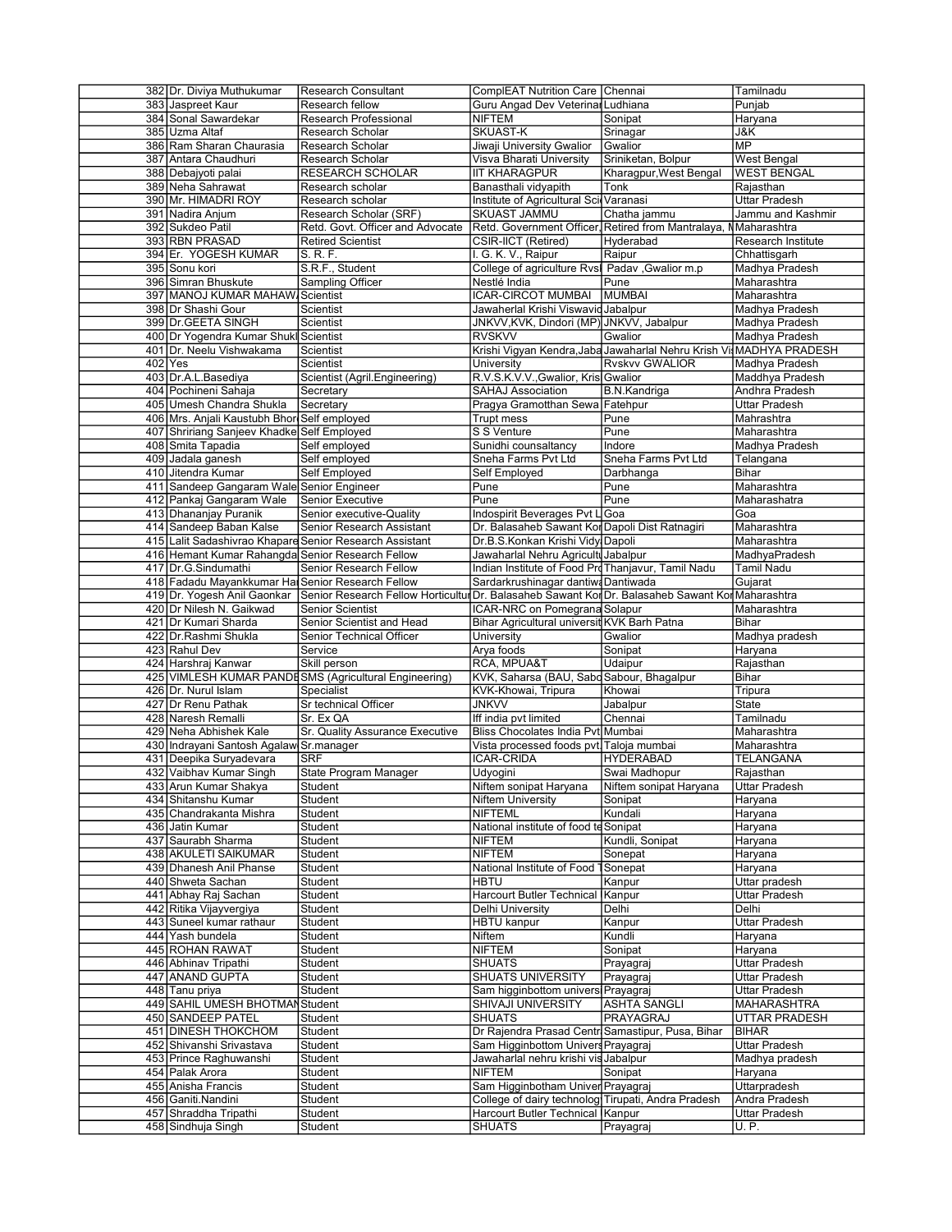| 382 Dr. Diviya Muthukumar                         | <b>Research Consultant</b>                                                                       | ComplEAT Nutrition Care Chennai                                 |                                                                     | Tamilnadu             |
|---------------------------------------------------|--------------------------------------------------------------------------------------------------|-----------------------------------------------------------------|---------------------------------------------------------------------|-----------------------|
| 383 Jaspreet Kaur                                 | Research fellow                                                                                  | Guru Angad Dev Veterinal Ludhiana                               |                                                                     | Punjab                |
| 384 Sonal Sawardekar                              | Research Professional                                                                            | <b>NIFTEM</b>                                                   | Sonipat                                                             | Haryana               |
| 385 Uzma Altaf                                    | Research Scholar                                                                                 | SKUAST-K                                                        | Srinagar                                                            | J&K                   |
| 386 Ram Sharan Chaurasia                          | Research Scholar                                                                                 | Jiwaji University Gwalior                                       | Gwalior                                                             | <b>MP</b>             |
|                                                   |                                                                                                  |                                                                 |                                                                     |                       |
| 387 Antara Chaudhuri                              | Research Scholar                                                                                 | Visva Bharati University                                        | Sriniketan, Bolpur                                                  | West Bengal           |
| 388 Debajyoti palai                               | RESEARCH SCHOLAR                                                                                 | <b>IIT KHARAGPUR</b>                                            | Kharagpur, West Bengal                                              | <b>WEST BENGAL</b>    |
| 389 Neha Sahrawat                                 | Research scholar                                                                                 | Banasthali vidyapith                                            | Tonk                                                                | Rajasthan             |
| 390 Mr. HIMADRI ROY                               | Research scholar                                                                                 | Institute of Agricultural ScilVaranasi                          |                                                                     | Uttar Pradesh         |
| 391   Nadira Anjum                                | Research Scholar (SRF)                                                                           | SKUAST JAMMU                                                    | Chatha jammu                                                        | Jammu and Kashmir     |
| 392 Sukdeo Patil                                  | Retd. Govt. Officer and Advocate                                                                 | Retd. Government Officer, Retired from Mantralaya, NMaharashtra |                                                                     |                       |
| 393 RBN PRASAD                                    | <b>Retired Scientist</b>                                                                         | CSIR-IICT (Retired)                                             | Hyderabad                                                           | Research Institute    |
| 394 Er. YOGESH KUMAR                              | S. R. F.                                                                                         | I. G. K. V., Raipur                                             | Raipur                                                              | Chhattisgarh          |
| 395 Sonu kori                                     | S.R.F., Student                                                                                  | College of agriculture Rvsl Padav , Gwalior m.p                 |                                                                     | Madhya Pradesh        |
| 396 Simran Bhuskute                               | Sampling Officer                                                                                 | Nestlé India                                                    | Pune                                                                | Maharashtra           |
|                                                   |                                                                                                  |                                                                 |                                                                     |                       |
| 397 MANOJ KUMAR MAHAW Scientist                   |                                                                                                  | <b>ICAR-CIRCOT MUMBAI</b>                                       | <b>MUMBAI</b>                                                       | Maharashtra           |
| 398 Dr Shashi Gour                                | Scientist                                                                                        | Jawaherlal Krishi Viswavid Jabalpur                             |                                                                     | Madhya Pradesh        |
| 399 Dr.GEETA SINGH                                | Scientist                                                                                        | JNKVV,KVK, Dindori (MP) JNKVV, Jabalpur                         |                                                                     | Madhya Pradesh        |
| 400 Dr Yogendra Kumar Shukl Scientist             |                                                                                                  | <b>RVSKVV</b>                                                   | Gwalior                                                             | Madhya Pradesh        |
| 401 Dr. Neelu Vishwakama                          | Scientist                                                                                        |                                                                 | Krishi Vigyan Kendra, Jaba Jawaharlal Nehru Krish Vi MADHYA PRADESH |                       |
| 402   Yes                                         | Scientist                                                                                        | University                                                      | <b>Rvskvv GWALIOR</b>                                               | Madhya Pradesh        |
| 403 Dr.A.L.Basediya                               | Scientist (Agril.Engineering)                                                                    | R.V.S.K.V.V., Gwalior, Kris Gwalior                             |                                                                     | Maddhya Pradesh       |
| 404 Pochineni Sahaja                              | Secretary                                                                                        | SAHAJ Association                                               | B.N.Kandriga                                                        | Andhra Pradesh        |
| 405 Umesh Chandra Shukla                          | Secretary                                                                                        | Pragya Gramotthan Sewa Fatehpur                                 |                                                                     | Uttar Pradesh         |
|                                                   |                                                                                                  |                                                                 |                                                                     |                       |
| 406 Mrs. Anjali Kaustubh Bhor Self employed       |                                                                                                  | Trupt mess                                                      | Pune                                                                | Mahrashtra            |
| 407 Shririang Sanjeev Khadke Self Employed        |                                                                                                  | S S Venture                                                     | Pune                                                                | Maharashtra           |
| 408 Smita Tapadia                                 | Self employed                                                                                    | Sunidhi counsaltancy                                            | Indore                                                              | Madhya Pradesh        |
| 409 Jadala ganesh                                 | Self employed                                                                                    | Sneha Farms Pvt Ltd                                             | Sneha Farms Pvt Ltd                                                 | Telangana             |
| 410 Jitendra Kumar                                | Self Employed                                                                                    | Self Employed                                                   | Darbhanga                                                           | Bihar                 |
| 411 Sandeep Gangaram Wale Senior Engineer         |                                                                                                  | Pune                                                            | Pune                                                                | Maharashtra           |
| 412 Pankaj Gangaram Wale                          | Senior Executive                                                                                 | Pune                                                            | Pune                                                                | Maharashatra          |
| 413 Dhananjay Puranik                             | Senior executive-Quality                                                                         | Indospirit Beverages Pvt LGoa                                   |                                                                     | Goa                   |
| 414 Sandeep Baban Kalse                           | Senior Research Assistant                                                                        | Dr. Balasaheb Sawant Kor Dapoli Dist Ratnagiri                  |                                                                     | Maharashtra           |
|                                                   | 415 Lalit Sadashivrao Khapare Senior Research Assistant                                          | Dr.B.S.Konkan Krishi Vidy Dapoli                                |                                                                     | Maharashtra           |
|                                                   |                                                                                                  |                                                                 |                                                                     |                       |
| 416 Hemant Kumar Rahangda Senior Research Fellow  |                                                                                                  | Jawaharlal Nehru Agriculti Jabalpur                             |                                                                     | MadhyaPradesh         |
| 417 Dr.G.Sindumathi                               | Senior Research Fellow                                                                           | Indian Institute of Food ProThanjavur, Tamil Nadu               |                                                                     | Tamil Nadu            |
| 418 Fadadu Mayankkumar Hal Senior Research Fellow |                                                                                                  | Sardarkrushinagar dantiwa Dantiwada                             |                                                                     | Gujarat               |
| 419 Dr. Yogesh Anil Gaonkar                       | Senior Research Fellow Horticultur Dr. Balasaheb Sawant Kor Dr. Balasaheb Sawant Kor Maharashtra |                                                                 |                                                                     |                       |
| 420 Dr Nilesh N. Gaikwad                          | Senior Scientist                                                                                 | ICAR-NRC on Pomegrana Solapur                                   |                                                                     | Maharashtra           |
| 421 Dr Kumari Sharda                              | Senior Scientist and Head                                                                        | Bihar Agricultural universit KVK Barh Patna                     |                                                                     | Bihar                 |
| 422 Dr.Rashmi Shukla                              | Senior Technical Officer                                                                         | University                                                      | Gwalior                                                             | Madhya pradesh        |
| 423 Rahul Dev                                     | Service                                                                                          | Arya foods                                                      | Sonipat                                                             | Haryana               |
| 424 Harshraj Kanwar                               | Skill person                                                                                     | RCA, MPUA&T                                                     | Udaipur                                                             | Rajasthan             |
|                                                   | 425 VIMLESH KUMAR PANDESMS (Agricultural Engineering)                                            | KVK, Saharsa (BAU, Sabd Sabour, Bhagalpur                       |                                                                     | Bihar                 |
|                                                   |                                                                                                  |                                                                 |                                                                     |                       |
| 426 Dr. Nurul Islam                               | Specialist                                                                                       | KVK-Khowai, Tripura                                             | Khowai                                                              | Tripura               |
| 427 Dr Renu Pathak                                | Sr technical Officer                                                                             | <b>JNKVV</b>                                                    | Jabalpur                                                            | State                 |
| 428 Naresh Remalli                                | Sr. Ex QA                                                                                        | Iff india pvt limited                                           | Chennai                                                             |                       |
|                                                   |                                                                                                  |                                                                 |                                                                     | Tamilnadu             |
| 429 Neha Abhishek Kale                            | Sr. Quality Assurance Executive                                                                  | Bliss Chocolates India Pvt Mumbai                               |                                                                     | Maharashtra           |
| 430 Indrayani Santosh Agalaw Sr.manager           |                                                                                                  | Vista processed foods pvt. Taloja mumbai                        |                                                                     | Maharashtra           |
| 431 Deepika Suryadevara                           | <b>SRF</b>                                                                                       | ICAR-CRIDA                                                      | <b>HYDERABAD</b>                                                    | TELANGANA             |
|                                                   |                                                                                                  |                                                                 |                                                                     |                       |
| 432 Vaibhav Kumar Singh                           | State Program Manager                                                                            | Udyogini                                                        | Swai Madhopur                                                       | Rajasthan             |
| 433 Arun Kumar Shakya                             | Student                                                                                          | Niftem sonipat Haryana                                          | Niftem sonipat Haryana                                              | Uttar Pradesh         |
| 434 Shitanshu Kumar                               | Student                                                                                          | <b>Niftem University</b>                                        | Sonipat                                                             | Haryana               |
| 435 Chandrakanta Mishra                           | Student                                                                                          | <b>NIFTEML</b>                                                  | Kundali                                                             | Haryana               |
| 436 Jatin Kumar                                   | Student                                                                                          | National institute of food te Sonipat                           |                                                                     | Haryana               |
| 437 Saurabh Sharma                                | Student                                                                                          | <b>NIFTEM</b>                                                   | Kundli, Sonipat                                                     | Haryana               |
| 438 AKULETI SAIKUMAR                              | Student                                                                                          | NIFTEM                                                          | Sonepat                                                             | Haryana               |
| 439 Dhanesh Anil Phanse                           | Student                                                                                          | National Institute of Food                                      | Sonepat                                                             | Haryana               |
| 440 Shweta Sachan                                 | Student                                                                                          | <b>HBTU</b>                                                     | Kanpur                                                              | Uttar pradesh         |
| 441 Abhay Raj Sachan                              | Student                                                                                          | <b>Harcourt Butler Technical</b>                                | Kanpur                                                              | Uttar Pradesh         |
| 442 Ritika Vijayvergiya                           | Student                                                                                          | Delhi University                                                | Delhi                                                               | Delhi                 |
|                                                   |                                                                                                  |                                                                 |                                                                     |                       |
| 443 Suneel kumar rathaur                          | Student                                                                                          | <b>HBTU kanpur</b>                                              | Kanpur                                                              | Uttar Pradesh         |
| 444 Yash bundela                                  | Student                                                                                          | Niftem                                                          | Kundli                                                              | Haryana               |
| 445 ROHAN RAWAT                                   | Student                                                                                          | NIFTEM                                                          | Sonipat                                                             | Haryana               |
| 446 Abhinav Tripathi                              | Student                                                                                          | <b>SHUATS</b>                                                   | Prayagraj                                                           | <b>Uttar Pradesh</b>  |
| 447 ANAND GUPTA                                   | Student                                                                                          | <b>SHUATS UNIVERSITY</b>                                        | Prayagraj                                                           | <b>Uttar Pradesh</b>  |
| 448 Tanu priya                                    | Student                                                                                          | Sam higginbottom universi Prayagraj                             |                                                                     | Uttar Pradesh         |
| 449 SAHIL UMESH BHOTMAN                           | Student                                                                                          | SHIVAJI UNIVERSITY                                              | ASHTA SANGLI                                                        | MAHARASHTRA           |
| 450 SANDEEP PATEL                                 | Student                                                                                          | <b>SHUATS</b>                                                   | PRAYAGRAJ                                                           | UTTAR PRADESH         |
| 451 DINESH THOKCHOM                               | Student                                                                                          | Dr Rajendra Prasad Centr Samastipur, Pusa, Bihar                |                                                                     | <b>BIHAR</b>          |
|                                                   |                                                                                                  |                                                                 |                                                                     |                       |
| 452 Shivanshi Srivastava                          | Student                                                                                          | Sam Higginbottom Univers Prayagraj                              |                                                                     | Uttar Pradesh         |
| 453 Prince Raghuwanshi                            | Student                                                                                          | Jawaharlal nehru krishi vis Jabalpur                            |                                                                     | Madhya pradesh        |
| 454   Palak Arora                                 | Student                                                                                          | NIFTEM                                                          | Sonipat                                                             | Haryana               |
| 455 Anisha Francis                                | Student                                                                                          | Sam Higginbotham Univer Prayagraj                               |                                                                     | Uttarpradesh          |
| 456 Ganiti.Nandini                                | Student                                                                                          | College of dairy technolog Tirupati, Andra Pradesh              |                                                                     | Andra Pradesh         |
| 457 Shraddha Tripathi<br>458 Sindhuja Singh       | Student<br>Student                                                                               | Harcourt Butler Technical Kanpur<br>SHUATS                      | Prayagraj                                                           | Uttar Pradesh<br>U.P. |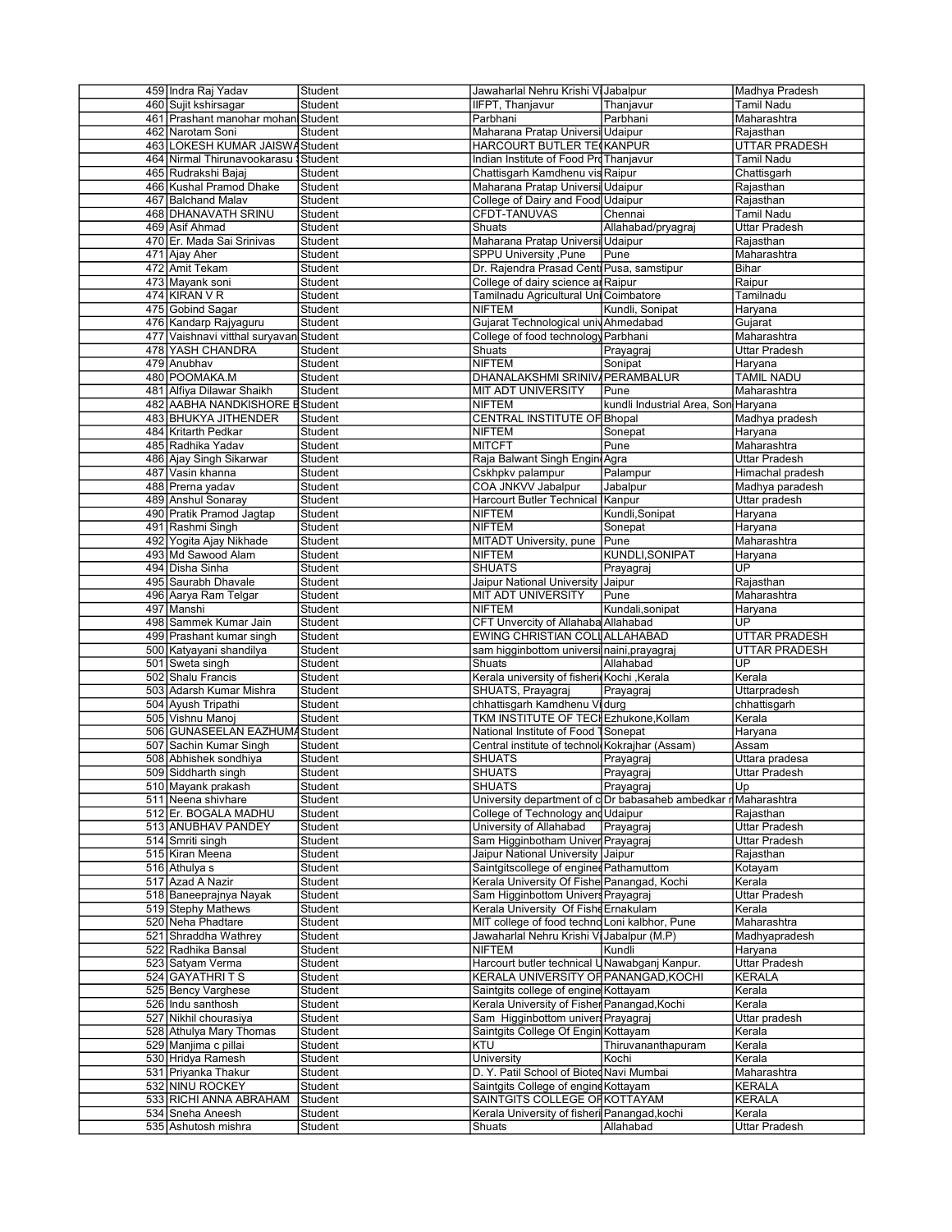| 459 Indra Raj Yadav                    | Student | Jawaharlal Nehru Krishi Vi Jabalpur            |                                                                | Madhya Pradesh       |
|----------------------------------------|---------|------------------------------------------------|----------------------------------------------------------------|----------------------|
| 460 Sujit kshirsagar                   | Student | IIFPT, Thanjavur                               | Thanjavur                                                      | <b>Tamil Nadu</b>    |
| 461 Prashant manohar mohan Student     |         | Parbhani                                       | Parbhani                                                       | Maharashtra          |
| 462 Narotam Soni                       | Student | Maharana Pratap Universi Udaipur               |                                                                | Rajasthan            |
|                                        |         |                                                |                                                                |                      |
| 463 LOKESH KUMAR JAISWAStudent         |         | HARCOURT BUTLER TE KANPUR                      |                                                                | <b>UTTAR PRADESH</b> |
| 464 Nirmal Thirunavookarasu Student    |         | Indian Institute of Food ProThanjavur          |                                                                | <b>Tamil Nadu</b>    |
| 465 Rudrakshi Bajaj                    | Student | Chattisgarh Kamdhenu vis Raipur                |                                                                | Chattisgarh          |
| 466 Kushal Pramod Dhake                | Student | Maharana Pratap Universi Udaipur               |                                                                | Rajasthan            |
| 467 Balchand Malav                     | Student | College of Dairy and Food Udaipur              |                                                                | Rajasthan            |
| 468 DHANAVATH SRINU                    | Student | CFDT-TANUVAS                                   | Chennai                                                        | Tamil Nadu           |
| 469 Asif Ahmad                         | Student | Shuats                                         | Allahabad/pryagraj                                             | Uttar Pradesh        |
| 470 Er. Mada Sai Srinivas              | Student | Maharana Pratap Universi Udaipur               |                                                                | Rajasthan            |
| 471 Ajay Aher                          | Student | SPPU University , Pune                         | Pune                                                           | Maharashtra          |
| 472 Amit Tekam                         |         |                                                |                                                                |                      |
|                                        | Student | Dr. Rajendra Prasad Centi Pusa, samstipur      |                                                                | Bihar                |
| 473 Mayank soni                        | Student | College of dairy science an Raipur             |                                                                | Raipur               |
| $474$ KIRAN V R                        | Student | Tamilnadu Agricultural Uni Coimbatore          |                                                                | Tamilnadu            |
| 475 Gobind Sagar                       | Student | <b>NIFTEM</b>                                  | Kundli, Sonipat                                                | Haryana              |
| 476 Kandarp Rajyaguru                  | Student | Gujarat Technological univ Ahmedabad           |                                                                | Gujarat              |
| 477 Vaishnavi vitthal suryavan Student |         | College of food technology Parbhani            |                                                                | Maharashtra          |
| 478 YASH CHANDRA                       | Student | Shuats                                         | Prayagraj                                                      | <b>Uttar Pradesh</b> |
| 479 Anubhav                            | Student | <b>NIFTEM</b>                                  | Sonipat                                                        | Haryana              |
| 480 POOMAKA.M                          | Student | DHANALAKSHMI SRINIV/PERAMBALUR                 |                                                                | <b>TAMIL NADU</b>    |
| 481 Alfiya Dilawar Shaikh              | Student | <b>MIT ADT UNIVERSITY</b>                      | Pune                                                           | Maharashtra          |
| 482 AABHA NANDKISHORE EStudent         |         | <b>NIFTEM</b>                                  | kundli Industrial Area, Son Haryana                            |                      |
|                                        |         |                                                |                                                                |                      |
| 483 BHUKYA JITHENDER                   | Student | CENTRAL INSTITUTE OF Bhopal                    |                                                                | Madhya pradesh       |
| 484 Kritarth Pedkar                    | Student | <b>NIFTEM</b>                                  | Sonepat                                                        | Haryana              |
| 485 Radhika Yadav                      | Student | <b>MITCFT</b>                                  | Pune                                                           | Maharashtra          |
| 486 Ajay Singh Sikarwar                | Student | Raja Balwant Singh Engin Agra                  |                                                                | <b>Uttar Pradesh</b> |
| 487 Vasin khanna                       | Student | Cskhpkv palampur                               | Palampur                                                       | Himachal pradesh     |
| 488 Prerna yadav                       | Student | COA JNKVV Jabalpur                             | Jabalpur                                                       | Madhya paradesh      |
| 489 Anshul Sonaray                     | Student | Harcourt Butler Technical                      | Kanpur                                                         | Uttar pradesh        |
| 490 Pratik Pramod Jagtap               | Student | <b>NIFTEM</b>                                  | Kundli, Sonipat                                                | Haryana              |
| 491 Rashmi Singh                       | Student | <b>NIFTEM</b>                                  | Sonepat                                                        | Haryana              |
|                                        |         | MITADT University, pune                        |                                                                |                      |
| 492 Yogita Ajay Nikhade                | Student |                                                | Pune                                                           | Maharashtra          |
| 493 Md Sawood Alam                     | Student | <b>NIFTEM</b>                                  | KUNDLI, SONIPAT                                                | Haryana              |
| 494 Disha Sinha                        | Student | <b>SHUATS</b>                                  | Prayagraj                                                      | UP                   |
| 495 Saurabh Dhavale                    | Student | Jaipur National University                     | Jaipur                                                         | Rajasthan            |
| 496 Aarya Ram Telgar                   | Student | <b>MIT ADT UNIVERSITY</b>                      | Pune                                                           | Maharashtra          |
| 497 Manshi                             | Student | <b>NIFTEM</b>                                  | Kundali, sonipat                                               | Haryana              |
| 498 Sammek Kumar Jain                  | Student | CFT Unvercity of Allahaba Allahabad            |                                                                | UP.                  |
| 499 Prashant kumar singh               | Student | EWING CHRISTIAN COLLALLAHABAD                  |                                                                | <b>UTTAR PRADESH</b> |
|                                        |         |                                                |                                                                |                      |
|                                        |         |                                                |                                                                |                      |
| 500 Katyayani shandilya                | Student | sam higginbottom universi naini, prayagraj     |                                                                | UTTAR PRADESH        |
| 501 Sweta singh                        | Student | Shuats                                         | Allahabad                                                      | UP                   |
| 502 Shalu Francis                      | Student | Kerala university of fisheri Kochi , Kerala    |                                                                | Kerala               |
| 503 Adarsh Kumar Mishra                | Student | SHUATS, Prayagraj                              | Prayagraj                                                      | Uttarpradesh         |
| 504 Ayush Tripathi                     | Student | chhattisgarh Kamdhenu Vidurg                   |                                                                | chhattisgarh         |
| 505 Vishnu Manoj                       | Student | TKM INSTITUTE OF TECI Ezhukone, Kollam         |                                                                | Kerala               |
| 506 GUNASEELAN EAZHUMA Student         |         | National Institute of Food 1Sonepat            |                                                                | Haryana              |
| 507 Sachin Kumar Singh                 | Student | Central institute of technol Kokrajhar (Assam) |                                                                | Assam                |
|                                        | Student |                                                |                                                                |                      |
| 508 Abhishek sondhiya                  |         | <b>SHUATS</b>                                  | Prayagraj                                                      | Uttara pradesa       |
| 509 Siddharth singh                    | Student | SHUATS                                         | Prayagraj                                                      | <b>Uttar Pradesh</b> |
| 510 Mayank prakash                     | Student | SHUATS                                         | Prayagraj                                                      | Up                   |
| 511 Neena shivhare                     | Student |                                                | University department of c Dr babasaheb ambedkar r Maharashtra |                      |
| 512 Er. BOGALA MADHU                   | Student | College of Technology and Udaipur              |                                                                | Rajasthan            |
| 513 ANUBHAV PANDEY                     | Student | University of Allahabad                        | Prayagraj                                                      | Uttar Pradesh        |
| 514 Smriti singh                       | Student | Sam Higginbotham Univer Prayagraj              |                                                                | Uttar Pradesh        |
| 515 Kiran Meena                        | Student | Jaipur National University Jaipur              |                                                                | Rajasthan            |
| 516 Athulya s                          | Student | Saintgitscollege of engined Pathamuttom        |                                                                | Kotayam              |
| 517 Azad A Nazir                       | Student | Kerala University Of Fishe Panangad, Kochi     |                                                                | Kerala               |
| 518 Baneeprajnya Nayak                 | Student | Sam Higginbottom Univers Prayagraj             |                                                                | <b>Uttar Pradesh</b> |
|                                        |         |                                                |                                                                |                      |
| 519 Stephy Mathews                     | Student | Kerala University Of Fishe Ernakulam           |                                                                | Kerala               |
| 520 Neha Phadtare                      | Student | MIT college of food techno Loni kalbhor, Pune  |                                                                | Maharashtra          |
| 521 Shraddha Wathrey                   | Student | Jawaharlal Nehru Krishi Vi Jabalpur (M.P)      |                                                                | Madhyapradesh        |
| 522 Radhika Bansal                     | Student | <b>NIFTEM</b>                                  | Kundli                                                         | Haryana              |
| 523 Satyam Verma                       | Student | Harcourt butler technical UNawabganj Kanpur.   |                                                                | Uttar Pradesh        |
| 524 GAYATHRITS                         | Student | KERALA UNIVERSITY OF PANANGAD, KOCHI           |                                                                | <b>KERALA</b>        |
| 525 Bency Varghese                     | Student | Saintgits college of engine Kottayam           |                                                                | Kerala               |
| 526 Indu santhosh                      | Student | Kerala University of Fisher Panangad, Kochi    |                                                                | Kerala               |
|                                        |         |                                                |                                                                |                      |
| 527 Nikhil chourasiya                  | Student | Sam Higginbottom univers Prayagraj             |                                                                | Uttar pradesh        |
| 528 Athulya Mary Thomas                | Student | Saintgits College Of Engin Kottayam            |                                                                | Kerala               |
| 529 Manjima c pillai                   | Student | <b>KTU</b>                                     | Thiruvananthapuram                                             | Kerala               |
| 530 Hridya Ramesh                      | Student | University                                     | Kochi                                                          | Kerala               |
| 531 Priyanka Thakur                    | Student | D. Y. Patil School of Bioted Navi Mumbai       |                                                                | Maharashtra          |
| 532 NINU ROCKEY                        | Student | Saintgits College of engine Kottayam           |                                                                | <b>KERALA</b>        |
| 533 RICHI ANNA ABRAHAM                 | Student | SAINTGITS COLLEGE OF KOTTAYAM                  |                                                                | <b>KERALA</b>        |
| 534 Sneha Aneesh                       | Student | Kerala University of fisheri Panangad, kochi   |                                                                | Kerala               |
| 535 Ashutosh mishra                    | Student | Shuats                                         | Allahabad                                                      | <b>Uttar Pradesh</b> |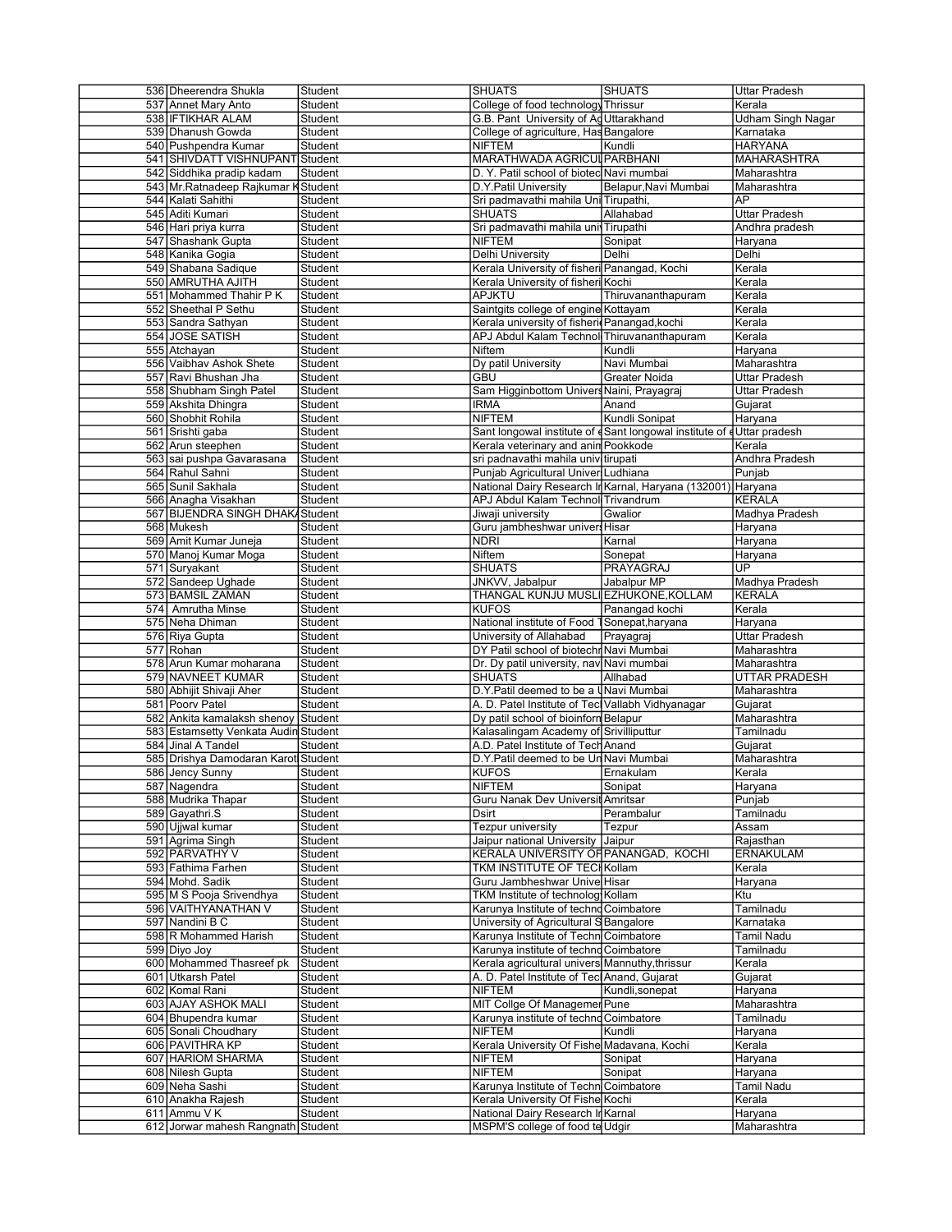| 536 Dheerendra Shukla                              | Student | <b>SHUATS</b>                                                        | <b>SHUATS</b>                                                         | <b>Uttar Pradesh</b>   |
|----------------------------------------------------|---------|----------------------------------------------------------------------|-----------------------------------------------------------------------|------------------------|
| 537 Annet Mary Anto                                | Student | College of food technology Thrissur                                  |                                                                       | Kerala                 |
| 538 IFTIKHAR ALAM                                  | Student | G.B. Pant University of Ad Uttarakhand                               |                                                                       | Udham Singh Nagar      |
|                                                    |         |                                                                      |                                                                       |                        |
| 539 Dhanush Gowda                                  | Student | College of agriculture, Has Bangalore                                |                                                                       | Karnataka              |
| 540 Pushpendra Kumar                               | Student | <b>NIFTEM</b>                                                        | Kundli                                                                | <b>HARYANA</b>         |
| 541 SHIVDATT VISHNUPANT Student                    |         | MARATHWADA AGRICUL PARBHANI                                          |                                                                       | <b>MAHARASHTRA</b>     |
| 542 Siddhika pradip kadam                          | Student | D. Y. Patil school of biotec Navi mumbai                             |                                                                       | Maharashtra            |
| 543 Mr. Ratnadeep Rajkumar K Student               |         | D.Y.Patil University                                                 | Belapur, Navi Mumbai                                                  | Maharashtra            |
| 544 Kalati Sahithi                                 | Student | Sri padmavathi mahila Uni Tirupathi,                                 |                                                                       | AP                     |
| 545 Aditi Kumari                                   | Student | <b>SHUATS</b>                                                        | Allahabad                                                             | Uttar Pradesh          |
|                                                    |         |                                                                      |                                                                       |                        |
| 546 Hari priya kurra                               | Student | Sri padmavathi mahila uni Tirupathi                                  |                                                                       | Andhra pradesh         |
| 547 Shashank Gupta                                 | Student | <b>NIFTEM</b>                                                        | Sonipat                                                               | Haryana                |
| 548 Kanika Gogia                                   | Student | Delhi University                                                     | Delhi                                                                 | Delhi                  |
| 549 Shabana Sadique                                | Student | Kerala University of fisheri Panangad, Kochi                         |                                                                       | Kerala                 |
| 550 AMRUTHA AJITH                                  | Student | Kerala University of fisheri Kochi                                   |                                                                       | Kerala                 |
|                                                    |         |                                                                      |                                                                       |                        |
| 551 Mohammed Thahir P K                            | Student | <b>APJKTU</b>                                                        | Thiruvananthapuram                                                    | Kerala                 |
| 552 Sheethal P Sethu                               | Student | Saintgits college of engine Kottayam                                 |                                                                       | Kerala                 |
| 553 Sandra Sathyan                                 | Student | Kerala university of fisheri Panangad, kochi                         |                                                                       | Kerala                 |
| 554 JOSE SATISH                                    | Student | APJ Abdul Kalam Technol Thiruvananthapuram                           |                                                                       | Kerala                 |
| 555 Atchayan                                       | Student | Niftem                                                               | Kundli                                                                | Haryana                |
| 556 Vaibhav Ashok Shete                            | Student | Dy patil University                                                  | Navi Mumbai                                                           | Maharashtra            |
| 557 Ravi Bhushan Jha                               | Student | <b>GBU</b>                                                           |                                                                       |                        |
|                                                    |         |                                                                      | <b>Greater Noida</b>                                                  | Uttar Pradesh          |
| 558 Shubham Singh Patel                            | Student | Sam Higginbottom Univers Naini, Prayagraj                            |                                                                       | Uttar Pradesh          |
| 559 Akshita Dhingra                                | Student | <b>IRMA</b>                                                          | Anand                                                                 | Gujarat                |
| 560 Shobhit Rohila                                 | Student | <b>NIFTEM</b>                                                        | Kundli Sonipat                                                        | Haryana                |
| 561 Srishti gaba                                   | Student |                                                                      | Sant longowal institute of eSant longowal institute of eUttar pradesh |                        |
| 562 Arun steephen                                  | Student | Kerala veterinary and anin Pookkode                                  |                                                                       | Kerala                 |
|                                                    |         |                                                                      |                                                                       |                        |
| 563 sai pushpa Gavarasana                          | Student | sri padnavathi mahila univ tirupati                                  |                                                                       | Andhra Pradesh         |
| 564 Rahul Sahni                                    | Student | Punjab Agricultural Univer Ludhiana                                  |                                                                       | Punjab                 |
| 565 Sunil Sakhala                                  | Student |                                                                      | National Dairy Research In Karnal, Haryana (132001) Haryana           |                        |
| 566 Anagha Visakhan                                | Student | APJ Abdul Kalam Technoll Trivandrum                                  |                                                                       | <b>KERALA</b>          |
| 567 BIJENDRA SINGH DHAKA Student                   |         | Jiwaji university                                                    | Gwalior                                                               | Madhya Pradesh         |
|                                                    |         |                                                                      |                                                                       |                        |
| 568 Mukesh                                         | Student | Guru jambheshwar univers Hisar                                       |                                                                       | Haryana                |
| 569 Amit Kumar Juneja                              | Student | <b>NDRI</b>                                                          | Karnal                                                                | Haryana                |
| 570 Manoj Kumar Moga                               | Student | Niftem                                                               | Sonepat                                                               | Haryana                |
| 571 Suryakant                                      | Student | <b>SHUATS</b>                                                        | PRAYAGRAJ                                                             | UP                     |
| 572 Sandeep Ughade                                 | Student | JNKVV, Jabalpur                                                      | Jabalpur MP                                                           | Madhya Pradesh         |
|                                                    |         |                                                                      |                                                                       |                        |
| 573 BAMSIL ZAMAN                                   | Student | THANGAL KUNJU MUSLI EZHUKONE, KOLLAM                                 |                                                                       | <b>KERALA</b>          |
| 574 Amrutha Minse                                  | Student | <b>KUFOS</b>                                                         | Panangad kochi                                                        | Kerala                 |
| 575 Neha Dhiman                                    | Student | National institute of Food 1Sonepat, haryana                         |                                                                       | Haryana                |
| 576 Riya Gupta                                     | Student | University of Allahabad                                              | Prayagraj                                                             | Uttar Pradesh          |
|                                                    |         |                                                                      |                                                                       | Maharashtra            |
|                                                    |         |                                                                      |                                                                       |                        |
| 577 Rohan                                          | Student | DY Patil school of biotechr Navi Mumbai                              |                                                                       |                        |
| 578 Arun Kumar moharana                            | Student | Dr. Dy patil university, nav Navi mumbai                             |                                                                       | Maharashtra            |
| 579 NAVNEET KUMAR                                  | Student | <b>SHUATS</b>                                                        | Allhabad                                                              | UTTAR PRADESH          |
| 580 Abhijit Shivaji Aher                           |         |                                                                      |                                                                       |                        |
|                                                    | Student | D.Y.Patil deemed to be a UNavi Mumbai                                |                                                                       | Maharashtra            |
| 581 Poorv Patel                                    | Student | A. D. Patel Institute of Tecl Vallabh Vidhyanagar                    |                                                                       | Gujarat                |
| 582 Ankita kamalaksh shenoy                        | Student | Dy patil school of bioinforn Belapur                                 |                                                                       | Maharashtra            |
| 583 Estamsetty Venkata Audin Student               |         | Kalasalingam Academy of Srivilliputtur                               |                                                                       | Tamilnadu              |
| 584 Jinal A Tandel                                 | Student | A.D. Patel Institute of Tech Anand                                   |                                                                       | Gujarat                |
| 585 Drishva Damodaran Karot Student                |         | D.Y. Patil deemed to be Un Navi Mumbai                               |                                                                       | Maharashtra            |
|                                                    | Student |                                                                      |                                                                       |                        |
| 586 Jency Sunny                                    |         | <b>KUFOS</b>                                                         | Ernakulam                                                             | Kerala                 |
| 587 Nagendra                                       | Student | <b>NIFTEM</b>                                                        | Sonipat                                                               | Haryana                |
| 588 Mudrika Thapar                                 | Student | Guru Nanak Dev Universit Amritsar                                    |                                                                       | Punjab                 |
| 589 Gayathri.S                                     | Student | Dsirt                                                                | Perambalur                                                            | Tamilnadu              |
| 590 Ujjwal kumar                                   | Student | <b>Tezpur university</b>                                             | Tezpur                                                                | Assam                  |
| 591 Agrima Singh                                   |         | Jaipur national University Jaipur                                    |                                                                       |                        |
|                                                    | Student |                                                                      |                                                                       | Rajasthan              |
| 592 PARVATHY V                                     | Student | KERALA UNIVERSITY OF PANANGAD, KOCHI                                 |                                                                       | <b>ERNAKULAM</b>       |
| 593 Fathima Farhen                                 | Student | TKM INSTITUTE OF TECH Kollam                                         |                                                                       | Kerala                 |
| 594 Mohd. Sadik                                    | Student | Guru Jambheshwar Unive Hisar                                         |                                                                       | Haryana                |
| 595 M S Pooja Srivendhya                           | Student | TKM Institute of technolog Kollam                                    |                                                                       | Ktu                    |
|                                                    |         |                                                                      |                                                                       |                        |
| 596 VAITHYANATHAN V                                | Student | Karunya Institute of techno Coimbatore                               |                                                                       | Tamilnadu              |
| 597 Nandini B C                                    | Student | University of Agricultural S Bangalore                               |                                                                       | Karnataka              |
| 598 R Mohammed Harish                              | Student | Karunya Institute of Techn Coimbatore                                |                                                                       | <b>Tamil Nadu</b>      |
| 599 Diyo Joy                                       | Student | Karunya institute of techno Coimbatore                               |                                                                       | Tamilnadu              |
| 600 Mohammed Thasreef pk                           | Student | Kerala agricultural univers Mannuthy, thrissur                       |                                                                       | Kerala                 |
|                                                    | Student |                                                                      |                                                                       |                        |
| 601 Utkarsh Patel                                  |         | A. D. Patel Institute of Tecl Anand, Gujarat                         |                                                                       | Gujarat                |
| 602 Komal Rani                                     | Student | <b>NIFTEM</b>                                                        | Kundli, sonepat                                                       | Haryana                |
| 603 AJAY ASHOK MALI                                | Student | MIT Collge Of Managemer Pune                                         |                                                                       | Maharashtra            |
| 604 Bhupendra kumar                                | Student | Karunya institute of techno Coimbatore                               |                                                                       | Tamilnadu              |
| 605 Sonali Choudhary                               | Student | <b>NIFTEM</b>                                                        | Kundli                                                                | Haryana                |
|                                                    |         |                                                                      |                                                                       |                        |
| 606 PAVITHRA KP                                    | Student | Kerala University Of Fishe Madavana, Kochi                           |                                                                       | Kerala                 |
| 607 HARIOM SHARMA                                  | Student | <b>NIFTEM</b>                                                        | Sonipat                                                               | Haryana                |
| 608 Nilesh Gupta                                   | Student | <b>NIFTEM</b>                                                        | Sonipat                                                               | Haryana                |
| 609 Neha Sashi                                     | Student | Karunya Institute of Techn Coimbatore                                |                                                                       | Tamil Nadu             |
| 610 Anakha Rajesh                                  | Student | Kerala University Of Fishe Kochi                                     |                                                                       | Kerala                 |
|                                                    |         |                                                                      |                                                                       |                        |
| 611 Ammu V K<br>612 Jorwar mahesh Rangnath Student | Student | National Dairy Research In Karnal<br>MSPM'S college of food te Udgir |                                                                       | Haryana<br>Maharashtra |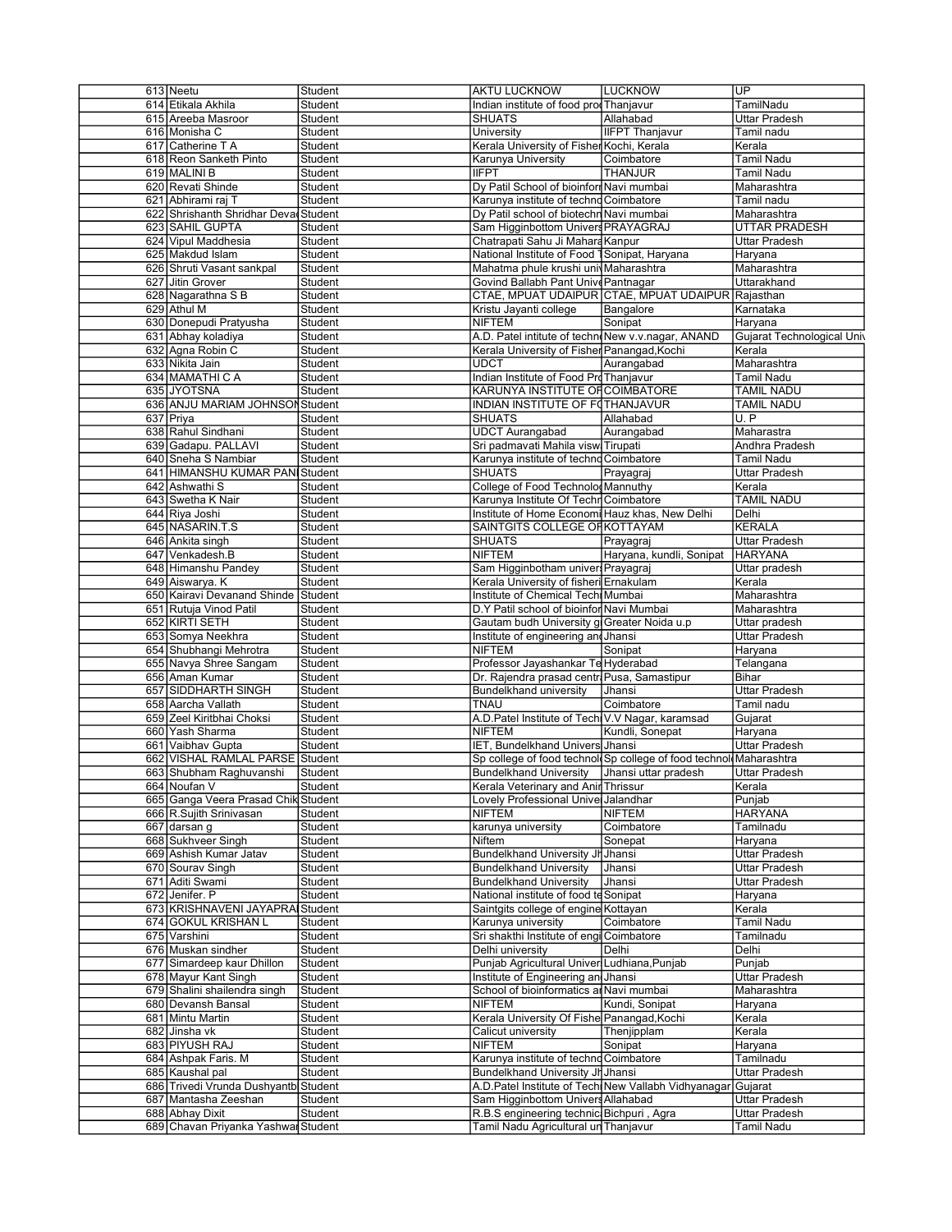| 613 Neetu                            | Student        | <b>AKTU LUCKNOW</b>                               | <b>LUCKNOW</b>                                                    | UP                         |
|--------------------------------------|----------------|---------------------------------------------------|-------------------------------------------------------------------|----------------------------|
| 614 Etikala Akhila                   | Student        | Indian institute of food prod Thanjavur           |                                                                   | TamilNadu                  |
| 615 Areeba Masroor                   | Student        | <b>SHUATS</b>                                     | Allahabad                                                         | Uttar Pradesh              |
| 616 Monisha C                        | Student        | University                                        | <b>IIFPT Thanjavur</b>                                            | Tamil nadu                 |
| 617 Catherine T A                    | Student        | Kerala University of Fisher Kochi, Kerala         |                                                                   | Kerala                     |
| 618 Reon Sanketh Pinto               | Student        | Karunya University                                | Coimbatore                                                        | Tamil Nadu                 |
| 619 MALINI B                         | Student        | <b>IIFPT</b>                                      | <b>THANJUR</b>                                                    | Tamil Nadu                 |
|                                      |                |                                                   |                                                                   |                            |
| 620 Revati Shinde                    | Student        | Dy Patil School of bioinform Navi mumbai          |                                                                   | Maharashtra                |
| 621 Abhirami raj T                   | Student        | Karunya institute of techno Coimbatore            |                                                                   | Tamil nadu                 |
| 622 Shrishanth Shridhar Deva Student |                | Dy Patil school of biotechn Navi mumbai           |                                                                   | Maharashtra                |
| 623 SAHIL GUPTA                      | Student        | Sam Higginbottom Univers PRAYAGRAJ                |                                                                   | <b>UTTAR PRADESH</b>       |
| 624 Vipul Maddhesia                  | Student        | Chatrapati Sahu Ji Mahara Kanpur                  |                                                                   | Uttar Pradesh              |
| 625 Makdud Islam                     | Student        | National Institute of Food 1 Sonipat, Haryana     |                                                                   | Haryana                    |
|                                      |                |                                                   |                                                                   |                            |
| 626 Shruti Vasant sankpal            | Student        | Mahatma phule krushi univ Maharashtra             |                                                                   | Maharashtra                |
| 627 Jitin Grover                     | Student        | Govind Ballabh Pant Unive Pantnagar               |                                                                   | Uttarakhand                |
| 628 Nagarathna S B                   | <b>Student</b> |                                                   | CTAE, MPUAT UDAIPUR CTAE, MPUAT UDAIPUR Rajasthan                 |                            |
| 629 Athul M                          | Student        | Kristu Jayanti college                            | Bangalore                                                         | Karnataka                  |
| 630 Donepudi Pratyusha               | Student        | <b>NIFTEM</b>                                     | Sonipat                                                           | Haryana                    |
| 631 Abhay koladiya                   | Student        | A.D. Patel intitute of technoNew v.v.nagar, ANAND |                                                                   | Gujarat Technological Univ |
| 632 Agna Robin C                     | Student        | Kerala University of Fisher Panangad, Kochi       |                                                                   | Kerala                     |
|                                      |                |                                                   |                                                                   |                            |
| 633 Nikita Jain                      | Student        | UDCT                                              | Aurangabad                                                        | Maharashtra                |
| 634 MAMATHI C A                      | Student        | Indian Institute of Food Pro Thanjavur            |                                                                   | Tamil Nadu                 |
| 635 JYOTSNA                          | Student        | KARUNYA INSTITUTE OF COIMBATORE                   |                                                                   | TAMIL NADU                 |
| 636 ANJU MARIAM JOHNSON Student      |                | INDIAN INSTITUTE OF FOTHANJAVUR                   |                                                                   | <b>TAMIL NADU</b>          |
| 637 Priya                            | Student        | <b>SHUATS</b>                                     | Allahabad                                                         | U.P                        |
| 638 Rahul Sindhani                   | Student        | <b>UDCT Aurangabad</b>                            | Aurangabad                                                        | Maharastra                 |
|                                      |                |                                                   |                                                                   |                            |
| 639 Gadapu. PALLAVI                  | Student        | Sri padmavati Mahila visw Tirupati                |                                                                   | Andhra Pradesh             |
| 640 Sneha S Nambiar                  | Student        | Karunya institute of techno Coimbatore            |                                                                   | Tamil Nadu                 |
| 641 HIMANSHU KUMAR PAN Student       |                | <b>SHUATS</b>                                     | Prayagraj                                                         | Uttar Pradesh              |
| 642 Ashwathi S                       | Student        | College of Food TechnologMannuthy                 |                                                                   | Kerala                     |
| 643 Swetha K Nair                    | Student        | Karunya Institute Of Techn Coimbatore             |                                                                   | <b>TAMIL NADU</b>          |
|                                      | Student        | Institute of Home Economi Hauz khas, New Delhi    |                                                                   |                            |
| 644 Riya Joshi                       |                |                                                   |                                                                   | Delhi                      |
| 645 NASARIN.T.S                      | Student        | SAINTGITS COLLEGE OF KOTTAYAM                     |                                                                   | <b>KERALA</b>              |
| 646 Ankita singh                     | Student        | <b>SHUATS</b>                                     | Prayagraj                                                         | Uttar Pradesh              |
| 647 Venkadesh.B                      | Student        | <b>NIFTEM</b>                                     | Haryana, kundli, Sonipat                                          | <b>HARYANA</b>             |
| 648 Himanshu Pandey                  | Student        | Sam Higginbotham univer Prayagraj                 |                                                                   | Uttar pradesh              |
| 649 Aiswarya. K                      | Student        | Kerala University of fisheri Ernakulam            |                                                                   | Kerala                     |
|                                      |                |                                                   |                                                                   |                            |
| 650 Kairavi Devanand Shinde Student  |                | Institute of Chemical Techi Mumbai                |                                                                   | Maharashtra                |
| 651 Rutuja Vinod Patil               | Student        | D.Y Patil school of bioinfor Navi Mumbai          |                                                                   | Maharashtra                |
| 652 KIRTI SETH                       | Student        | Gautam budh University g Greater Noida u.p        |                                                                   | Uttar pradesh              |
| 653 Somya Neekhra                    | Student        | Institute of engineering and Jhansi               |                                                                   | Uttar Pradesh              |
| 654 Shubhangi Mehrotra               | Student        | <b>NIFTEM</b>                                     | Sonipat                                                           | Haryana                    |
| 655 Navya Shree Sangam               | Student        | Professor Jayashankar Te Hyderabad                |                                                                   | Telangana                  |
|                                      |                |                                                   |                                                                   |                            |
| 656 Aman Kumar                       | Student        | Dr. Rajendra prasad centri Pusa, Samastipur       |                                                                   | Bihar                      |
| 657 SIDDHARTH SINGH                  | Student        | Bundelkhand university                            | Jhansi                                                            | Uttar Pradesh              |
| 658 Aarcha Vallath                   | Student        | <b>TNAU</b>                                       | Coimbatore                                                        | Tamil nadu                 |
| 659 Zeel Kiritbhai Choksi            | Student        | A.D.Patel Institute of Tech V.V Nagar, karamsad   |                                                                   | Gujarat                    |
| 660 Yash Sharma                      | Student        | <b>NIFTEM</b>                                     | Kundli, Sonepat                                                   | Haryana                    |
| 661 Vaibhav Gupta                    | Student        | IET, Bundelkhand Univers Jhansi                   |                                                                   | <b>Uttar Pradesh</b>       |
| 662 VISHAL RAMLAL PARSE Student      |                |                                                   | Sp college of food technol Sp college of food technol Maharashtra |                            |
|                                      |                |                                                   |                                                                   |                            |
| 663 Shubham Raghuvanshi              | Student        | <b>Bundelkhand University</b>                     | Jhansi uttar pradesh                                              | <b>Uttar Pradesh</b>       |
| 664 Noufan V                         | Student        | Kerala Veterinary and Anir Thrissur               |                                                                   | Kerala                     |
| 665 Ganga Veera Prasad Chik Student  |                | Lovely Professional Unive Jalandhar               |                                                                   | Punjab                     |
| 666 R.Sujith Srinivasan              | Student        | NIFTEM                                            | <b>NIFTEM</b>                                                     | HARYANA                    |
| 667 darsan q                         | Student        | karunya university                                | Coimbatore                                                        | Tamilnadu                  |
| 668 Sukhveer Singh                   | Student        | Niftem                                            | Sonepat                                                           | Haryana                    |
|                                      |                | Bundelkhand University Jh Jhansi                  |                                                                   | <b>Uttar Pradesh</b>       |
| 669 Ashish Kumar Jatav               | Student        |                                                   |                                                                   |                            |
| 670 Sourav Singh                     | Student        | <b>Bundelkhand University</b>                     | Jhansi                                                            | Uttar Pradesh              |
| 671 Aditi Swami                      | Student        | <b>Bundelkhand University</b>                     | Jhansi                                                            | Uttar Pradesh              |
| 672 Jenifer. P                       | Student        | National institute of food te Sonipat             |                                                                   | Haryana                    |
| 673 KRISHNAVENI JAYAPRA Student      |                | Saintgits college of engine Kottayan              |                                                                   | Kerala                     |
| 674 GOKUL KRISHAN L                  | Student        | Karunya university                                | Coimbatore                                                        | Tamil Nadu                 |
| 675 Varshini                         |                | Sri shakthi Institute of engi Coimbatore          |                                                                   | Tamilnadu                  |
|                                      | Student        |                                                   |                                                                   |                            |
| 676 Muskan sindher                   | Student        | Delhi university                                  | Delhi                                                             | Delhi                      |
| 677 Simardeep kaur Dhillon           | Student        | Punjab Agricultural Univer Ludhiana, Punjab       |                                                                   | Punjab                     |
| 678 Mayur Kant Singh                 | Student        | Institute of Engineering an Jhansi                |                                                                   | Uttar Pradesh              |
|                                      | Student        | School of bioinformatics an Navi mumbai           |                                                                   | Maharashtra                |
| 679 Shalini shailendra singh         |                |                                                   | Kundi, Sonipat                                                    | Haryana                    |
|                                      |                |                                                   |                                                                   |                            |
| 680 Devansh Bansal                   | Student        | <b>NIFTEM</b>                                     |                                                                   |                            |
| 681 Mintu Martin                     | Student        | Kerala University Of Fishe Panangad, Kochi        |                                                                   | Kerala                     |
| 682 Jinsha vk                        | Student        | Calicut university                                | Thenjipplam                                                       | Kerala                     |
| 683 PIYUSH RAJ                       | Student        | <b>NIFTEM</b>                                     | Sonipat                                                           | Haryana                    |
| 684 Ashpak Faris. M                  | Student        | Karunya institute of techno Coimbatore            |                                                                   | Tamilnadu                  |
|                                      |                |                                                   |                                                                   |                            |
| 685 Kaushal pal                      | Student        | Bundelkhand University Jr Jhansi                  |                                                                   | Uttar Pradesh              |
| 686 Trivedi Vrunda Dushyantb Student |                |                                                   | A.D. Patel Institute of Tech New Vallabh Vidhyanagar              | Gujarat                    |
| 687 Mantasha Zeeshan                 | Student        | Sam Higginbottom Univers Allahabad                |                                                                   | Uttar Pradesh              |
| 688 Abhay Dixit                      | Student        | R.B.S engineering technic Bichpuri, Agra          |                                                                   | Uttar Pradesh              |
| 689 Chavan Priyanka Yashwar Student  |                | Tamil Nadu Agricultural un Thanjavur              |                                                                   | Tamil Nadu                 |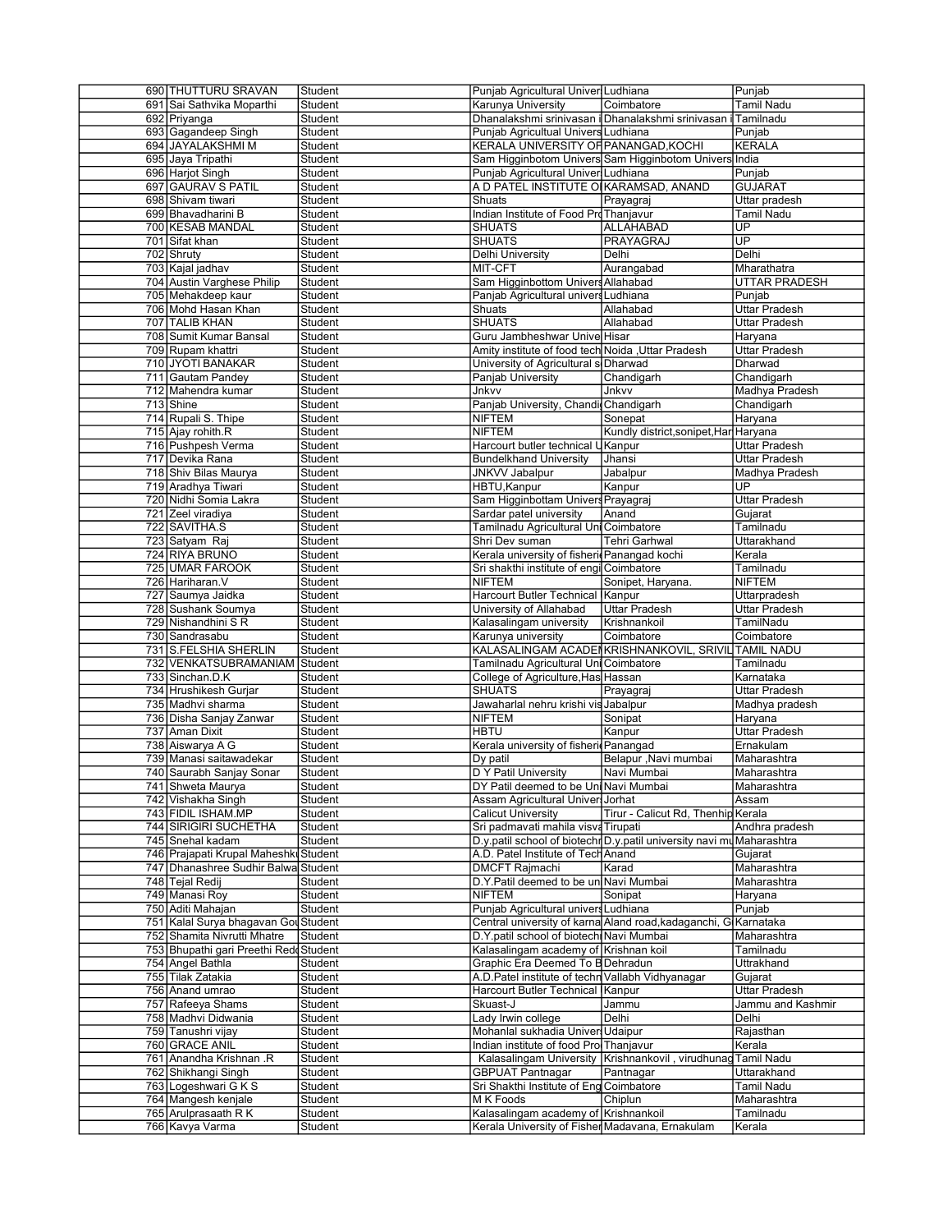| 690 THUTTURU SRAVAN                     | Student            | Punjab Agricultural Univer Ludhiana                                                     |                                                                       | Punjab               |
|-----------------------------------------|--------------------|-----------------------------------------------------------------------------------------|-----------------------------------------------------------------------|----------------------|
| 691 Sai Sathvika Moparthi               | Student            | Karunya University                                                                      | Coimbatore                                                            | <b>Tamil Nadu</b>    |
| 692 Priyanga                            | Student            |                                                                                         | Dhanalakshmi srinivasan i Dhanalakshmi srinivasan i Tamilnadu         |                      |
| 693 Gagandeep Singh                     | Student            | Punjab Agricultual Univers Ludhiana                                                     |                                                                       | Punjab               |
| 694 JAYALAKSHMI M                       | Student            | KERALA UNIVERSITY OF PANANGAD, KOCHI                                                    |                                                                       | <b>KERALA</b>        |
| 695 Jaya Tripathi                       | Student            |                                                                                         | Sam Higginbotom Univers Sam Higginbotom Univers India                 |                      |
| 696 Harjot Singh                        | Student            | Punjab Agricultural Univer Ludhiana                                                     |                                                                       | Punjab               |
| 697 GAURAV S PATIL                      | Student            | A D PATEL INSTITUTE O KARAMSAD, ANAND                                                   |                                                                       | <b>GUJARAT</b>       |
| 698 Shivam tiwari                       | Student            | Shuats                                                                                  | Prayagraj                                                             | Uttar pradesh        |
| 699 Bhavadharini B                      | Student            | Indian Institute of Food ProThanjavur                                                   |                                                                       | Tamil Nadu           |
| 700 KESAB MANDAL                        | Student            | <b>SHUATS</b>                                                                           | ALLAHABAD                                                             | UP                   |
| 701 Sifat khan                          | Student            | <b>SHUATS</b>                                                                           | <b>PRAYAGRAJ</b>                                                      | $\overline{UP}$      |
|                                         |                    |                                                                                         |                                                                       |                      |
| 702 Shruty                              | Student            | Delhi University                                                                        | Delhi                                                                 | Delhi                |
| 703 Kajal jadhav                        | Student            | MIT-CFT                                                                                 | Aurangabad                                                            | Mharathatra          |
| 704 Austin Varghese Philip              | Student            | Sam Higginbottom Univers Allahabad                                                      |                                                                       | <b>UTTAR PRADESH</b> |
| 705 Mehakdeep kaur                      | Student            | Panjab Agricultural univers Ludhiana                                                    |                                                                       | Punjab               |
| 706 Mohd Hasan Khan                     | Student            | Shuats                                                                                  | Allahabad                                                             | Uttar Pradesh        |
| 707 TALIB KHAN                          | Student            | <b>SHUATS</b>                                                                           | Allahabad                                                             | <b>Uttar Pradesh</b> |
| 708 Sumit Kumar Bansal                  | Student            | Guru Jambheshwar Unive Hisar                                                            |                                                                       | Haryana              |
| 709 Rupam khattri                       | Student            | Amity institute of food tech Noida , Uttar Pradesh                                      |                                                                       | <b>Uttar Pradesh</b> |
| 710 JYOTI BANAKAR                       | Student            | University of Agricultural s Dharwad                                                    |                                                                       | Dharwad              |
| 711 Gautam Pandey                       | Student            | Panjab University                                                                       | Chandigarh                                                            | Chandigarh           |
| 712 Mahendra kumar                      | Student            | Jnkvv                                                                                   | Jnkvv                                                                 | Madhya Pradesh       |
| 713 Shine                               |                    |                                                                                         |                                                                       |                      |
|                                         | Student            | Panjab University, Chandi Chandigarh                                                    |                                                                       | Chandigarh           |
| 714 Rupali S. Thipe                     | Student            | NIFTEM                                                                                  | Sonepat                                                               | Haryana              |
| 715 Ajay rohith.R                       | Student            | <b>NIFTEM</b>                                                                           | Kundly district,sonipet,Har Haryana                                   |                      |
| 716 Pushpesh Verma                      | Student            | Harcourt butler technical l                                                             | Kanpur                                                                | <b>Uttar Pradesh</b> |
| 717 Devika Rana                         | Student            | <b>Bundelkhand University</b>                                                           | Jhansi                                                                | <b>Uttar Pradesh</b> |
| 718 Shiv Bilas Maurya                   | Student            | <b>JNKVV Jabalpur</b>                                                                   | Jabalpur                                                              | Madhya Pradesh       |
| 719 Aradhya Tiwari                      | Student            | HBTU, Kanpur                                                                            | Kanpur                                                                | UP.                  |
| 720 Nidhi Somia Lakra                   | Student            | Sam Higginbottam Univers Prayagraj                                                      |                                                                       | <b>Uttar Pradesh</b> |
| 721 Zeel viradiya                       | Student            | Sardar patel university                                                                 | Anand                                                                 | Gujarat              |
| 722 SAVITHA.S                           | Student            | Tamilnadu Agricultural Uni Coimbatore                                                   |                                                                       | Tamilnadu            |
| 723 Satyam Raj                          | Student            | Shri Dev suman                                                                          | Tehri Garhwal                                                         | Uttarakhand          |
| 724 RIYA BRUNO                          | Student            | Kerala university of fisheri Panangad kochi                                             |                                                                       | Kerala               |
| 725 UMAR FAROOK                         |                    | Sri shakthi institute of engi Coimbatore                                                |                                                                       | Tamilnadu            |
|                                         | Student            |                                                                                         |                                                                       | <b>NIFTEM</b>        |
| 726 Hariharan. V                        | Student            | <b>NIFTEM</b>                                                                           | Sonipet, Haryana.                                                     |                      |
| 727 Saumya Jaidka                       | Student            | Harcourt Butler Technical                                                               | Kanpur                                                                | Uttarpradesh         |
| 728 Sushank Soumya                      | Student            | University of Allahabad                                                                 | <b>Uttar Pradesh</b>                                                  | <b>Uttar Pradesh</b> |
| 729 Nishandhini SR                      | Student            | Kalasalingam university                                                                 | Krishnankoil                                                          | TamilNadu            |
| 730 Sandrasabu                          | Student            | Karunya university                                                                      | Coimbatore                                                            | Coimbatore           |
| 731 S.FELSHIA SHERLIN                   | Student            |                                                                                         | KALASALINGAM ACADENKRISHNANKOVIL, SRIVIL TAMIL NADU                   |                      |
| 732 VENKATSUBRAMANIAM Student           |                    | Tamilnadu Agricultural Uni Coimbatore                                                   |                                                                       | Tamilnadu            |
| 733 Sinchan.D.K                         | Student            | College of Agriculture, Has Hassan                                                      |                                                                       | Karnataka            |
|                                         |                    | <b>SHUATS</b>                                                                           | Prayagra                                                              |                      |
|                                         |                    |                                                                                         |                                                                       |                      |
| 734 Hrushikesh Gurjar                   | Student            |                                                                                         |                                                                       | Uttar Pradesh        |
| 735 Madhvi sharma                       | Student            | Jawaharlal nehru krishi vis Jabalpur                                                    |                                                                       | Madhya pradesh       |
| 736 Disha Sanjay Zanwar                 | Student            | <b>NIFTEM</b>                                                                           | Sonipat                                                               | Haryana              |
| 737 Aman Dixit                          | Student            | <b>HBTU</b>                                                                             | Kanpur                                                                | Uttar Pradesh        |
| 738 Aiswarya A G                        | Student            | Kerala university of fisheri Panangad                                                   |                                                                       | Ernakulam            |
| 739 Manasi saitawadekar                 | Student            | Dy patil                                                                                | Belapur , Navi mumbai                                                 | Maharashtra          |
| 740 Saurabh Sanjay Sonar                | Student            | D Y Patil University                                                                    | Navi Mumbai                                                           | Maharashtra          |
| 741 Shweta Maurya                       | Student            | DY Patil deemed to be Uni Navi Mumbai                                                   |                                                                       | Maharashtra          |
| 742 Vishakha Singh                      | Student            | Assam Agricultural Univer Jorhat                                                        |                                                                       | Assam                |
| 743 FIDIL ISHAM.MP                      | Student            | <b>Calicut University</b>                                                               | Tirur - Calicut Rd, Thenhip Kerala                                    |                      |
| 744 SIRIGIRI SUCHETHA                   | Student            | Sri padmavati mahila visva Tirupati                                                     |                                                                       | Andhra pradesh       |
| 745 Snehal kadam                        | Student            |                                                                                         | D.y.patil school of biotechr D.y.patil university navi mu Maharashtra |                      |
| 746 Prajapati Krupal Maheshki Student   |                    | A.D. Patel Institute of Tech Anand                                                      |                                                                       | Gujarat              |
|                                         |                    | <b>DMCFT Rajmachi</b>                                                                   | Karad                                                                 | Maharashtra          |
| 747 Dhanashree Sudhir Balwa Student     |                    | D.Y.Patil deemed to be un Navi Mumbai                                                   |                                                                       |                      |
| 748 Tejal Redij                         | Student            |                                                                                         |                                                                       | Maharashtra          |
| 749 Manasi Roy                          | Student            | NIFTEM                                                                                  | Sonipat                                                               | Haryana              |
| 750 Aditi Mahajan                       | Student            | Punjab Agricultural univers Ludhiana                                                    |                                                                       | Punjab               |
| 751 Kalal Surya bhagavan Gou Student    |                    |                                                                                         | Central university of karna Aland road, kadaganchi, G Karnataka       |                      |
| 752 Shamita Nivrutti Mhatre             | Student            | D.Y.patil school of biotech Navi Mumbai                                                 |                                                                       | Maharashtra          |
| 753 Bhupathi gari Preethi Redd Student  |                    | Kalasalingam academy of Krishnan koil                                                   |                                                                       | Tamilnadu            |
| 754 Angel Bathla                        | Student            | Graphic Era Deemed To B Dehradun                                                        |                                                                       | Uttrakhand           |
| 755 Tilak Zatakia                       | Student            | A.D. Patel institute of techn Vallabh Vidhyanagar                                       |                                                                       | Guiarat              |
| 756 Anand umrao                         | Student            | Harcourt Butler Technical Kanpur                                                        |                                                                       | <b>Uttar Pradesh</b> |
| 757 Rafeeya Shams                       | Student            | Skuast-J                                                                                | Jammu                                                                 | Jammu and Kashmir    |
|                                         |                    |                                                                                         | Delhi                                                                 | Delhi                |
| 758 Madhvi Didwania                     | Student            | Lady Irwin college                                                                      |                                                                       |                      |
| 759 Tanushri vijay                      | Student            | Mohanlal sukhadia Univer Udaipur                                                        |                                                                       | Rajasthan            |
| 760 GRACE ANIL                          | Student            | Indian institute of food Pro Thanjavur                                                  |                                                                       | Kerala               |
| 761 Anandha Krishnan .R                 | Student            |                                                                                         | Kalasalingam University Krishnankovil, virudhunag                     | Tamil Nadu           |
| 762 Shikhangi Singh                     | Student            | <b>GBPUAT Pantnagar</b>                                                                 | Pantnagar                                                             | Uttarakhand          |
| 763 Logeshwari G K S                    | Student            | Sri Shakthi Institute of Eng Coimbatore                                                 |                                                                       | Tamil Nadu           |
| 764 Mangesh kenjale                     | Student            | M K Foods                                                                               | Chiplun                                                               | Maharashtra          |
| 765 Arulprasaath R K<br>766 Kavya Varma | Student<br>Student | Kalasalingam academy of Krishnankoil<br>Kerala University of Fisher Madavana, Ernakulam |                                                                       | Tamilnadu<br>Kerala  |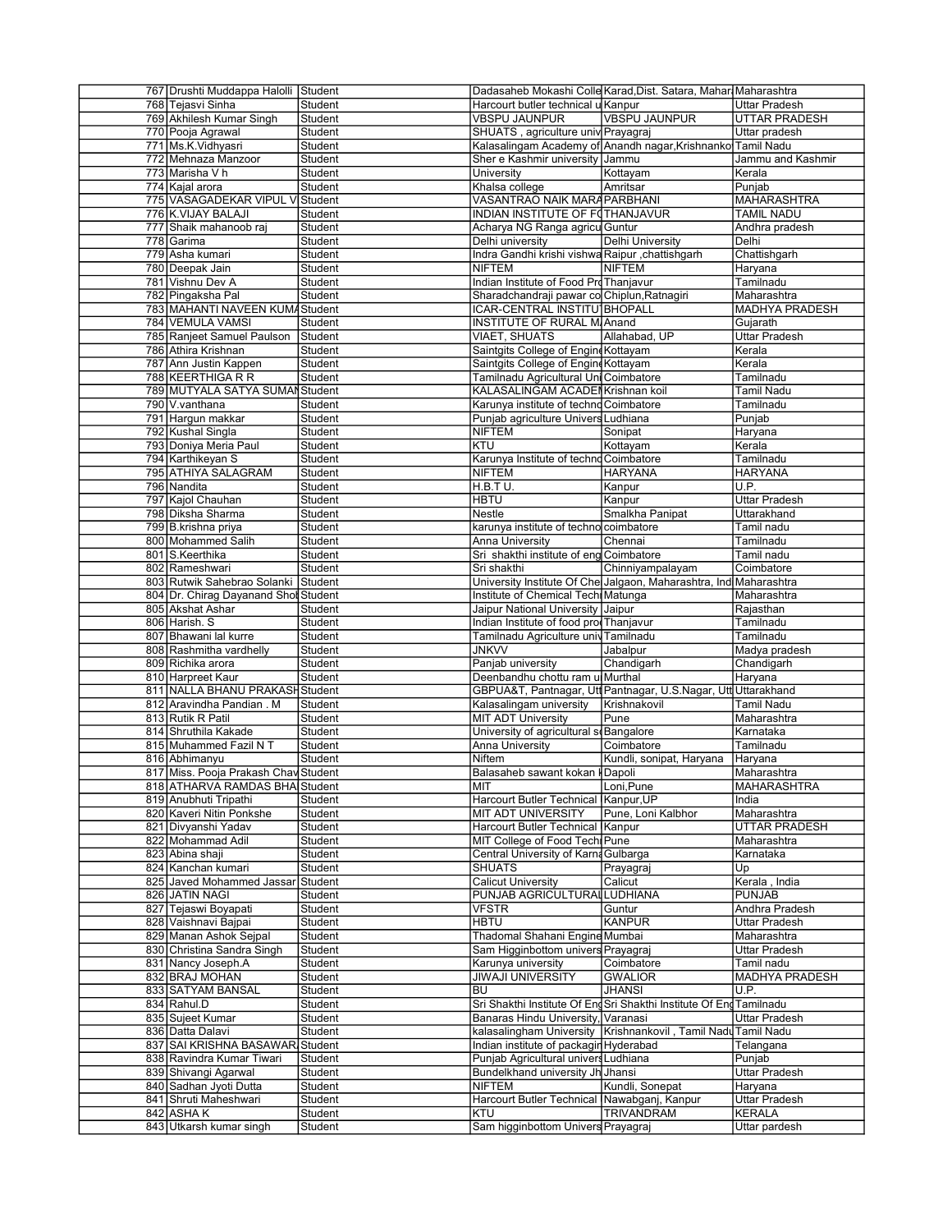| 767 Drushti Muddappa Halolli Student |                    |                                                  | Dadasaheb Mokashi Colle Karad, Dist. Satara, Mahar Maharashtra      |                                |
|--------------------------------------|--------------------|--------------------------------------------------|---------------------------------------------------------------------|--------------------------------|
| 768 Tejasvi Sinha                    | Student            | Harcourt butler technical u Kanpur               |                                                                     | <b>Uttar Pradesh</b>           |
| 769 Akhilesh Kumar Singh             | Student            | VBSPU JAUNPUR                                    | <b>VBSPU JAUNPUR</b>                                                | <b>UTTAR PRADESH</b>           |
| 770 Pooja Agrawal                    | Student            | SHUATS, agriculture univ Prayagraj               |                                                                     | Uttar pradesh                  |
| 771 Ms.K.Vidhyasri                   | Student            |                                                  | Kalasalingam Academy of Anandh nagar, Krishnanko Tamil Nadu         |                                |
| 772 Mehnaza Manzoor                  | Student            | Sher e Kashmir university Jammu                  |                                                                     | Jammu and Kashmir              |
|                                      |                    |                                                  |                                                                     |                                |
| 773 Marisha V h                      | Student            | University                                       | Kottayam                                                            | Kerala                         |
| 774 Kajal arora                      | Student            | Khalsa college                                   | Amritsar                                                            | Punjab                         |
| 775 VASAGADEKAR VIPUL V Student      |                    | VASANTRAO NAIK MARA PARBHANI                     |                                                                     | MAHARASHTRA                    |
| 776 K.VIJAY BALAJI                   | Student            | INDIAN INSTITUTE OF FOTHANJAVUR                  |                                                                     | <b>TAMIL NADU</b>              |
| 777 Shaik mahanoob raj               | Student            | Acharya NG Ranga agricu Guntur                   |                                                                     | Andhra pradesh                 |
| 778 Garima                           | Student            | Delhi university                                 | Delhi University                                                    | Delhi                          |
| 779 Asha kumari                      | Student            | Indra Gandhi krishi vishwa Raipur , chattishgarh |                                                                     | Chattishgarh                   |
|                                      |                    |                                                  | <b>NIFTEM</b>                                                       |                                |
| 780 Deepak Jain                      | Student            | <b>NIFTEM</b>                                    |                                                                     | Haryana                        |
| 781 Vishnu Dev A                     | Student            | Indian Institute of Food ProThanjavur            |                                                                     | Tamilnadu                      |
| 782 Pingaksha Pal                    | Student            | Sharadchandraji pawar co Chiplun, Ratnagiri      |                                                                     | Maharashtra                    |
| 783 MAHANTI NAVEEN KUMA Student      |                    | ICAR-CENTRAL INSTITU <sup>1</sup> BHOPALL        |                                                                     | MADHYA PRADESH                 |
| 784 VEMULA VAMSI                     | Student            | <b>INSTITUTE OF RURAL M Anand</b>                |                                                                     | Gujarath                       |
| 785 Ranjeet Samuel Paulson           | Student            | <b>VIAET, SHUATS</b>                             | Allahabad, UP                                                       | Uttar Pradesh                  |
| 786 Athira Krishnan                  | Student            | Saintgits College of Engine Kottayam             |                                                                     | Kerala                         |
|                                      |                    |                                                  |                                                                     |                                |
| 787 Ann Justin Kappen                | Student            | Saintgits College of Engine Kottayam             |                                                                     | Kerala                         |
| 788 KEERTHIGA R R                    | Student            | Tamilnadu Agricultural Uni Coimbatore            |                                                                     | Tamilnadu                      |
| 789 MUTYALA SATYA SUMAN Student      |                    | KALASALINGAM ACADEI Krishnan koil                |                                                                     | <b>Tamil Nadu</b>              |
| 790 V.vanthana                       | Student            | Karunya institute of technd Coimbatore           |                                                                     | Tamilnadu                      |
| 791 Hargun makkar                    | Student            | Punjab agriculture Univers Ludhiana              |                                                                     | Punjab                         |
| 792 Kushal Singla                    | Student            | NIFTEM                                           | Sonipat                                                             | Haryana                        |
| 793 Doniya Meria Paul                | Student            | <b>KTU</b>                                       | Kottayam                                                            | Kerala                         |
| 794 Karthikevan S                    | Student            | Karunya Institute of techno Coimbatore           |                                                                     | Tamilnadu                      |
|                                      |                    |                                                  |                                                                     |                                |
| 795 ATHIYA SALAGRAM                  | Student            | <b>NIFTEM</b>                                    | <b>HARYANA</b>                                                      | <b>HARYANA</b>                 |
| 796 Nandita                          | Student            | H.B.T U.                                         | Kanpur                                                              | U.P.                           |
| 797 Kajol Chauhan                    | Student            | <b>HBTU</b>                                      | Kanpur                                                              | <b>Uttar Pradesh</b>           |
| 798 Diksha Sharma                    | Student            | Nestle                                           | Smalkha Panipat                                                     | Uttarakhand                    |
| 799 B.krishna priya                  | Student            | karunya institute of techno coimbatore           |                                                                     | Tamil nadu                     |
| 800 Mohammed Salih                   | Student            | Anna University                                  | Chennai                                                             | Tamilnadu                      |
| 801 S.Keerthika                      | Student            | Sri shakthi institute of eng Coimbatore          |                                                                     | Tamil nadu                     |
|                                      |                    |                                                  |                                                                     |                                |
| 802 Rameshwari                       | Student            | Sri shakthi                                      | Chinniyampalayam                                                    | Coimbatore                     |
| 803 Rutwik Sahebrao Solanki Student  |                    |                                                  | University Institute Of Che Jalgaon, Maharashtra, Ind Maharashtra   |                                |
| 804 Dr. Chirag Dayanand Shot Student |                    | Institute of Chemical Techi Matunga              |                                                                     | Maharashtra                    |
| 805 Akshat Ashar                     | <b>Student</b>     | Jaipur National University Jaipur                |                                                                     | Rajasthan                      |
| 806 Harish. S                        | Student            | Indian Institute of food prod Thanjavur          |                                                                     | Tamilnadu                      |
| 807 Bhawani lal kurre                | Student            | Tamilnadu Agriculture univ Tamilnadu             |                                                                     | Tamilnadu                      |
| 808 Rashmitha vardhelly              | Student            | <b>JNKVV</b>                                     | Jabalpur                                                            | Madya pradesh                  |
| 809 Richika arora                    | Student            | Panjab university                                | Chandigarh                                                          | Chandigarh                     |
| 810 Harpreet Kaur                    | Student            |                                                  |                                                                     |                                |
| 811 NALLA BHANU PRAKASH Student      |                    | Deenbandhu chottu ram u Murthal                  |                                                                     | Haryana                        |
|                                      |                    |                                                  | GBPUA&T, Pantnagar, Utt Pantnagar, U.S.Nagar, Utt Uttarakhand       |                                |
| 812 Aravindha Pandian. M             | Student            | Kalasalingam university                          | Krishnakovil                                                        | <b>Tamil Nadu</b>              |
| 813 Rutik R Patil                    | Student            | <b>MIT ADT University</b>                        | Pune                                                                | Maharashtra                    |
| 814 Shruthila Kakade                 |                    | University of agricultural so Bangalore          |                                                                     |                                |
|                                      | Student            |                                                  |                                                                     | Karnataka                      |
| 815 Muhammed Fazil N T               | Student            | <b>Anna University</b>                           | Coimbatore                                                          | Tamilnadu                      |
| 816 Abhimanyu                        | Student            | Niftem                                           |                                                                     |                                |
|                                      |                    |                                                  | Kundli, sonipat, Haryana                                            | Haryana                        |
| 817 Miss. Pooja Prakash Chay Student |                    | Balasaheb sawant kokan I Dapoli                  |                                                                     | Maharashtra                    |
| 818 ATHARVA RAMDAS BHA Student       |                    | MIT                                              | Loni, Pune                                                          | MAHARASHTRA                    |
| 819 Anubhuti Tripathi                | Student            | Harcourt Butler Technical Kanpur.UP              |                                                                     | India                          |
| 820 Kaveri Nitin Ponkshe             | Student            | MIT ADT UNIVERSITY                               | Pune. Loni Kalbhor                                                  | Maharashtra                    |
| 821 Divyanshi Yadav                  | Student            | Harcourt Butler Technical Kanpur                 |                                                                     | UTTAR PRADESH                  |
| 822 Mohammad Adil                    | Student            | MIT College of Food Techl Pune                   |                                                                     | Maharashtra                    |
| 823 Abina shaji                      | Student            | Central University of Karna Gulbarga             |                                                                     | Karnataka                      |
| 824 Kanchan kumari                   | Student            | <b>SHUATS</b>                                    | Prayagraj                                                           | Up                             |
| 825 Javed Mohammed Jassar Student    |                    | <b>Calicut University</b>                        | Calicut                                                             |                                |
|                                      |                    |                                                  |                                                                     | Kerala, India                  |
| 826 JATIN NAGI                       | Student            | PUNJAB AGRICULTURALLUDHIANA                      |                                                                     | <b>PUNJAB</b>                  |
| 827 Tejaswi Boyapati                 | Student            | VFSTR                                            | Guntur                                                              | Andhra Pradesh                 |
| 828 Vaishnavi Bajpai                 | Student            | HBTU                                             | <b>KANPUR</b>                                                       | Uttar Pradesh                  |
| 829 Manan Ashok Sejpal               | Student            | Thadomal Shahani Engine Mumbai                   |                                                                     | Maharashtra                    |
| 830 Christina Sandra Singh           | Student            | Sam Higginbottom univers Prayagraj               |                                                                     | Uttar Pradesh                  |
| 831 Nancy Joseph.A                   | Student            | Karunya university                               | Coimbatore                                                          | Tamil nadu                     |
| 832 BRAJ MOHAN                       | Student            | <b>JIWAJI UNIVERSITY</b>                         | <b>GWALIOR</b>                                                      | MADHYA PRADESH                 |
|                                      | Student            | <b>BU</b>                                        | JHANSI                                                              | U.P.                           |
| 833 SATYAM BANSAL                    |                    |                                                  |                                                                     |                                |
| 834 Rahul.D                          | Student            |                                                  | Sri Shakthi Institute Of Eng Sri Shakthi Institute Of Eng Tamilnadu |                                |
| 835 Sujeet Kumar                     | Student            | Banaras Hindu University, Varanasi               |                                                                     | Uttar Pradesh                  |
| 836 Datta Dalavi                     | Student            |                                                  | kalasalingham University Krishnankovil, Tamil Nadu Tamil Nadu       |                                |
| 837 SAI KRISHNA BASAWAR Student      |                    | Indian institute of packagin Hyderabad           |                                                                     | Telangana                      |
| 838 Ravindra Kumar Tiwari            | Student            | Punjab Agricultural univers Ludhiana             |                                                                     | Punjab                         |
| 839 Shivangi Agarwal                 | Student            | Bundelkhand university Jh Jhansi                 |                                                                     | Uttar Pradesh                  |
|                                      |                    |                                                  |                                                                     |                                |
| 840 Sadhan Jyoti Dutta               | Student            | <b>NIFTEM</b>                                    | Kundli, Sonepat                                                     | Haryana                        |
| 841 Shruti Maheshwari                | Student            | Harcourt Butler Technical Nawabganj, Kanpur      |                                                                     | Uttar Pradesh                  |
| 842 ASHAK<br>843 Utkarsh kumar singh | Student<br>Student | KTU<br>Sam higginbottom Univers Prayagraj        | <b>TRIVANDRAM</b>                                                   | <b>KERALA</b><br>Uttar pardesh |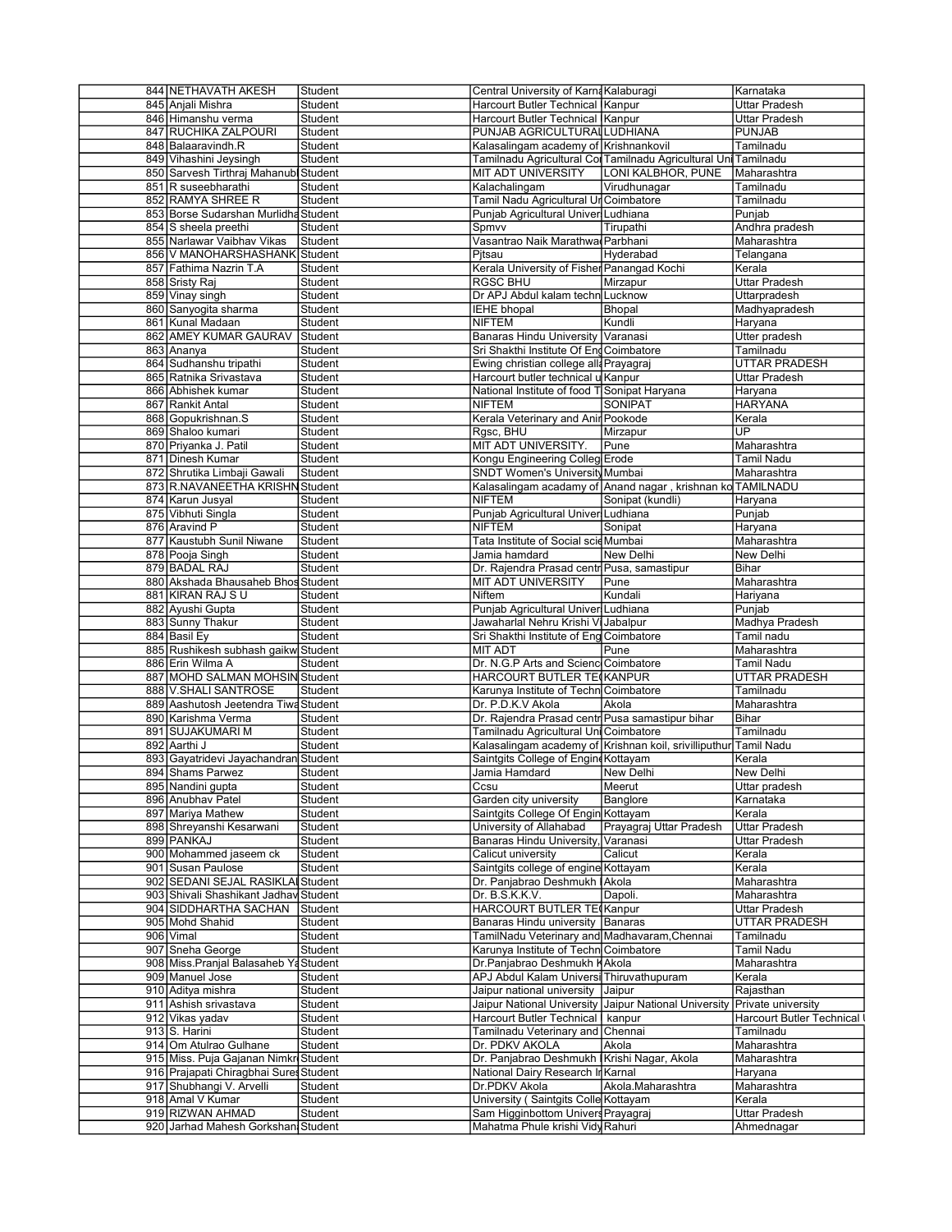| 844 NETHAVATH AKESH                    | Student | Central University of Karna Kalaburagi                |                                                                  | Karnataka                   |
|----------------------------------------|---------|-------------------------------------------------------|------------------------------------------------------------------|-----------------------------|
| 845 Anjali Mishra                      | Student | Harcourt Butler Technical Kanpur                      |                                                                  | Uttar Pradesh               |
| 846 Himanshu verma                     | Student | Harcourt Butler Technical Kanpur                      |                                                                  | Uttar Pradesh               |
|                                        |         |                                                       |                                                                  |                             |
| 847 RUCHIKA ZALPOURI                   | Student | PUNJAB AGRICULTURALLUDHIANA                           |                                                                  | <b>PUNJAB</b>               |
| 848 Balaaravindh.R                     | Student | Kalasalingam academy of Krishnankovil                 |                                                                  | Tamilnadu                   |
| 849 Vihashini Jeysingh                 | Student |                                                       | Tamilnadu Agricultural Col Tamilnadu Agricultural Uni Tamilnadu  |                             |
| 850 Sarvesh Tirthraj Mahanubl          | Student | MIT ADT UNIVERSITY                                    | LONI KALBHOR, PUNE                                               | Maharashtra                 |
|                                        |         |                                                       |                                                                  |                             |
| 851 R suseebharathi                    | Student | Kalachalingam                                         | Virudhunagar                                                     | Tamilnadu                   |
| 852 RAMYA SHREE R                      | Student | Tamil Nadu Agricultural Ur Coimbatore                 |                                                                  | Tamilnadu                   |
| 853 Borse Sudarshan Murlidha Student   |         | Punjab Agricultural Univer Ludhiana                   |                                                                  | Punjab                      |
|                                        |         |                                                       |                                                                  |                             |
| 854 S sheela preethi                   | Student | Spmvv                                                 | Tirupathi                                                        | Andhra pradesh              |
| 855 Narlawar Vaibhav Vikas             | Student | Vasantrao Naik Marathwa Parbhani                      |                                                                  | Maharashtra                 |
| 856 V MANOHARSHASHANK Student          |         | Pitsau                                                | Hyderabad                                                        | Telangana                   |
| 857 Fathima Nazrin T.A                 | Student | Kerala University of Fisher Panangad Kochi            |                                                                  | Kerala                      |
|                                        |         |                                                       |                                                                  |                             |
| 858 Sristy Raj                         | Student | <b>RGSC BHU</b>                                       | Mirzapur                                                         | Uttar Pradesh               |
| 859 Vinay singh                        | Student | Dr APJ Abdul kalam techn Lucknow                      |                                                                  | Uttarpradesh                |
| 860 Sanyogita sharma                   | Student | IEHE bhopal                                           | Bhopal                                                           | Madhyapradesh               |
|                                        |         | <b>NIFTEM</b>                                         | Kundli                                                           |                             |
| 861 Kunal Madaan                       | Student |                                                       |                                                                  | Haryana                     |
| 862 AMEY KUMAR GAURAV                  | Student | <b>Banaras Hindu University Varanasi</b>              |                                                                  | Utter pradesh               |
| 863 Ananya                             | Student | Sri Shakthi Institute Of Eng Coimbatore               |                                                                  | Tamilnadu                   |
| 864 Sudhanshu tripathi                 |         |                                                       |                                                                  |                             |
|                                        | Student | Ewing christian college alla Prayagraj                |                                                                  | UTTAR PRADESH               |
| 865 Ratnika Srivastava                 | Student | Harcourt butler technical u Kanpur                    |                                                                  | Uttar Pradesh               |
| 866 Abhishek kumar                     | Student | National Institute of food T Sonipat Haryana          |                                                                  | Haryana                     |
| 867 Rankit Antal                       | Student | <b>NIFTEM</b>                                         | <b>SONIPAT</b>                                                   | <b>HARYANA</b>              |
|                                        |         |                                                       |                                                                  |                             |
| 868 Gopukrishnan.S                     | Student | Kerala Veterinary and Anir Pookode                    |                                                                  | Kerala                      |
| 869 Shaloo kumari                      | Student | Rgsc, BHU                                             | Mirzapur                                                         | UP                          |
| 870 Priyanka J. Patil                  |         | MIT ADT UNIVERSITY.                                   | Pune                                                             |                             |
|                                        | Student |                                                       |                                                                  | Maharashtra                 |
| 871 Dinesh Kumar                       | Student | Kongu Engineering Colleg Erode                        |                                                                  | <b>Tamil Nadu</b>           |
| 872 Shrutika Limbaji Gawali            | Student | SNDT Women's University Mumbai                        |                                                                  | Maharashtra                 |
| 873 R.NAVANEETHA KRISHN Student        |         |                                                       | Kalasalingam acadamy of Anand nagar, krishnan kolTAMILNADU       |                             |
|                                        |         |                                                       |                                                                  |                             |
| 874 Karun Jusyal                       | Student | <b>NIFTEM</b>                                         | Sonipat (kundli)                                                 | Haryana                     |
| 875 Vibhuti Singla                     | Student | Punjab Agricultural Univer Ludhiana                   |                                                                  | Punjab                      |
| 876 Aravind P                          | Student | <b>NIFTEM</b>                                         | Sonipat                                                          | Haryana                     |
|                                        |         |                                                       |                                                                  |                             |
| 877 Kaustubh Sunil Niwane              | Student | Tata Institute of Social scieMumbai                   |                                                                  | Maharashtra                 |
| 878 Pooja Singh                        | Student | Jamia hamdard                                         | New Delhi                                                        | New Delhi                   |
| 879 BADAL RAJ                          | Student | Dr. Rajendra Prasad centr Pusa, samastipur            |                                                                  | Bihar                       |
|                                        |         |                                                       |                                                                  |                             |
| 880 Akshada Bhausaheb Bhos Student     |         | <b>MIT ADT UNIVERSITY</b>                             | Pune                                                             | Maharashtra                 |
| 881 KIRAN RAJ SU                       | Student | Niftem                                                | Kundali                                                          | Hariyana                    |
| 882 Ayushi Gupta                       | Student | Punjab Agricultural Univer Ludhiana                   |                                                                  | Punjab                      |
|                                        |         |                                                       |                                                                  |                             |
| 883 Sunny Thakur                       | Student | Jawaharlal Nehru Krishi Vi Jabalpur                   |                                                                  | Madhya Pradesh              |
| 884 Basil Ey                           | Student | Sri Shakthi Institute of Eng Coimbatore               |                                                                  | Tamil nadu                  |
| 885 Rushikesh subhash gaikw Student    |         | <b>MIT ADT</b>                                        | Pune                                                             | Maharashtra                 |
|                                        |         |                                                       |                                                                  |                             |
| 886 Erin Wilma A                       | Student | Dr. N.G.P Arts and Scienc Coimbatore                  |                                                                  | Tamil Nadu                  |
| 887 MOHD SALMAN MOHSIN Student         |         | HARCOURT BUTLER TECKANPUR                             |                                                                  | <b>UTTAR PRADESH</b>        |
| 888 V.SHALI SANTROSE                   | Student | Karunya Institute of Techn Coimbatore                 |                                                                  | Tamilnadu                   |
|                                        |         |                                                       |                                                                  |                             |
| 889 Aashutosh Jeetendra Tiwa Student   |         | Dr. P.D.K.V Akola                                     | Akola                                                            | Maharashtra                 |
| 890 Karishma Verma                     |         | Dr. Rajendra Prasad centr Pusa samastipur bihar       |                                                                  | Bihar                       |
|                                        | Student |                                                       |                                                                  |                             |
|                                        |         |                                                       |                                                                  |                             |
| 891 SUJAKUMARI M                       | Student | Tamilnadu Agricultural Uni Coimbatore                 |                                                                  | Tamilnadu                   |
| 892 Aarthi J                           | Student |                                                       | Kalasalingam academy of Krishnan koil, srivilliputhur Tamil Nadu |                             |
| 893 Gayatridevi Jayachandran Student   |         | Saintgits College of Engine Kottayam                  |                                                                  | Kerala                      |
|                                        |         |                                                       |                                                                  |                             |
| 894 Shams Parwez                       | Student | Jamia Hamdard                                         | New Delhi                                                        | New Delhi                   |
| 895 Nandini gupta                      | Student | Ccsu                                                  | Meerut                                                           | Uttar pradesh               |
| 896 Anubhav Patel                      | Student | Garden city university                                | Banglore                                                         | Karnataka                   |
| 897 Mariya Mathew                      |         | Saintgits College Of Engin Kottayam                   |                                                                  | Kerala                      |
|                                        | Student |                                                       |                                                                  |                             |
| 898 Shreyanshi Kesarwani               | Student | University of Allahabad                               | Prayagraj Uttar Pradesh                                          | Uttar Pradesh               |
| 899 PANKAJ                             | Student | Banaras Hindu University, Varanasi                    |                                                                  | Uttar Pradesh               |
| 900 Mohammed jaseem ck                 |         |                                                       | Calicut                                                          |                             |
|                                        | Student | Calicut university                                    |                                                                  | Kerala                      |
| 901 Susan Paulose                      | Student | Saintgits college of engine Kottayam                  |                                                                  | Kerala                      |
| 902 SEDANI SEJAL RASIKLAI Student      |         | Dr. Panjabrao Deshmukh Akola                          |                                                                  | Maharashtra                 |
|                                        |         | Dr. B.S.K.K.V.                                        |                                                                  |                             |
| 903 Shivali Shashikant Jadhav Student  |         |                                                       | Dapoli.                                                          | Maharashtra                 |
| 904 SIDDHARTHA SACHAN                  | Student | HARCOURT BUTLER TE Kanpur                             |                                                                  | Uttar Pradesh               |
| 905 Mohd Shahid                        | Student | Banaras Hindu university Banaras                      |                                                                  | <b>UTTAR PRADESH</b>        |
|                                        |         |                                                       |                                                                  |                             |
| 906 Vimal                              | Student | TamilNadu Veterinary and Madhavaram, Chennai          |                                                                  | Tamilnadu                   |
| 907 Sneha George                       | Student | Karunya Institute of Techn Coimbatore                 |                                                                  | Tamil Nadu                  |
| 908 Miss. Pranjal Balasaheb Ya         | Student | Dr.Panjabrao Deshmukh KAkola                          |                                                                  | Maharashtra                 |
| 909 Manuel Jose                        | Student | APJ Abdul Kalam Universi Thiruvathupuram              |                                                                  | Kerala                      |
|                                        |         |                                                       |                                                                  |                             |
| 910 Aditya mishra                      | Student | Jaipur national university                            | Jaipur                                                           | Rajasthan                   |
| 911 Ashish srivastava                  | Student | Jaipur National University Jaipur National University |                                                                  | Private university          |
| 912 Vikas yadav                        | Student | Harcourt Butler Technical kanpur                      |                                                                  | Harcourt Butler Technical I |
|                                        |         |                                                       |                                                                  |                             |
| 913 S. Harini                          | Student | Tamilnadu Veterinary and Chennai                      |                                                                  | Tamilnadu                   |
| 914 Om Atulrao Gulhane                 | Student | Dr. PDKV AKOLA                                        | Akola                                                            | Maharashtra                 |
|                                        |         |                                                       |                                                                  |                             |
| 915 Miss. Puja Gajanan Nimkr Student   |         | Dr. Panjabrao Deshmukh Krishi Nagar, Akola            |                                                                  | Maharashtra                 |
| 916 Prajapati Chiragbhai Sures Student |         | National Dairy Research In Karnal                     |                                                                  | Haryana                     |
| 917 Shubhangi V. Arvelli               | Student | Dr.PDKV Akola                                         | Akola.Maharashtra                                                | Maharashtra                 |
|                                        |         |                                                       |                                                                  |                             |
| 918 Amal V Kumar                       | Student | University (Saintgits Colle Kottayam                  |                                                                  | Kerala                      |
| 919 RIZWAN AHMAD                       | Student | Sam Higginbottom Univers Prayagraj                    |                                                                  | Uttar Pradesh               |
| 920 Jarhad Mahesh Gorkshan Student     |         | Mahatma Phule krishi Vidy Rahuri                      |                                                                  | Ahmednagar                  |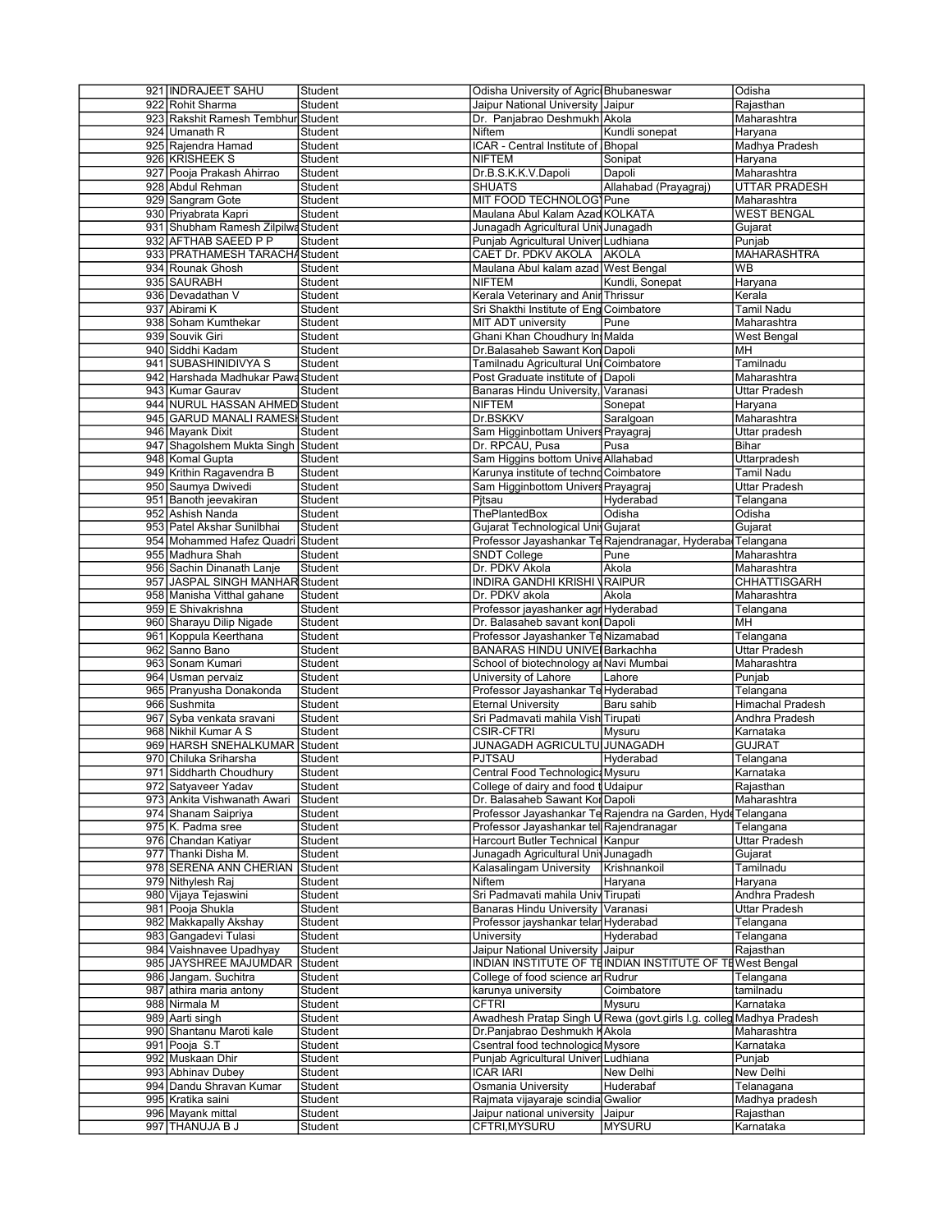| 921 INDRAJEET SAHU                  | Student | Odisha University of Agric Bhubaneswar  |                                                                     | Odisha                  |
|-------------------------------------|---------|-----------------------------------------|---------------------------------------------------------------------|-------------------------|
| 922 Rohit Sharma                    | Student | Jaipur National University Jaipur       |                                                                     | Rajasthan               |
| 923 Rakshit Ramesh Tembhur Student  |         | Dr. Panjabrao Deshmukh Akola            |                                                                     | Maharashtra             |
| 924 Umanath R                       | Student | Niftem                                  | Kundli sonepat                                                      | Haryana                 |
| 925 Rajendra Hamad                  | Student | ICAR - Central Institute of Bhopal      |                                                                     | Madhya Pradesh          |
| 926 KRISHEEK S                      | Student | <b>NIFTEM</b>                           | Sonipat                                                             | Haryana                 |
|                                     |         | Dr.B.S.K.K.V.Dapoli                     |                                                                     |                         |
| 927 Pooja Prakash Ahirrao           | Student |                                         | Dapoli                                                              | Maharashtra             |
| 928 Abdul Rehman                    | Student | <b>SHUATS</b>                           | Allahabad (Prayagraj)                                               | <b>UTTAR PRADESH</b>    |
| 929 Sangram Gote                    | Student | MIT FOOD TECHNOLOG Pune                 |                                                                     | Maharashtra             |
| 930 Priyabrata Kapri                | Student | Maulana Abul Kalam Azad KOLKATA         |                                                                     | <b>WEST BENGAL</b>      |
| 931 Shubham Ramesh Zilpilwa Student |         | Junagadh Agricultural Univ Junagadh     |                                                                     | Gujarat                 |
| 932 AFTHAB SAEED P P                | Student | Punjab Agricultural Univer Ludhiana     |                                                                     | Punjab                  |
|                                     |         |                                         |                                                                     |                         |
| 933 PRATHAMESH TARACHA Student      |         | CAET Dr. PDKV AKOLA AKOLA               |                                                                     | <b>MAHARASHTRA</b>      |
| 934 Rounak Ghosh                    | Student | Maulana Abul kalam azad West Bengal     |                                                                     | <b>WB</b>               |
| 935 SAURABH                         | Student | <b>NIFTEM</b>                           | Kundli, Sonepat                                                     | Haryana                 |
| 936 Devadathan V                    | Student | Kerala Veterinary and Anir Thrissur     |                                                                     | Kerala                  |
| 937 Abirami K                       | Student | Sri Shakthi Institute of Eng Coimbatore |                                                                     | Tamil Nadu              |
| 938 Soham Kumthekar                 | Student | MIT ADT university                      | Pune                                                                | Maharashtra             |
|                                     |         |                                         |                                                                     |                         |
| 939 Souvik Giri                     | Student | Ghani Khan Choudhury In Malda           |                                                                     | West Bengal             |
| 940 Siddhi Kadam                    | Student | Dr.Balasaheb Sawant Kon Dapoli          |                                                                     | <b>MH</b>               |
| 941 SUBASHINIDIVYA S                | Student | Tamilnadu Agricultural Uni Coimbatore   |                                                                     | Tamilnadu               |
| 942 Harshada Madhukar Pawa Student  |         | Post Graduate institute of Dapoli       |                                                                     | Maharashtra             |
| 943 Kumar Gaurav                    | Student | Banaras Hindu University, Varanasi      |                                                                     | Uttar Pradesh           |
| 944 NURUL HASSAN AHMED Student      |         | NIFTEM                                  | Sonepat                                                             |                         |
|                                     |         |                                         |                                                                     | Haryana                 |
| 945 GARUD MANALI RAMESH Student     |         | Dr.BSKKV                                | Saralgoan                                                           | Maharashtra             |
| 946   Mayank Dixit                  | Student | Sam Higginbottam Univers Prayagraj      |                                                                     | Uttar pradesh           |
| 947 Shagolshem Mukta Singh Student  |         | Dr. RPCAU, Pusa                         | Pusa                                                                | Bihar                   |
| 948 Komal Gupta                     | Student | Sam Higgins bottom Unive Allahabad      |                                                                     | Uttarpradesh            |
| 949 Krithin Ragavendra B            | Student | Karunya institute of techno Coimbatore  |                                                                     | Tamil Nadu              |
|                                     |         | Sam Higginbottom Univers Prayagraj      |                                                                     |                         |
| 950 Saumya Dwivedi                  | Student |                                         |                                                                     | Uttar Pradesh           |
| 951 Banoth jeevakiran               | Student | Pitsau                                  | Hyderabad                                                           | Telangana               |
| 952 Ashish Nanda                    | Student | <b>ThePlantedBox</b>                    | Odisha                                                              | Odisha                  |
| 953 Patel Akshar Sunilbhai          | Student | Gujarat Technological UnivGujarat       |                                                                     | Gujarat                 |
| 954 Mohammed Hafez Quadri Student   |         |                                         | Professor Jayashankar Te Rajendranagar, Hyderaba Telangana          |                         |
| 955 Madhura Shah                    | Student | <b>SNDT College</b>                     | Pune                                                                | Maharashtra             |
| 956 Sachin Dinanath Lanje           |         | Dr. PDKV Akola                          |                                                                     |                         |
|                                     | Student |                                         | Akola                                                               | Maharashtra             |
| 957 JASPAL SINGH MANHAR Student     |         | <b>INDIRA GANDHI KRISHI VRAIPUR</b>     |                                                                     | CHHATTISGARH            |
| 958 Manisha Vitthal gahane          | Student | Dr. PDKV akola                          | Akola                                                               | Maharashtra             |
| 959 E Shivakrishna                  | Student | Professor jayashanker agr Hyderabad     |                                                                     | Telangana               |
| 960 Sharayu Dilip Nigade            | Student | Dr. Balasaheb savant konl Dapoli        |                                                                     | MН                      |
| 961 Koppula Keerthana               | Student | Professor Jayashanker Te Nizamabad      |                                                                     | Telangana               |
|                                     |         |                                         |                                                                     |                         |
| 962 Sanno Bano                      | Student | <b>BANARAS HINDU UNIVE Barkachha</b>    |                                                                     | <b>Uttar Pradesh</b>    |
| 963 Sonam Kumari                    | Student | School of biotechnology ar Navi Mumbai  |                                                                     | Maharashtra             |
| 964 Usman pervaiz                   | Student | University of Lahore                    | Lahore                                                              | Punjab                  |
| 965 Pranyusha Donakonda             | Student | Professor Jayashankar Te Hyderabad      |                                                                     | Telangana               |
| 966 Sushmita                        | Student | <b>Eternal University</b>               | Baru sahib                                                          | <b>Himachal Pradesh</b> |
|                                     |         |                                         |                                                                     |                         |
| 967 Syba venkata sravani            | Student | Sri Padmavati mahila Vish Tirupati      |                                                                     | Andhra Pradesh          |
| 968 Nikhil Kumar A S                | Student | <b>CSIR-CFTRI</b>                       | Mysuru                                                              | Karnataka               |
| 969 HARSH SNEHALKUMAR Student       |         | JUNAGADH AGRICULTU JUNAGADH             |                                                                     | <b>GUJRAT</b>           |
| 970 Chiluka Sriharsha               | Student | PJTSAU                                  | Hyderabad                                                           | Telangana               |
| 971 Siddharth Choudhury             | Student | Central Food Technologic: Mysuru        |                                                                     | Karnataka               |
| 972 Satyaveer Yadav                 | Student | College of dairy and food t Udaipur     |                                                                     | Rajasthan               |
| 973 Ankita Vishwanath Awari         | Student | Dr. Balasaheb Sawant Kor Dapoli         |                                                                     | Maharashtra             |
|                                     |         |                                         |                                                                     |                         |
| 974 Shanam Saipriya                 | Student |                                         | Professor Jayashankar Te Rajendra na Garden, Hyde Telangana         |                         |
| 975 K. Padma sree                   | Student | Professor Jayashankar tel Rajendranagar |                                                                     | Telangana               |
| 976 Chandan Katiyar                 | Student | Harcourt Butler Technical Kanpur        |                                                                     | Uttar Pradesh           |
| 977 Thanki Disha M.                 | Student | Junagadh Agricultural Univ Junagadh     |                                                                     | Gujarat                 |
| 978 SERENA ANN CHERIAN              | Student | Kalasalingam University                 | Krishnankoil                                                        | Tamilnadu               |
|                                     |         | Niftem                                  | Haryana                                                             | Haryana                 |
| 979 Nithylesh Raj                   | Student |                                         |                                                                     |                         |
| 980 Vijaya Tejaswini                | Student | Sri Padmavati mahila Univ Tirupati      |                                                                     | Andhra Pradesh          |
| 981 Pooja Shukla                    | Student | Banaras Hindu University Varanasi       |                                                                     | Uttar Pradesh           |
| 982 Makkapally Akshay               | Student | Professor jayshankar telar Hyderabad    |                                                                     | Telangana               |
| 983 Gangadevi Tulasi                | Student | University                              | Hyderabad                                                           | Telangana               |
| 984 Vaishnavee Upadhyay             | Student | Jaipur National University Jaipur       |                                                                     | Rajasthan               |
|                                     |         |                                         |                                                                     |                         |
| 985 JAYSHREE MAJUMDAR               | Student |                                         | INDIAN INSTITUTE OF TEINDIAN INSTITUTE OF TEWest Bengal             |                         |
| 986 Jangam. Suchitra                | Student | College of food science an Rudrur       |                                                                     | Telangana               |
| 987 athira maria antony             | Student | karunya university                      | Coimbatore                                                          | tamilnadu               |
| 988 Nirmala M                       | Student | <b>CFTRI</b>                            | Mysuru                                                              | Karnataka               |
| 989 Aarti singh                     | Student |                                         | Awadhesh Pratap Singh U Rewa (govt.girls I.g. colleg Madhya Pradesh |                         |
|                                     |         |                                         |                                                                     |                         |
| 990 Shantanu Maroti kale            | Student | Dr.Panjabrao Deshmukh KAkola            |                                                                     | Maharashtra             |
| 991 Pooja S.T                       | Student | Csentral food technologica Mysore       |                                                                     | Karnataka               |
| 992 Muskaan Dhir                    | Student | Punjab Agricultural Univer Ludhiana     |                                                                     | Punjab                  |
|                                     |         |                                         |                                                                     |                         |
|                                     |         |                                         |                                                                     |                         |
| 993 Abhinav Dubey                   | Student | <b>ICAR IARI</b>                        | New Delhi                                                           | New Delhi               |
| 994 Dandu Shravan Kumar             | Student | <b>Osmania University</b>               | Huderabaf                                                           | Telanagana              |
| 995 Kratika saini                   | Student | Rajmata vijayaraje scindia Gwalior      |                                                                     | Madhya pradesh          |
| 996 Mayank mittal                   | Student | Jaipur national university              | Jaipur                                                              | Rajasthan               |
| 997 THANUJA B J                     | Student | CFTRI, MYSURU                           | <b>MYSURU</b>                                                       | Karnataka               |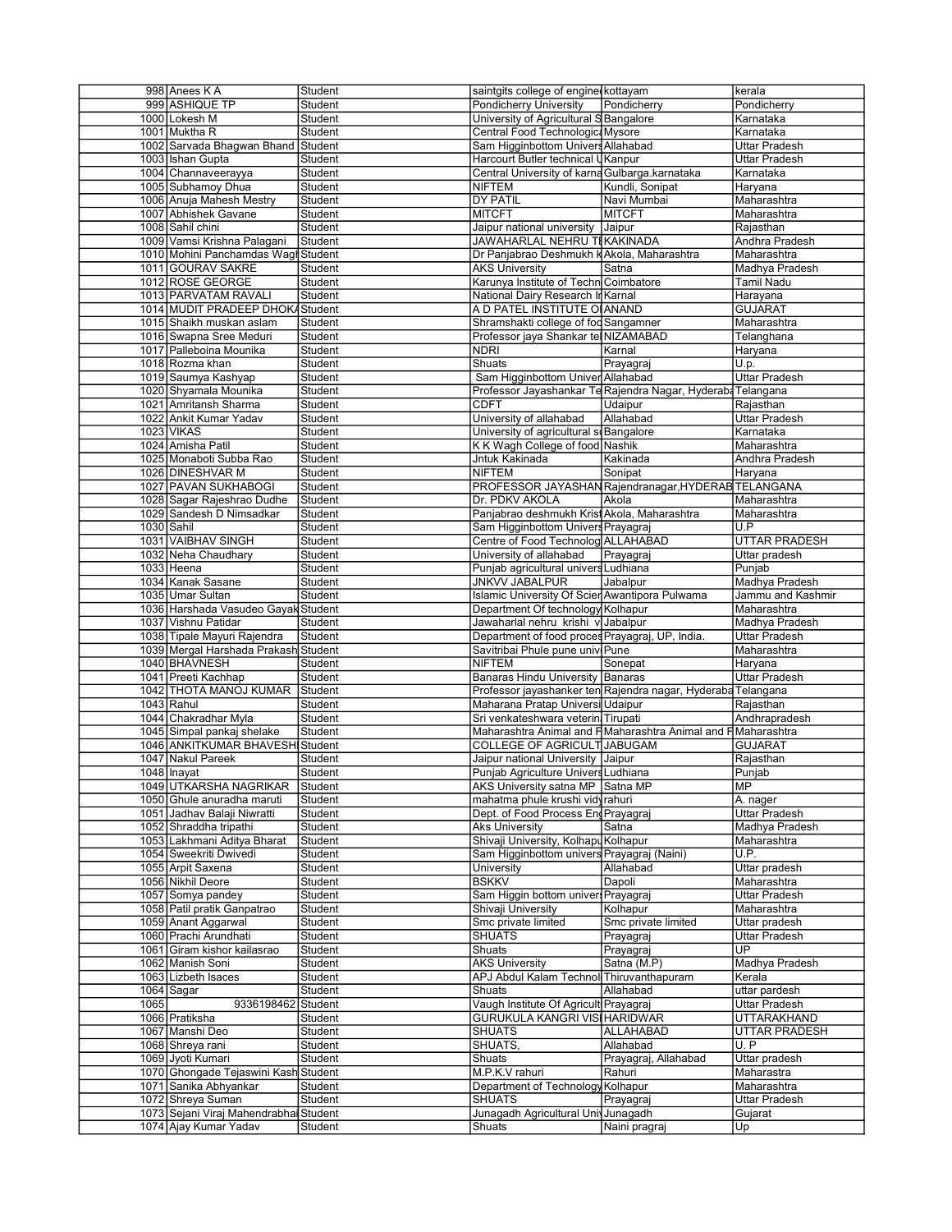|      | 998 Anees K A                                                   | Student | saintgits college of engine kottayam                          |                      | kerala               |
|------|-----------------------------------------------------------------|---------|---------------------------------------------------------------|----------------------|----------------------|
|      | 999 ASHIQUE TP                                                  | Student | Pondicherry University                                        | Pondicherry          | Pondicherry          |
|      | 1000 Lokesh M                                                   | Student | University of Agricultural S Bangalore                        |                      | Karnataka            |
|      | 1001 Muktha R                                                   | Student | Central Food Technologic: Mysore                              |                      | Karnataka            |
|      |                                                                 |         |                                                               |                      |                      |
|      | 1002 Sarvada Bhagwan Bhand                                      | Student | Sam Higginbottom Univers Allahabad                            |                      | Uttar Pradesh        |
|      | 1003 Ishan Gupta                                                | Student | Harcourt Butler technical UKanpur                             |                      | Uttar Pradesh        |
|      | 1004 Channaveerayya                                             | Student | Central University of karna Gulbarga.karnataka                |                      | Karnataka            |
|      |                                                                 |         |                                                               |                      |                      |
|      | 1005 Subhamoy Dhua                                              | Student | <b>NIFTEM</b>                                                 | Kundli, Sonipat      | Haryana              |
|      | 1006 Anuja Mahesh Mestry                                        | Student | <b>DY PATIL</b>                                               | Navi Mumbai          | Maharashtra          |
|      | 1007 Abhishek Gavane                                            | Student | MITCFT                                                        | <b>MITCFT</b>        | Maharashtra          |
|      |                                                                 |         |                                                               |                      |                      |
|      | 1008 Sahil chini                                                | Student | Jaipur national university                                    | Jaipur               | Rajasthan            |
|      | 1009 Vamsi Krishna Palagani                                     | Student | JAWAHARLAL NEHRU TI KAKINADA                                  |                      | Andhra Pradesh       |
|      |                                                                 |         |                                                               |                      |                      |
|      | 1010 Mohini Panchamdas Wagl                                     | Student | Dr Panjabrao Deshmukh k Akola, Maharashtra                    |                      | Maharashtra          |
|      | 1011 GOURAV SAKRE                                               | Student | <b>AKS University</b>                                         | Satna                | Madhya Pradesh       |
|      | 1012 ROSE GEORGE                                                | Student | Karunya Institute of Techn Coimbatore                         |                      | Tamil Nadu           |
|      |                                                                 |         |                                                               |                      |                      |
|      | 1013 PARVATAM RAVALI                                            | Student | National Dairy Research In Karnal                             |                      | Harayana             |
|      | 1014 MUDIT PRADEEP DHOKA Student                                |         | A D PATEL INSTITUTE OI ANAND                                  |                      | <b>GUJARAT</b>       |
|      |                                                                 | Student |                                                               |                      | Maharashtra          |
|      | 1015 Shaikh muskan aslam                                        |         | Shramshakti college of fod Sangamner                          |                      |                      |
|      | 1016 Swapna Sree Meduri                                         | Student | Professor jaya Shankar tel NIZAMABAD                          |                      | Telanghana           |
|      | 1017 Palleboina Mounika                                         | Student | <b>NDRI</b>                                                   | Karnal               | Haryana              |
|      |                                                                 |         |                                                               |                      |                      |
|      | 1018 Rozma khan                                                 | Student | Shuats                                                        | Prayagraj            | U.p.                 |
|      | 1019 Saumya Kashyap                                             | Student | Sam Higginbottom Univer Allahabad                             |                      | <b>Uttar Pradesh</b> |
|      |                                                                 |         |                                                               |                      |                      |
|      | 1020 Shyamala Mounika                                           | Student | Professor Jayashankar Te Rajendra Nagar, Hyderaba Telangana   |                      |                      |
|      | 1021 Amritansh Sharma                                           | Student | <b>CDFT</b>                                                   | Udaipur              | Rajasthan            |
|      | 1022 Ankit Kumar Yadav                                          | Student | University of allahabad                                       | Allahabad            | Uttar Pradesh        |
|      |                                                                 |         |                                                               |                      |                      |
|      | 1023 VIKAS                                                      | Student | University of agricultural so Bangalore                       |                      | Karnataka            |
|      | 1024 Amisha Patil                                               | Student | K K Wagh College of food Nashik                               |                      | Maharashtra          |
|      |                                                                 |         |                                                               |                      |                      |
|      | 1025 Monaboti Subba Rao                                         | Student | Jntuk Kakinada                                                | Kakinada             | Andhra Pradesh       |
|      | 1026 DINESHVAR M                                                | Student | <b>NIFTEM</b>                                                 | Sonipat              | Haryana              |
|      |                                                                 |         |                                                               |                      |                      |
|      | 1027 PAVAN SUKHABOGI                                            | Student | PROFESSOR JAYASHAN Rajendranagar, HYDERAB TELANGANA           |                      |                      |
|      | 1028 Sagar Rajeshrao Dudhe                                      | Student | Dr. PDKV AKOLA                                                | Akola                | Maharashtra          |
|      | 1029 Sandesh D Nimsadkar                                        | Student | Panjabrao deshmukh Krist Akola, Maharashtra                   |                      | Maharashtra          |
|      |                                                                 |         |                                                               |                      |                      |
|      | 1030 Sahil                                                      | Student | Sam Higginbottom Univers Prayagraj                            |                      | U.P                  |
|      | 1031 VAIBHAV SINGH                                              | Student | Centre of Food Technolog ALLAHABAD                            |                      | UTTAR PRADESH        |
|      |                                                                 |         |                                                               |                      |                      |
|      | 1032 Neha Chaudhary                                             | Student | University of allahabad                                       | Prayagraj            | Uttar pradesh        |
|      | $1033$ Heena                                                    | Student | Punjab agricultural univers Ludhiana                          |                      | Punjab               |
|      |                                                                 |         | <b>JNKVV JABALPUR</b>                                         |                      |                      |
|      | 1034 Kanak Sasane                                               | Student |                                                               | Jabalpur             | Madhya Pradesh       |
|      | 1035 Umar Sultan                                                | Student | Islamic University Of Scier Awantipora Pulwama                |                      | Jammu and Kashmir    |
|      | 1036 Harshada Vasudeo Gayak Student                             |         |                                                               |                      | Maharashtra          |
|      |                                                                 |         | Department Of technology Kolhapur                             |                      |                      |
|      | 1037 Vishnu Patidar                                             | Student | Jawaharlal nehru krishi v Jabalpur                            |                      | Madhya Pradesh       |
|      | 1038 Tipale Mayuri Rajendra                                     | Student | Department of food proces Prayagraj, UP, India.               |                      | <b>Uttar Pradesh</b> |
|      |                                                                 |         |                                                               |                      |                      |
|      |                                                                 |         |                                                               |                      | Maharashtra          |
|      | 1039 Mergal Harshada Prakash Student                            |         | Savitribai Phule pune univ Pune                               |                      |                      |
|      |                                                                 | Student | <b>NIFTEM</b>                                                 |                      |                      |
|      | 1040 BHAVNESH                                                   |         |                                                               | Sonepat              | Haryana              |
|      | 1041 Preeti Kachhap                                             | Student | Banaras Hindu University Banaras                              |                      | Uttar Pradesh        |
|      | 1042 THOTA MANOJ KUMAR                                          | Student | Professor jayashanker ten Rajendra nagar, Hyderaba Telangana  |                      |                      |
|      |                                                                 |         |                                                               |                      |                      |
|      | $1043$ Rahul                                                    | Student | Maharana Pratap Universi Udaipur                              |                      | Rajasthan            |
|      | 1044 Chakradhar Myla                                            | Student | Sri venkateshwara veterin Tirupati                            |                      | Andhrapradesh        |
|      |                                                                 |         |                                                               |                      |                      |
|      | 1045 Simpal pankaj shelake                                      | Student | Maharashtra Animal and F Maharashtra Animal and F Maharashtra |                      |                      |
|      | 1046 ANKITKUMAR BHAVESH Student                                 |         | COLLEGE OF AGRICULT JABUGAM                                   |                      | <b>GUJARAT</b>       |
|      |                                                                 |         |                                                               |                      |                      |
|      | 1047 Nakul Pareek                                               | Student | Jaipur national University Jaipur                             |                      | Rajasthan            |
|      | 1048 Inayat                                                     | Student | Punjab Agriculture Univers Ludhiana                           |                      | Punjab               |
|      | 1049 UTKARSHA NAGRIKAR Student                                  |         | AKS University satna MP Satna MP                              |                      | MP                   |
|      |                                                                 |         |                                                               |                      |                      |
|      | 1050 Ghule anuradha maruti                                      | Student | mahatma phule krushi vidvrahuri.                              |                      | A. nager             |
|      | 1051 Jadhav Balaji Niwratti                                     | Student | Dept. of Food Process Eng Prayagraj                           |                      | <b>Uttar Pradesh</b> |
|      |                                                                 |         |                                                               | Satna                |                      |
|      | 1052 Shraddha tripathi                                          | Student | <b>Aks University</b>                                         |                      | Madhya Pradesh       |
|      | 1053 Lakhmani Aditya Bharat                                     | Student | Shivaji University, Kolhapu Kolhapur                          |                      | Maharashtra          |
|      | 1054 Sweekriti Dwivedi                                          | Student | Sam Higginbottom univers Prayagraj (Naini)                    |                      | U.P.                 |
|      |                                                                 |         |                                                               |                      |                      |
|      | 1055 Arpit Saxena                                               | Student | University                                                    | Allahabad            | Uttar pradesh        |
|      | 1056 Nikhil Deore                                               | Student | <b>BSKKV</b>                                                  | Dapoli               | Maharashtra          |
|      |                                                                 |         |                                                               |                      |                      |
|      | 1057 Somya pandey                                               | Student | Sam Higgin bottom univers Prayagraj                           |                      | Uttar Pradesh        |
|      | 1058 Patil pratik Ganpatrao                                     | Student | Shivaji University                                            | Kolhapur             | Maharashtra          |
|      |                                                                 | Student | Smc private limited                                           | Smc private limited  |                      |
|      | 1059 Anant Aggarwal                                             |         |                                                               |                      | Uttar pradesh        |
|      | 1060 Prachi Arundhati                                           | Student | <b>SHUATS</b>                                                 | Prayagraj            | Uttar Pradesh        |
|      | 1061 Giram kishor kailasrao                                     | Student | Shuats                                                        | Prayagraj            | UP.                  |
|      |                                                                 |         |                                                               |                      |                      |
|      | 1062 Manish Soni                                                | Student | <b>AKS University</b>                                         | Satna (M.P)          | Madhya Pradesh       |
|      | 1063 Lizbeth Isaces                                             | Student | APJ Abdul Kalam Technol Thiruvanthapuram                      |                      | Kerala               |
|      |                                                                 |         |                                                               |                      |                      |
|      | 1064 Sagar                                                      | Student | Shuats                                                        | Allahabad            | uttar pardesh        |
| 1065 | 9336198462                                                      | Student | Vaugh Institute Of Agricult Prayagraj                         |                      | Uttar Pradesh        |
|      |                                                                 |         |                                                               |                      |                      |
|      | 1066 Pratiksha                                                  | Student | GURUKULA KANGRI VISI HARIDWAR                                 |                      | UTTARAKHAND          |
|      | 1067 Manshi Deo                                                 | Student | <b>SHUATS</b>                                                 | <b>ALLAHABAD</b>     | UTTAR PRADESH        |
|      | 1068 Shreya rani                                                | Student | SHUATS,                                                       | Allahabad            | U.P                  |
|      |                                                                 |         |                                                               |                      |                      |
|      | 1069 Jyoti Kumari                                               | Student | Shuats                                                        | Prayagraj, Allahabad | Uttar pradesh        |
|      | 1070 Ghongade Tejaswini Kash Student                            |         | M.P.K.V rahuri                                                | Rahuri               | Maharastra           |
|      |                                                                 |         |                                                               |                      |                      |
|      | 1071 Sanika Abhyankar                                           | Student | Department of Technology Kolhapur                             |                      | Maharashtra          |
|      | 1072 Shreya Suman                                               | Student | <b>SHUATS</b>                                                 | Prayagraj            | Uttar Pradesh        |
|      |                                                                 |         |                                                               |                      |                      |
|      | 1073 Sejani Viraj Mahendrabhaj Student<br>1074 Ajay Kumar Yadav | Student | Junagadh Agricultural Univ Junagadh<br>Shuats                 | Naini pragraj        | Gujarat<br>Up        |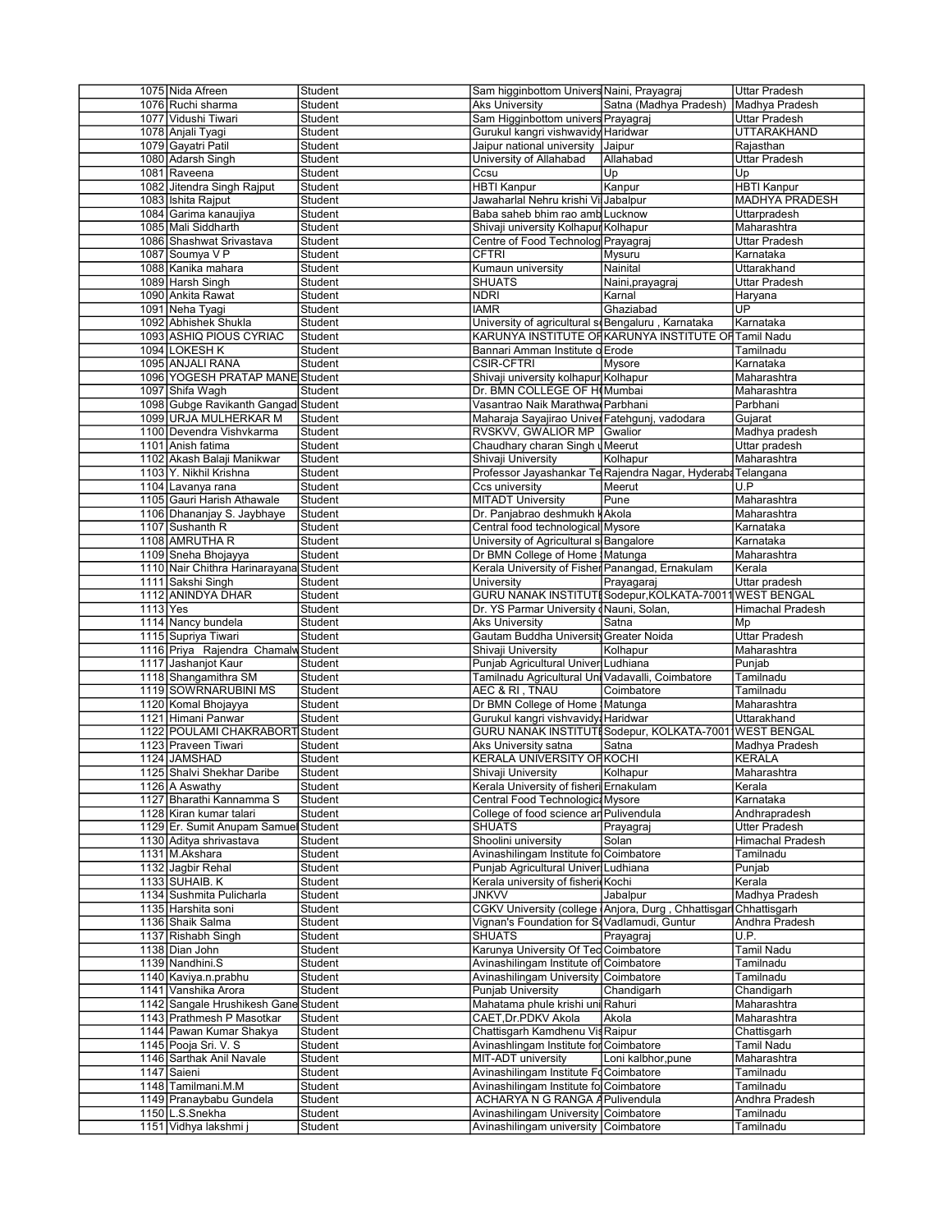|            | 1075 Nida Afreen                       | Student            | Sam higginbottom Univers Naini, Prayagraj                                    |                                                             | Uttar Pradesh          |
|------------|----------------------------------------|--------------------|------------------------------------------------------------------------------|-------------------------------------------------------------|------------------------|
|            | 1076 Ruchi sharma                      | Student            | <b>Aks University</b>                                                        | Satna (Madhya Pradesh)                                      | Madhya Pradesh         |
|            | 1077 Vidushi Tiwari                    | Student            | Sam Higginbottom univers Prayagraj                                           |                                                             | Uttar Pradesh          |
|            | 1078 Anjali Tyagi                      | Student            | Gurukul kangri vishwavidy Haridwar                                           |                                                             | UTTARAKHAND            |
|            |                                        |                    |                                                                              |                                                             |                        |
|            | 1079 Gayatri Patil                     | Student            | Jaipur national university                                                   | Jaipur                                                      | Rajasthan              |
|            | 1080 Adarsh Singh                      | Student            | University of Allahabad                                                      | Allahabad                                                   | Uttar Pradesh          |
|            | 1081 Raveena                           | Student            | Ccsu                                                                         | Up                                                          | Up                     |
|            | 1082 Jitendra Singh Rajput             | Student            | <b>HBTI Kanpur</b>                                                           | Kanpur                                                      | <b>HBTI Kanpur</b>     |
|            | 1083 Ishita Rajput                     | Student            | Jawaharlal Nehru krishi Vi Jabalpur                                          |                                                             | MADHYA PRADESH         |
|            | 1084 Garima kanaujiya                  | Student            | Baba saheb bhim rao amb Lucknow                                              |                                                             | Uttarpradesh           |
|            |                                        |                    |                                                                              |                                                             |                        |
|            | 1085 Mali Siddharth                    | Student            | Shivaji university Kolhapur Kolhapur                                         |                                                             | Maharashtra            |
|            | 1086 Shashwat Srivastava               | Student            | Centre of Food Technolog Prayagraj                                           |                                                             | Uttar Pradesh          |
|            | 1087 Soumya V P                        | Student            | <b>CFTRI</b>                                                                 | Mysuru                                                      | Karnataka              |
|            | 1088 Kanika mahara                     | Student            | Kumaun university                                                            | Nainital                                                    | Uttarakhand            |
|            | 1089 Harsh Singh                       | Student            | <b>SHUATS</b>                                                                | Naini, prayagraj                                            | Uttar Pradesh          |
|            |                                        |                    |                                                                              |                                                             |                        |
|            | 1090 Ankita Rawat                      | Student            | <b>NDRI</b>                                                                  | Karnal                                                      | Haryana                |
|            | 1091 Neha Tyagi                        | Student            | <b>IAMR</b>                                                                  | Ghaziabad                                                   | UP                     |
|            | 1092 Abhishek Shukla                   | Student            | University of agricultural so Bengaluru, Karnataka                           |                                                             | Karnataka              |
|            | 1093 ASHIQ PIOUS CYRIAC                | Student            |                                                                              | KARUNYA INSTITUTE OF KARUNYA INSTITUTE OF Tamil Nadu        |                        |
|            | 1094 LOKESH K                          | Student            | Bannari Amman Institute o Erode                                              |                                                             | Tamilnadu              |
|            |                                        |                    |                                                                              |                                                             |                        |
|            | 1095 ANJALI RANA                       | Student            | <b>CSIR-CFTRI</b>                                                            | Mysore                                                      | Karnataka              |
|            | 1096 YOGESH PRATAP MANE Student        |                    | Shivaji university kolhapur Kolhapur                                         |                                                             | Maharashtra            |
|            | 1097 Shifa Wagh                        | Student            | Dr. BMN COLLEGE OF HOMumbai                                                  |                                                             | Maharashtra            |
|            | 1098 Gubge Ravikanth Gangad Student    |                    | Vasantrao Naik Marathwa Parbhani                                             |                                                             | Parbhani               |
|            | 1099 URJA MULHERKAR M                  | Student            | Maharaja Sayajirao Univer Fatehgunj, vadodara                                |                                                             | Gujarat                |
|            |                                        |                    |                                                                              |                                                             |                        |
|            | 1100 Devendra Vishvkarma               | Student            | RVSKVV, GWALIOR MP Gwalior                                                   |                                                             | Madhya pradesh         |
|            | 1101 Anish fatima                      | Student            | Chaudhary charan Singh u Meerut                                              |                                                             | Uttar pradesh          |
|            | 1102 Akash Balaji Manikwar             | Student            | Shivaji University                                                           | Kolhapur                                                    | Maharashtra            |
|            | 1103 Y. Nikhil Krishna                 | Student            |                                                                              | Professor Jayashankar Te Rajendra Nagar, Hyderaba Telangana |                        |
|            | 1104 Lavanya rana                      | Student            | Ccs university                                                               | Meerut                                                      | U.P                    |
|            |                                        | Student            |                                                                              |                                                             |                        |
|            | 1105 Gauri Harish Athawale             |                    | <b>MITADT University</b>                                                     | Pune                                                        | Maharashtra            |
|            | 1106 Dhananjay S. Jaybhaye             | Student            | Dr. Panjabrao deshmukh kAkola                                                |                                                             | Maharashtra            |
|            | 1107 Sushanth R                        | Student            | Central food technological Mysore                                            |                                                             | Karnataka              |
|            | 1108 AMRUTHA R                         | Student            | University of Agricultural si Bangalore                                      |                                                             | Karnataka              |
|            | 1109 Sneha Bhojayya                    | Student            | Dr BMN College of Home   Matunga                                             |                                                             | Maharashtra            |
|            |                                        |                    |                                                                              |                                                             |                        |
|            | 1110 Nair Chithra Harinarayana Student |                    | Kerala University of Fisher Panangad, Ernakulam                              |                                                             | Kerala                 |
|            | 1111 Sakshi Singh                      | Student            | University                                                                   | Prayagaraj                                                  | Uttar pradesh          |
|            | 1112 ANINDYA DHAR                      | Student            |                                                                              | GURU NANAK INSTITUTI Sodepur, KOLKATA-70011 WEST BENGAL     |                        |
| $1113$ Yes |                                        | Student            | Dr. YS Parmar University (Nauni, Solan,                                      |                                                             | Himachal Pradesh       |
|            | 1114 Nancy bundela                     | Student            | <b>Aks University</b>                                                        | Satna                                                       | Mp                     |
|            |                                        |                    |                                                                              |                                                             |                        |
|            | 1115 Supriya Tiwari                    | Student            | Gautam Buddha University Greater Noida                                       |                                                             | Uttar Pradesh          |
|            | 1116 Priya Rajendra Chamalw Student    |                    | Shivaji University                                                           | Kolhapur                                                    | Maharashtra            |
|            | 1117 Jashanjot Kaur                    | Student            | Punjab Agricultural Univer Ludhiana                                          |                                                             | Punjab                 |
|            | 1118 Shangamithra SM                   | Student            | Tamilnadu Agricultural Uni Vadavalli, Coimbatore                             |                                                             | Tamilnadu              |
|            | 1119 SOWRNARUBINI MS                   | Student            | AEC & RI, TNAU                                                               | Coimbatore                                                  | Tamilnadu              |
|            |                                        |                    |                                                                              |                                                             |                        |
|            | 1120 Komal Bhojayya                    | Student            | Dr BMN College of Home Matunga                                               |                                                             | Maharashtra            |
|            |                                        |                    |                                                                              |                                                             |                        |
|            | 1121 Himani Panwar                     | Student            | Gurukul kangri vishvavidy. Haridwar                                          |                                                             | Uttarakhand            |
|            | 1122 POULAMI CHAKRABORT Student        |                    |                                                                              | GURU NANAK INSTITUTI Sodepur, KOLKATA-7001 WEST BENGAL      |                        |
|            |                                        |                    |                                                                              |                                                             |                        |
|            | 1123 Praveen Tiwari                    | Student            | Aks University satna                                                         | Satna                                                       | Madhya Pradesh         |
|            | 1124 JAMSHAD                           | Student            | <b>KERALA UNIVERSITY OF KOCHI</b>                                            |                                                             | <b>KERALA</b>          |
|            | 1125 Shalvi Shekhar Daribe             | Student            | Shivaji University                                                           | Kolhapur                                                    | Maharashtra            |
|            | 1126 A Aswathy                         | Student            | Kerala University of fisheri Ernakulam                                       |                                                             | Kerala                 |
|            | 1127 Bharathi Kannamma S               | Student            | Central Food Technologic: Mysore                                             |                                                             | Karnataka              |
|            | 1128 Kiran kumar talari                | Student            | College of food science an Pulivendula                                       |                                                             | Andhrapradesh          |
|            |                                        |                    |                                                                              |                                                             |                        |
|            | 1129 Er. Sumit Anupam Samue            | Student            | SHUATS                                                                       | Prayagraj                                                   | Utter Pradesh          |
|            | 1130 Aditya shrivastava                | Student            | Shoolini university                                                          | Solan                                                       | Himachal Pradesh       |
|            | 1131 M.Akshara                         | Student            | Avinashilingam Institute fo Coimbatore                                       |                                                             | Tamilnadu              |
|            | 1132 Jagbir Rehal                      | Student            | Puniab Agricultural Univer Ludhiana                                          |                                                             | Punjab                 |
|            |                                        |                    | Kerala university of fisheri Kochi                                           |                                                             | Kerala                 |
|            | 1133 SUHAIB. K                         | Student            |                                                                              |                                                             |                        |
|            | 1134 Sushmita Pulicharla               | Student            | JNKVV                                                                        | Jabalpur                                                    | Madhya Pradesh         |
|            | 1135 Harshita soni                     | Student            |                                                                              | CGKV University (college Anjora, Durg, Chhattisgar          | Chhattisgarh           |
|            | 1136 Shaik Salma                       | Student            | Vignan's Foundation for SoVadlamudi, Guntur                                  |                                                             | Andhra Pradesh         |
|            | 1137 Rishabh Singh                     | Student            | <b>SHUATS</b>                                                                | Prayagraj                                                   | U.P.                   |
|            |                                        |                    |                                                                              |                                                             |                        |
|            | 1138 Dian John                         | Student            | Karunya University Of Ted Coimbatore                                         |                                                             | <b>Tamil Nadu</b>      |
|            | 1139 Nandhini.S                        | Student            | Avinashilingam Institute of Coimbatore                                       |                                                             | Tamilnadu              |
|            | 1140 Kaviya.n.prabhu                   | Student            | Avinashilingam University Coimbatore                                         |                                                             | Tamilnadu              |
|            | 1141 Vanshika Arora                    | Student            | Punjab University                                                            | Chandigarh                                                  | Chandigarh             |
|            | 1142 Sangale Hrushikesh Gane Student   |                    | Mahatama phule krishi uni Rahuri                                             |                                                             | Maharashtra            |
|            |                                        |                    |                                                                              |                                                             |                        |
|            | 1143 Prathmesh P Masotkar              | Student            | CAET, Dr.PDKV Akola                                                          | Akola                                                       | Maharashtra            |
|            | 1144 Pawan Kumar Shakya                | Student            | Chattisgarh Kamdhenu Vis Raipur                                              |                                                             | Chattisgarh            |
|            | 1145 Pooja Sri. V. S                   | Student            | Avinashlingam Institute for Coimbatore                                       |                                                             | Tamil Nadu             |
|            | 1146 Sarthak Anil Navale               | Student            | MIT-ADT university                                                           | Loni kalbhor, pune                                          | Maharashtra            |
|            | 1147 Saieni                            | Student            | Avinashilingam Institute FoCoimbatore                                        |                                                             | Tamilnadu              |
|            |                                        |                    |                                                                              |                                                             | Tamilnadu              |
|            | 1148 Tamilmani.M.M                     | Student            | Avinashilingam Institute fo Coimbatore                                       |                                                             |                        |
|            | 1149 Pranaybabu Gundela                | Student            | ACHARYA N G RANGA A Pulivendula                                              |                                                             | Andhra Pradesh         |
|            | 1150 L.S.Snekha<br>1151 Vidhya lakshmi | Student<br>Student | Avinashilingam University Coimbatore<br>Avinashilingam university Coimbatore |                                                             | Tamilnadu<br>Tamilnadu |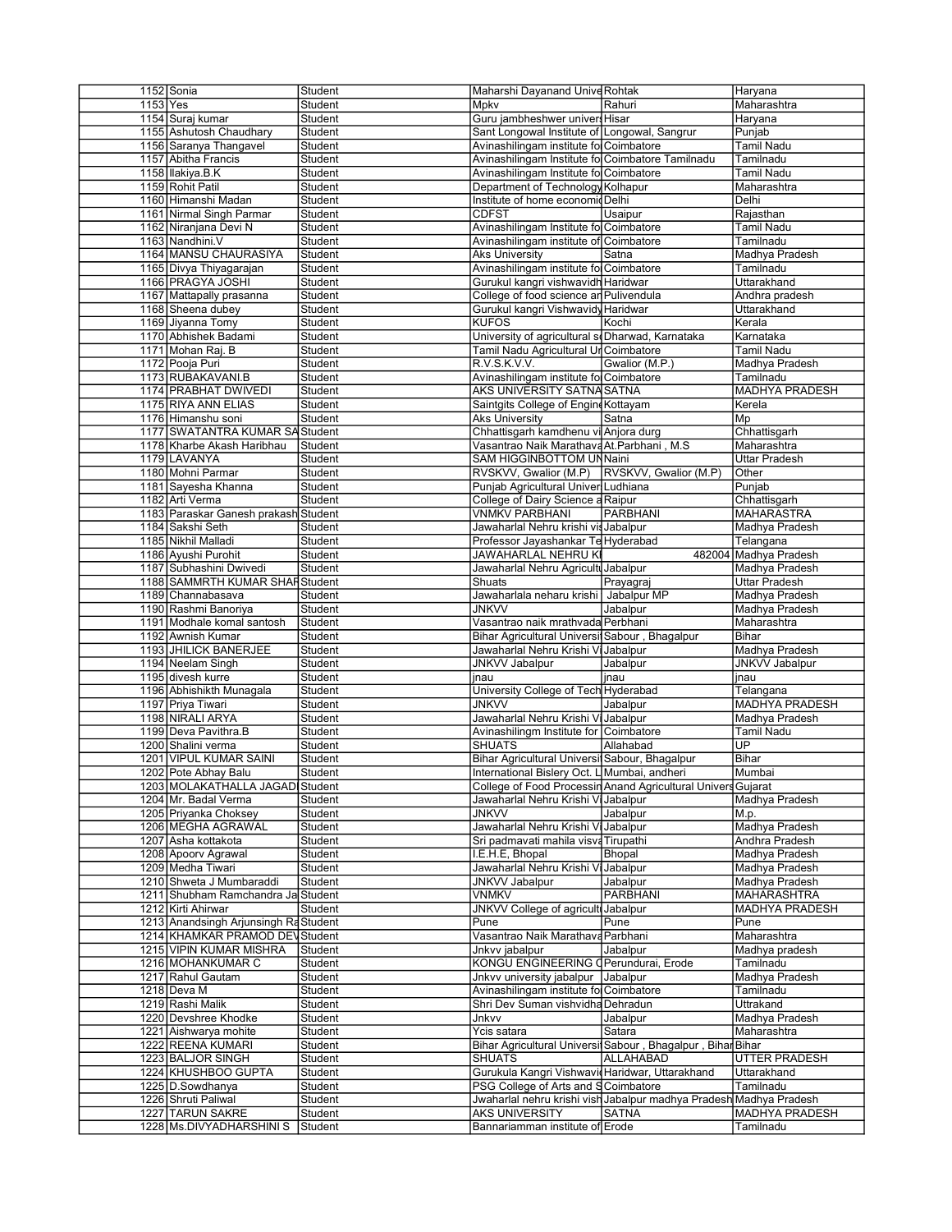| 1152 Sonia                                   | Student            | Maharshi Dayanand Unive Rohtak                           |                                                                    | Haryana                     |
|----------------------------------------------|--------------------|----------------------------------------------------------|--------------------------------------------------------------------|-----------------------------|
| $1153$ Yes                                   | Student            | Mpkv                                                     | Rahuri                                                             | Maharashtra                 |
| 1154 Suraj kumar                             | Student            | Guru jambheshwer univers Hisar                           |                                                                    | Haryana                     |
| 1155 Ashutosh Chaudhary                      |                    |                                                          |                                                                    |                             |
|                                              | Student            | Sant Longowal Institute of Longowal, Sangrur             |                                                                    | Punjab                      |
| 1156 Saranya Thangavel                       | Student            | Avinashilingam institute fol Coimbatore                  |                                                                    | Tamil Nadu                  |
| 1157 Abitha Francis                          | Student            | Avinashilingam Institute fo Coimbatore Tamilnadu         |                                                                    | Tamilnadu                   |
| 1158 Ilakiya.B.K                             | Student            | Avinashilingam Institute fo Coimbatore                   |                                                                    | Tamil Nadu                  |
| 1159 Rohit Patil                             | Student            | Department of Technology Kolhapur                        |                                                                    | Maharashtra                 |
| 1160 Himanshi Madan                          | Student            | Institute of home economicDelhi                          |                                                                    | Delhi                       |
|                                              |                    |                                                          |                                                                    |                             |
| 1161 Nirmal Singh Parmar                     | Student            | <b>CDFST</b>                                             | Usaipur                                                            | Rajasthan                   |
| 1162 Niranjana Devi N                        | Student            | Avinashilingam Institute fo Coimbatore                   |                                                                    | Tamil Nadu                  |
| 1163 Nandhini.V                              | Student            | Avinashilingam institute of Coimbatore                   |                                                                    | Tamilnadu                   |
| 1164 MANSU CHAURASIYA                        | Student            | <b>Aks University</b>                                    | Satna                                                              | Madhya Pradesh              |
| 1165 Divya Thiyagarajan                      | Student            | Avinashilingam institute fol Coimbatore                  |                                                                    | Tamilnadu                   |
|                                              |                    |                                                          |                                                                    |                             |
| 1166 PRAGYA JOSHI                            | Student            | Gurukul kangri vishwavidh Haridwar                       |                                                                    | Uttarakhand                 |
| 1167 Mattapally prasanna                     | Student            | College of food science an Pulivendula                   |                                                                    | Andhra pradesh              |
| 1168 Sheena dubey                            | Student            | Gurukul kangri Vishwavidy Haridwar                       |                                                                    | Uttarakhand                 |
| 1169 Jiyanna Tomy                            | Student            | <b>KUFOS</b>                                             | Kochi                                                              | Kerala                      |
| 1170 Abhishek Badami                         | Student            | University of agricultural so Dharwad, Karnataka         |                                                                    | Karnataka                   |
|                                              |                    |                                                          |                                                                    |                             |
| 1171 Mohan Raj. B                            | Student            | Tamil Nadu Agricultural UrCoimbatore                     |                                                                    | Tamil Nadu                  |
| 1172 Pooja Puri                              | Student            | R.V.S.K.V.V.                                             | Gwalior (M.P.)                                                     | Madhya Pradesh              |
| 1173 RUBAKAVANI.B                            | Student            | Avinashilingam institute fo Coimbatore                   |                                                                    | Tamilnadu                   |
| 1174 PRABHAT DWIVEDI                         | Student            | AKS UNIVERSITY SATNA SATNA                               |                                                                    | MADHYA PRADESH              |
| 1175 RIYA ANN ELIAS                          | Student            | Saintgits College of Engine Kottayam                     |                                                                    | Kerela                      |
|                                              |                    |                                                          |                                                                    |                             |
| 1176 Himanshu soni                           | Student            | Aks University                                           | Satna                                                              | Mp                          |
| 1177 SWATANTRA KUMAR SA Student              |                    | Chhattisgarh kamdhenu vi Anjora durg                     |                                                                    | Chhattisgarh                |
| 1178 Kharbe Akash Haribhau                   | Student            | Vasantrao Naik Marathava At.Parbhani , M.S               |                                                                    | Maharashtra                 |
| 1179 LAVANYA                                 | Student            | SAM HIGGINBOTTOM UN Naini                                |                                                                    | Uttar Pradesh               |
| 1180 Mohni Parmar                            | Student            | RVSKVV, Gwalior (M.P)                                    | RVSKVV, Gwalior (M.P)                                              | Other                       |
|                                              |                    |                                                          |                                                                    | Punjab                      |
| 1181 Sayesha Khanna                          | Student            | Punjab Agricultural Univer Ludhiana                      |                                                                    |                             |
| 1182 Arti Verma                              | Student            | College of Dairy Science a Raipur                        |                                                                    | Chhattisgarh                |
| 1183 Paraskar Ganesh prakash Student         |                    | VNMKV PARBHANI                                           | <b>PARBHANI</b>                                                    | <b>MAHARASTRA</b>           |
| 1184 Sakshi Seth                             | Student            | Jawaharlal Nehru krishi vis Jabalpur                     |                                                                    | Madhya Pradesh              |
| 1185 Nikhil Malladi                          | Student            | Professor Jayashankar Te Hyderabad                       |                                                                    | Telangana                   |
| 1186 Ayushi Purohit                          | Student            | JAWAHARLAL NEHRU KI                                      |                                                                    | 482004 Madhya Pradesh       |
|                                              |                    |                                                          |                                                                    |                             |
| 1187 Subhashini Dwivedi                      | Student            | Jawaharlal Nehru Agricultu Jabalpur                      |                                                                    | Madhya Pradesh              |
| 1188 SAMMRTH KUMAR SHAF Student              |                    | Shuats                                                   | Prayagraj                                                          | Uttar Pradesh               |
| 1189 Channabasava                            | Student            | Jawaharlala neharu krishi   Jabalpur MP                  |                                                                    | Madhya Pradesh              |
| 1190 Rashmi Banoriya                         | Student            | <b>JNKVV</b>                                             | Jabalpur                                                           | Madhya Pradesh              |
| 1191 Modhale komal santosh                   | Student            | Vasantrao naik mrathvada Perbhani                        |                                                                    | Maharashtra                 |
|                                              |                    |                                                          |                                                                    |                             |
|                                              |                    |                                                          |                                                                    |                             |
| 1192 Awnish Kumar                            | Student            | Bihar Agricultural Universit Sabour, Bhagalpur           |                                                                    | Bihar                       |
| 1193 JHILICK BANERJEE                        | Student            | Jawaharlal Nehru Krishi Vi Jabalpur                      |                                                                    | Madhya Pradesh              |
| 1194 Neelam Singh                            | Student            | <b>JNKVV Jabalpur</b>                                    | Jabalpur                                                           | <b>JNKVV Jabalpur</b>       |
| 1195 divesh kurre                            | Student            | jnau                                                     | jnau                                                               | jnau                        |
|                                              |                    |                                                          |                                                                    |                             |
| 1196 Abhishikth Munagala                     | Student            | University College of Tech Hyderabad                     |                                                                    | Telangana                   |
| 1197 Priya Tiwari                            | Student            | <b>JNKVV</b>                                             | Jabalpur                                                           | MADHYA PRADESH              |
| 1198 NIRALI ARYA                             | Student            | Jawaharlal Nehru Krishi Vi Jabalpur                      |                                                                    | Madhya Pradesh              |
| 1199 Deva Pavithra.B                         | Student            | Avinashilingm Institute for Coimbatore                   |                                                                    | Tamil Nadu                  |
| 1200 Shalini verma                           | Student            | <b>SHUATS</b>                                            | Allahabad                                                          | $\overline{\mathsf{UP}}$    |
|                                              |                    |                                                          |                                                                    |                             |
| 1201 VIPUL KUMAR SAINI                       | Student            | Bihar Agricultural Universi Sabour, Bhagalpur            |                                                                    | Bihar                       |
| 1202 Pote Abhay Balu                         | Student            | International Bislery Oct. L Mumbai, andheri             |                                                                    | Mumbai                      |
| 1203 MOLAKATHALLA JAGADI Student             |                    |                                                          | College of Food Processin Anand Agricultural Univers Gujarat       |                             |
| 1204 Mr. Badal Verma                         | Student            | Jawaharlal Nehru Krishi Vi Jabalpur                      |                                                                    | Madhya Pradesh              |
| 1205 Priyanka Choksey                        | Student            | <b>JNKVV</b>                                             | Jabalpur                                                           | M.p.                        |
|                                              |                    |                                                          |                                                                    |                             |
| 1206 MEGHA AGRAWAL                           | Student            | Jawaharlal Nehru Krishi Vi Jabalpur                      |                                                                    | Madhya Pradesh              |
| 1207 Asha kottakota                          | Student            | Sri padmavati mahila visva Tirupathi                     |                                                                    | Andhra Pradesh              |
| 1208 Apoorv Agrawal                          | Student            | I.E.H.E, Bhopal                                          | Bhopal                                                             | Madhya Pradesh              |
| 1209 Medha Tiwari                            | Student            | Jawaharlal Nehru Krishi Vi Jabalpur                      |                                                                    | Madhya Pradesh              |
| 1210 Shweta J Mumbaraddi                     | Student            | JNKVV Jabalpur                                           | Jabalpur                                                           | Madhya Pradesh              |
|                                              |                    |                                                          |                                                                    | <b>MAHARASHTRA</b>          |
| 1211 Shubham Ramchandra Ja Student           |                    | <b>VNMKV</b>                                             | PARBHANI                                                           |                             |
| 1212 Kirti Ahirwar                           | Student            | JNKVV College of agricult Jabalpur                       |                                                                    | MADHYA PRADESH              |
| 1213 Anandsingh Arjunsingh Ra Student        |                    | Pune                                                     | Pune                                                               | Pune                        |
| 1214 KHAMKAR PRAMOD DEV Student              |                    | Vasantrao Naik Marathava Parbhani                        |                                                                    | Maharashtra                 |
| 1215 VIPIN KUMAR MISHRA                      | Student            | Jnkvv jabalpur                                           | Jabalpur                                                           | Madhya pradesh              |
|                                              |                    |                                                          |                                                                    |                             |
| 1216 MOHANKUMAR C                            | Student            | KONGU ENGINEERING (Perundurai, Erode                     |                                                                    | Tamilnadu                   |
| 1217 Rahul Gautam                            | Student            | Jnkvv university jabalpur                                | Jabalpur                                                           | Madhya Pradesh              |
| 1218 Deva M                                  | Student            | Avinashilingam institute fo Coimbatore                   |                                                                    | Tamilnadu                   |
| 1219 Rashi Malik                             | Student            | Shri Dev Suman vishvidha Dehradun                        |                                                                    | Uttrakand                   |
| 1220 Devshree Khodke                         | Student            | Jnkvv                                                    | Jabalpur                                                           | Madhya Pradesh              |
|                                              |                    |                                                          |                                                                    |                             |
| 1221 Aishwarya mohite                        | Student            | Ycis satara                                              | Satara                                                             | Maharashtra                 |
| 1222 REENA KUMARI                            | Student            |                                                          | Bihar Agricultural Universit Sabour, Bhagalpur, Bihar Bihar        |                             |
| 1223 BALJOR SINGH                            | Student            | <b>SHUATS</b>                                            | ALLAHABAD                                                          | <b>UTTER PRADESH</b>        |
| 1224 KHUSHBOO GUPTA                          | Student            | Gurukula Kangri Vishwavid Haridwar, Uttarakhand          |                                                                    | Uttarakhand                 |
| 1225 D.Sowdhanya                             | Student            | PSG College of Arts and SCoimbatore                      |                                                                    | Tamilnadu                   |
|                                              |                    |                                                          |                                                                    |                             |
| 1226 Shruti Paliwal                          | Student            |                                                          | Jwaharlal nehru krishi vish Jabalpur madhya Pradesh Madhya Pradesh |                             |
| 1227 TARUN SAKRE<br>1228 Ms.DIVYADHARSHINI S | Student<br>Student | <b>AKS UNIVERSITY</b><br>Bannariamman institute of Erode | <b>SATNA</b>                                                       | MADHYA PRADESH<br>Tamilnadu |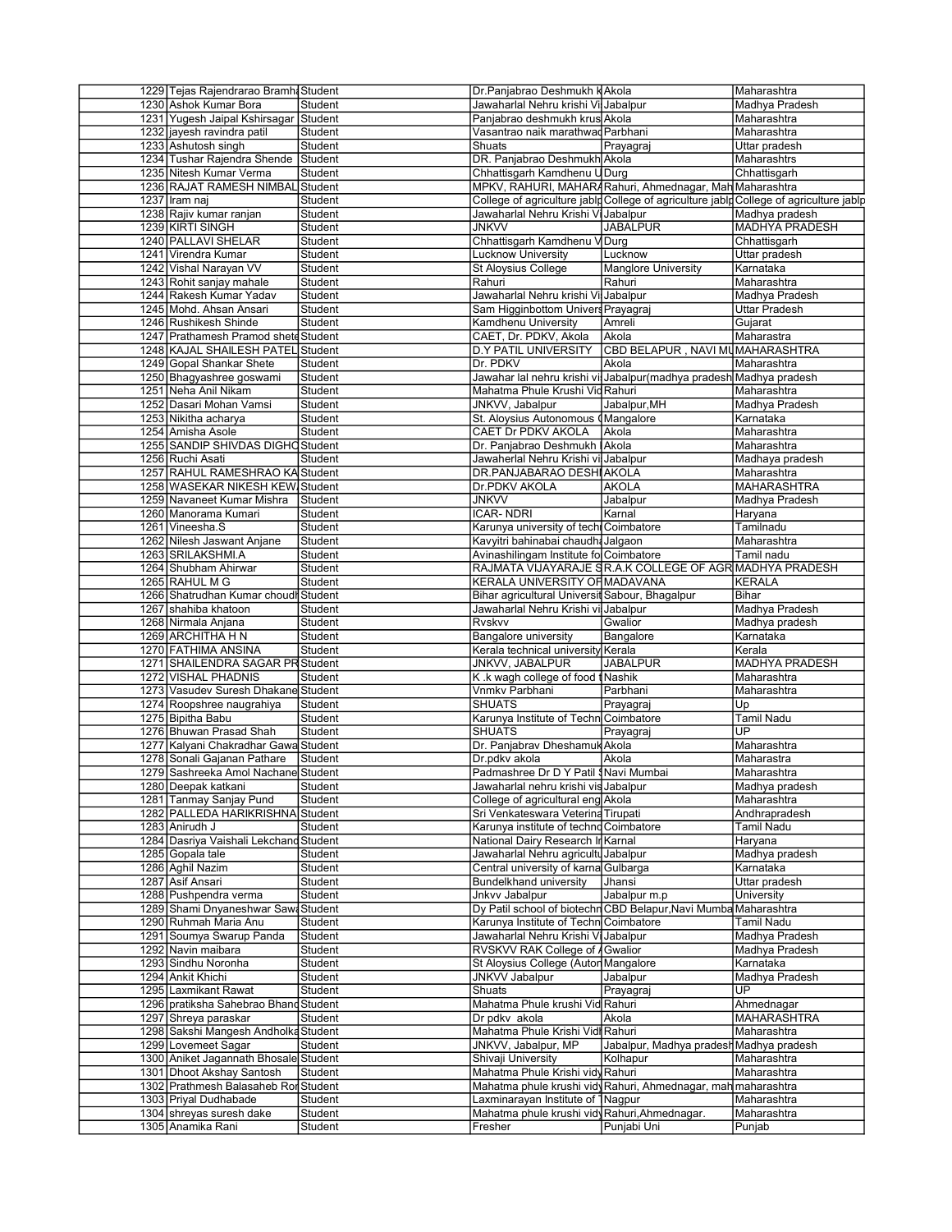| 1229 Tejas Rajendrarao Bramh Student          |                    | Dr.Panjabrao Deshmukh kAkola                             |                                                                      | Maharashtra                                                                            |
|-----------------------------------------------|--------------------|----------------------------------------------------------|----------------------------------------------------------------------|----------------------------------------------------------------------------------------|
| 1230 Ashok Kumar Bora                         | Student            | Jawaharlal Nehru krishi Vil Jabalpur                     |                                                                      | Madhya Pradesh                                                                         |
| 1231 Yugesh Jaipal Kshirsagar                 | Student            | Panjabrao deshmukh krus Akola                            |                                                                      | Maharashtra                                                                            |
|                                               |                    | Vasantrao naik marathwad Parbhani                        |                                                                      | Maharashtra                                                                            |
| 1232 jayesh ravindra patil                    | Student            |                                                          |                                                                      |                                                                                        |
| 1233 Ashutosh singh                           | Student            | Shuats                                                   | Prayagraj                                                            | Uttar pradesh                                                                          |
| 1234 Tushar Rajendra Shende                   | Student            | DR. Panjabrao Deshmukh Akola                             |                                                                      | Maharashtrs                                                                            |
| 1235 Nitesh Kumar Verma                       | Student            | Chhattisgarh Kamdhenu U Durg                             |                                                                      | Chhattisgarh                                                                           |
| 1236 RAJAT RAMESH NIMBAL Student              |                    |                                                          | MPKV, RAHURI, MAHARARahuri, Ahmednagar, Mah Maharashtra              |                                                                                        |
| 1237 Iram naj                                 | Student            |                                                          |                                                                      | College of agriculture jablp College of agriculture jablp College of agriculture jablp |
| 1238 Rajiv kumar ranjan                       | Student            | Jawaharlal Nehru Krishi Vi Jabalpur                      |                                                                      | Madhya pradesh                                                                         |
| 1239 KIRTI SINGH                              | Student            | <b>JNKVV</b>                                             | <b>JABALPUR</b>                                                      | MADHYA PRADESH                                                                         |
|                                               |                    |                                                          |                                                                      |                                                                                        |
| 1240 PALLAVI SHELAR                           | Student            | Chhattisgarh Kamdhenu V Durg                             |                                                                      | Chhattisgarh                                                                           |
| 1241 Virendra Kumar                           | Student            | Lucknow University                                       | Lucknow                                                              | Uttar pradesh                                                                          |
| 1242 Vishal Narayan VV                        | Student            | St Aloysius College                                      | <b>Manglore University</b>                                           | Karnataka                                                                              |
| 1243 Rohit sanjay mahale                      | Student            | Rahuri                                                   | Rahuri                                                               | Maharashtra                                                                            |
| 1244 Rakesh Kumar Yadav                       | Student            | Jawaharlal Nehru krishi Vil Jabalpur                     |                                                                      | Madhya Pradesh                                                                         |
| 1245 Mohd, Ahsan Ansari                       | Student            | Sam Higginbottom Univers Prayagraj                       |                                                                      | Uttar Pradesh                                                                          |
| 1246 Rushikesh Shinde                         | Student            | Kamdhenu University                                      | Amreli                                                               | Gujarat                                                                                |
| 1247 Prathamesh Pramod shete Student          |                    | CAET, Dr. PDKV, Akola                                    | Akola                                                                | Maharastra                                                                             |
| 1248 KAJAL SHAILESH PATEL Student             |                    | D.Y PATIL UNIVERSITY                                     | CBD BELAPUR, NAVI MUMAHARASHTRA                                      |                                                                                        |
|                                               |                    |                                                          |                                                                      |                                                                                        |
| 1249 Gopal Shankar Shete                      | Student            | Dr. PDKV                                                 | Akola                                                                | Maharashtra                                                                            |
| 1250 Bhagyashree goswami                      | Student            |                                                          | Jawahar lal nehru krishi vil Jabalpur (madhya pradesh Madhya pradesh |                                                                                        |
| 1251 Neha Anil Nikam                          | Student            | Mahatma Phule Krushi Vid Rahuri                          |                                                                      | Maharashtra                                                                            |
| 1252 Dasari Mohan Vamsi                       | Student            | JNKVV, Jabalpur                                          | Jabalpur, MH                                                         | Madhya Pradesh                                                                         |
| 1253 Nikitha acharya                          | Student            | St. Aloysius Autonomous (Mangalore                       |                                                                      | Karnataka                                                                              |
| 1254 Amisha Asole                             | Student            | CAET Dr PDKV AKOLA                                       | Akola                                                                | Maharashtra                                                                            |
|                                               |                    | Dr. Panjabrao Deshmukh IAkola                            |                                                                      | Maharashtra                                                                            |
| 1255 SANDIP SHIVDAS DIGHOStudent              |                    |                                                          |                                                                      |                                                                                        |
| 1256 Ruchi Asati                              | Student            | Jawaherlal Nehru Krishi vi Jabalpur                      |                                                                      | Madhaya pradesh                                                                        |
| 1257 RAHUL RAMESHRAO KA Student               |                    | DR.PANJABARAO DESHI AKOLA                                |                                                                      | Maharashtra                                                                            |
| 1258 WASEKAR NIKESH KEW Student               |                    | Dr.PDKV AKOLA                                            | <b>AKOLA</b>                                                         | MAHARASHTRA                                                                            |
| 1259 Navaneet Kumar Mishra                    | Student            | <b>JNKVV</b>                                             | Jabalpur                                                             | Madhya Pradesh                                                                         |
| 1260 Manorama Kumari                          | Student            | <b>ICAR-NDRI</b>                                         | Karnal                                                               | Haryana                                                                                |
| 1261 Vineesha.S                               | Student            | Karunya university of tech Coimbatore                    |                                                                      | Tamilnadu                                                                              |
|                                               |                    |                                                          |                                                                      |                                                                                        |
| 1262 Nilesh Jaswant Anjane                    | Student            | Kavyitri bahinabai chaudha Jalgaon                       |                                                                      | Maharashtra                                                                            |
| 1263 SRILAKSHMI.A                             | Student            | Avinashilingam Institute fo Coimbatore                   |                                                                      | Tamil nadu                                                                             |
| 1264 Shubham Ahirwar                          | Student            |                                                          | RAJMATA VIJAYARAJE SR.A.K COLLEGE OF AGR MADHYA PRADESH              |                                                                                        |
| 1265 RAHUL M G                                | Student            | KERALA UNIVERSITY OF MADAVANA                            |                                                                      | <b>KERALA</b>                                                                          |
| 1266 Shatrudhan Kumar choudh Student          |                    | Bihar agricultural Universit Sabour, Bhagalpur           |                                                                      | Bihar                                                                                  |
| 1267 shahiba khatoon                          | Student            |                                                          |                                                                      |                                                                                        |
|                                               |                    |                                                          |                                                                      |                                                                                        |
|                                               |                    | Jawaharlal Nehru Krishi vi Jabalpur                      |                                                                      | Madhya Pradesh                                                                         |
| 1268 Nirmala Anjana                           | Student            | Rvskvv                                                   | Gwalior                                                              | Madhya pradesh                                                                         |
| 1269 ARCHITHA H N                             | Student            | Bangalore university                                     | Bangalore                                                            | Karnataka                                                                              |
| 1270 FATHIMA ANSINA                           | Student            | Kerala technical university Kerala                       |                                                                      | Kerala                                                                                 |
| 1271 SHAILENDRA SAGAR PR Student              |                    | JNKVV, JABALPUR                                          | <b>JABALPUR</b>                                                      | MADHYA PRADESH                                                                         |
| 1272 VISHAL PHADNIS                           | Student            | K.k wagh college of food tNashik                         |                                                                      | Maharashtra                                                                            |
| 1273 Vasudev Suresh Dhakane Student           |                    |                                                          |                                                                      |                                                                                        |
|                                               |                    | Vnmkv Parbhani                                           | Parbhani                                                             | Maharashtra                                                                            |
| 1274 Roopshree naugrahiya                     | Student            | <b>SHUATS</b>                                            | Prayagraj                                                            | Up                                                                                     |
| 1275 Bipitha Babu                             | Student            | Karunya Institute of Techn Coimbatore                    |                                                                      | Tamil Nadu                                                                             |
| 1276 Bhuwan Prasad Shah                       | Student            | <b>SHUATS</b>                                            | Prayagraj                                                            | UP                                                                                     |
| 1277 Kalyani Chakradhar Gawa Student          |                    | Dr. Panjabrav Dheshamuk Akola                            |                                                                      | Maharashtra                                                                            |
| 1278 Sonali Gajanan Pathare                   | Student            | Dr.pdkv akola                                            | Akola                                                                | Maharastra                                                                             |
| 1279 Sashreeka Amol Nachane Student           |                    | Padmashree Dr D Y Patil (Navi Mumbai                     |                                                                      | Maharashtra                                                                            |
|                                               |                    | Jawaharlal nehru krishi vis Jabalpur                     |                                                                      |                                                                                        |
| 1280 Deepak katkani                           | Student            |                                                          |                                                                      | Madhya pradesh                                                                         |
| 1281 Tanmay Sanjay Pund                       | Student            | College of agricultural eng Akola                        |                                                                      | Maharashtra                                                                            |
| 1282 PALLEDA HARIKRISHNA                      | Student            | Sri Venkateswara Veterina Tirupati                       |                                                                      | Andhrapradesh                                                                          |
| 1283 Anirudh J                                | Student            | Karunya institute of techno Coimbatore                   |                                                                      | Tamil Nadu                                                                             |
| 1284 Dasriya Vaishali Lekchand Student        |                    | National Dairy Research In Karnal                        |                                                                      | Haryana                                                                                |
| 1285 Gopala tale                              | Student            | Jawaharlal Nehru agricultu Jabalpur                      |                                                                      | Madhya pradesh                                                                         |
| 1286 Aghil Nazim                              | Student            | Central university of karna Gulbarga                     |                                                                      | Karnataka                                                                              |
| 1287 Asif Ansari                              | Student            | <b>Bundelkhand university</b>                            | Jhansi                                                               | Uttar pradesh                                                                          |
| 1288 Pushpendra verma                         | Student            | Jnkvv Jabalpur                                           | Jabalpur m.p                                                         | University                                                                             |
|                                               |                    |                                                          |                                                                      |                                                                                        |
| 1289 Shami Dnyaneshwar Saw Student            |                    |                                                          | Dy Patil school of biotechn CBD Belapur, Navi Mumba Maharashtra      |                                                                                        |
| 1290 Ruhmah Maria Anu                         | Student            | Karunya Institute of Techn Coimbatore                    |                                                                      | Tamil Nadu                                                                             |
| 1291 Soumya Swarup Panda                      | Student            | Jawaharlal Nehru Krishi Vi Jabalpur                      |                                                                      | Madhya Pradesh                                                                         |
| 1292 Navin maibara                            | Student            | RVSKVV RAK College of <i>I</i> Gwalior                   |                                                                      | Madhya Pradesh                                                                         |
| 1293 Sindhu Noronha                           | Student            | St Aloysius College (Auton Mangalore                     |                                                                      | Karnataka                                                                              |
| 1294 Ankit Khichi                             | Student            | <b>JNKVV Jabalpur</b>                                    | Jabalpur                                                             | Madhva Pradesh                                                                         |
|                                               |                    |                                                          |                                                                      | UP.                                                                                    |
| 1295 Laxmikant Rawat                          | Student            | Shuats                                                   | Prayagraj                                                            |                                                                                        |
| 1296 pratiksha Sahebrao Bhand Student         |                    | Mahatma Phule krushi Vid Rahuri                          |                                                                      | Ahmednagar                                                                             |
| 1297 Shreya paraskar                          | Student            | Dr pdkv akola                                            | Akola                                                                | MAHARASHTRA                                                                            |
| 1298 Sakshi Mangesh Andholka Student          |                    | Mahatma Phule Krishi Vidi Rahuri                         |                                                                      | Maharashtra                                                                            |
| 1299 Lovemeet Sagar                           | Student            | JNKVV, Jabalpur, MP                                      | Jabalpur, Madhya pradeshMadhya pradesh                               |                                                                                        |
| 1300 Aniket Jagannath Bhosale Student         |                    | Shivaji University                                       | Kolhapur                                                             | Maharashtra                                                                            |
|                                               |                    |                                                          |                                                                      |                                                                                        |
| 1301 Dhoot Akshay Santosh                     | Student            | Mahatma Phule Krishi vidy Rahuri                         |                                                                      | Maharashtra                                                                            |
| 1302 Prathmesh Balasaheb Ror Student          |                    |                                                          | Mahatma phule krushi vidy Rahuri, Ahmednagar, mah maharashtra        |                                                                                        |
| 1303 Priyal Dudhabade                         | Student            | Laxminarayan Institute of TNagpur                        |                                                                      | Maharashtra                                                                            |
| 1304 shreyas suresh dake<br>1305 Anamika Rani | Student<br>Student | Mahatma phule krushi vidy Rahuri, Ahmednagar.<br>Fresher | Punjabi Uni                                                          | Maharashtra<br>Punjab                                                                  |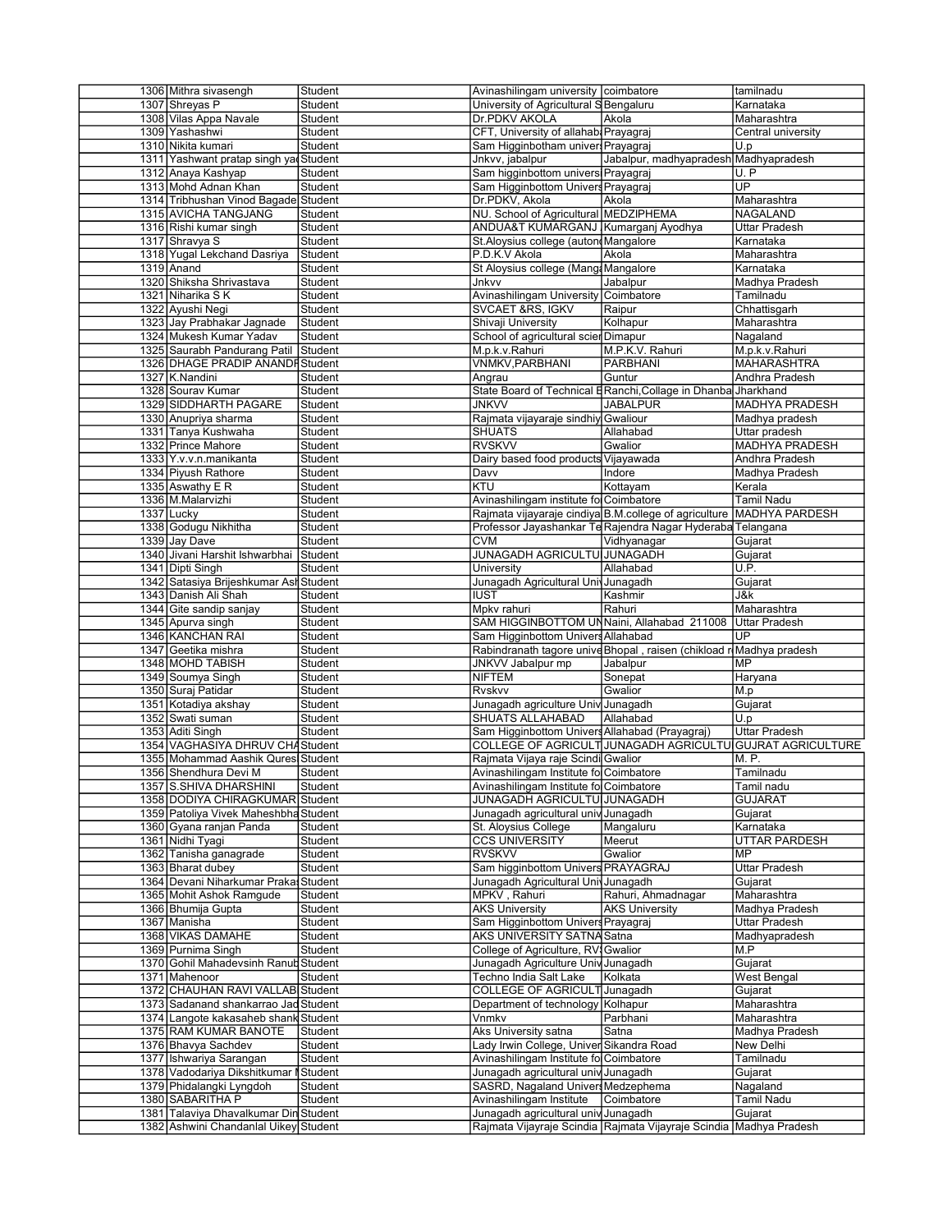| 1306 Mithra sivasengh                                                          | Student | Avinashilingam university coimbatore           |                                                                      | tamilnadu                |
|--------------------------------------------------------------------------------|---------|------------------------------------------------|----------------------------------------------------------------------|--------------------------|
| 1307 Shreyas P                                                                 | Student | University of Agricultural SBengaluru          |                                                                      | Karnataka                |
| 1308 Vilas Appa Navale                                                         | Student | Dr.PDKV AKOLA                                  | Akola                                                                | Maharashtra              |
| 1309 Yashashwi                                                                 | Student | CFT, University of allahab. Prayagraj          |                                                                      | Central university       |
| 1310 Nikita kumari                                                             |         |                                                |                                                                      |                          |
|                                                                                | Student | Sam Higginbotham univer Prayagraj              |                                                                      | U.p                      |
| 1311 Yashwant pratap singh yad Student                                         |         | Jnkvv, jabalpur                                | Jabalpur, madhyapradesh Madhyapradesh                                |                          |
| 1312 Anaya Kashyap                                                             | Student | Sam higginbottom univers Prayagraj             |                                                                      | U.P                      |
| 1313 Mohd Adnan Khan                                                           | Student | Sam Higginbottom Univers Prayagraj             |                                                                      | $\overline{\mathsf{UP}}$ |
| 1314 Tribhushan Vinod Bagade Student                                           |         | Dr.PDKV, Akola                                 | Akola                                                                | Maharashtra              |
|                                                                                |         | NU. School of Agricultural MEDZIPHEMA          |                                                                      |                          |
| 1315 AVICHA TANGJANG                                                           | Student |                                                |                                                                      | <b>NAGALAND</b>          |
| 1316 Rishi kumar singh                                                         | Student | ANDUA&T KUMARGANJ Kumarganj Ayodhya            |                                                                      | <b>Uttar Pradesh</b>     |
| 1317 Shravya S                                                                 | Student | St.Aloysius college (auton Mangalore           |                                                                      | Karnataka                |
| 1318 Yugal Lekchand Dasriya                                                    | Student | P.D.K.V Akola                                  | Akola                                                                | Maharashtra              |
| $1319$ Anand                                                                   | Student | St Aloysius college (Mang: Mangalore           |                                                                      | Karnataka                |
|                                                                                |         |                                                |                                                                      |                          |
| 1320 Shiksha Shrivastava                                                       | Student | Jnkvv                                          | Jabalpur                                                             | Madhya Pradesh           |
| 1321 Niharika SK                                                               | Student | Avinashilingam University Coimbatore           |                                                                      | Tamilnadu                |
| 1322 Ayushi Negi                                                               | Student | <b>SVCAET &amp;RS, IGKV</b>                    | Raipur                                                               | Chhattisgarh             |
| 1323 Jay Prabhakar Jagnade                                                     | Student | Shivaji University                             | Kolhapur                                                             | Maharashtra              |
|                                                                                |         |                                                |                                                                      |                          |
| 1324 Mukesh Kumar Yadav                                                        | Student | School of agricultural scier Dimapur           |                                                                      | Nagaland                 |
| 1325 Saurabh Pandurang Patil                                                   | Student | M.p.k.v.Rahuri                                 | M.P.K.V. Rahuri                                                      | M.p.k.v.Rahuri           |
| 1326 DHAGE PRADIP ANANDE Student                                               |         | <b>VNMKV, PARBHANI</b>                         | <b>PARBHANI</b>                                                      | <b>MAHARASHTRA</b>       |
| 1327 K.Nandini                                                                 | Student | Angrau                                         | Guntur                                                               | Andhra Pradesh           |
|                                                                                |         |                                                |                                                                      |                          |
| 1328 Souray Kumar                                                              | Student |                                                | State Board of Technical ERanchi, Collage in Dhanba Jharkhand        |                          |
| 1329 SIDDHARTH PAGARE                                                          | Student | <b>JNKVV</b>                                   | <b>JABALPUR</b>                                                      | <b>MADHYA PRADESH</b>    |
| 1330 Anupriya sharma                                                           | Student | Rajmata vijayaraje sindhiy Gwaliour            |                                                                      | Madhya pradesh           |
| 1331 Tanya Kushwaha                                                            | Student | <b>SHUATS</b>                                  | Allahabad                                                            | Uttar pradesh            |
|                                                                                |         |                                                |                                                                      |                          |
| 1332 Prince Mahore                                                             | Student | <b>RVSKVV</b>                                  | Gwalior                                                              | <b>MADHYA PRADESH</b>    |
| 1333 Y.v.v.n.manikanta                                                         | Student | Dairy based food products Vijayawada           |                                                                      | Andhra Pradesh           |
| 1334 Piyush Rathore                                                            | Student | Davy                                           | Indore                                                               | Madhya Pradesh           |
|                                                                                | Student | KTU                                            |                                                                      | Kerala                   |
| 1335 Aswathy E R                                                               |         |                                                | Kottayam                                                             |                          |
| 1336 M.Malarvizhi                                                              | Student | Avinashilingam institute fo Coimbatore         |                                                                      | <b>Tamil Nadu</b>        |
| 1337 Lucky                                                                     | Student |                                                | Rajmata vijayaraje cindiya B.M.college of agriculture MADHYA PARDESH |                          |
| 1338 Godugu Nikhitha                                                           | Student |                                                | Professor Jayashankar Te Rajendra Nagar Hyderaba Telangana           |                          |
| 1339 Jay Dave                                                                  | Student | <b>CVM</b>                                     | Vidhyanagar                                                          | Gujarat                  |
|                                                                                |         |                                                |                                                                      |                          |
| 1340 Jivani Harshit Ishwarbhai Student                                         |         | JUNAGADH AGRICULTU JUNAGADH                    |                                                                      | Gujarat                  |
| 1341 Dipti Singh                                                               | Student | University                                     | Allahabad                                                            | U.P.                     |
| 1342 Satasiya Brijeshkumar Ash Student                                         |         | Junagadh Agricultural Univ Junagadh            |                                                                      | Gujarat                  |
|                                                                                |         |                                                |                                                                      |                          |
|                                                                                |         |                                                |                                                                      |                          |
| 1343 Danish Ali Shah                                                           | Student | <b>IUST</b>                                    | Kashmir                                                              | J&k                      |
| 1344 Gite sandip sanjay                                                        | Student | Mpkv rahuri                                    | Rahuri                                                               | Maharashtra              |
|                                                                                | Student | SAM HIGGINBOTTOM UNNaini, Allahabad 211008     |                                                                      | Uttar Pradesh            |
| 1345 Apurva singh                                                              |         |                                                |                                                                      |                          |
| 1346 KANCHAN RAI                                                               | Student | Sam Higginbottom Univers Allahabad             |                                                                      | UP                       |
| 1347 Geetika mishra                                                            | Student |                                                | Rabindranath tagore univeBhopal , raisen (chikload rMMadhya pradesh  |                          |
| 1348 MOHD TABISH                                                               | Student | JNKVV Jabalpur mp                              | Jabalpur                                                             | MP                       |
| 1349 Soumya Singh                                                              | Student | NIFTEM                                         | Sonepat                                                              | Haryana                  |
|                                                                                |         |                                                |                                                                      |                          |
| 1350 Suraj Patidar                                                             | Student | Rvskvv                                         | Gwalior                                                              | M.p                      |
| 1351 Kotadiya akshay                                                           | Student | Junagadh agriculture Univ Junagadh             |                                                                      | Gujarat                  |
| 1352 Swati suman                                                               | Student | SHUATS ALLAHABAD                               | Allahabad                                                            | U.p                      |
|                                                                                | Student |                                                |                                                                      |                          |
| 1353 Aditi Singh                                                               |         | Sam Higginbottom Univers Allahabad (Prayagraj) |                                                                      | Uttar Pradesh            |
| 1354 VAGHASIYA DHRUV CHAStudent                                                |         |                                                | COLLEGE OF AGRICULTIJUNAGADH AGRICULTU GUJRAT AGRICULTURE            |                          |
| 1355 Mohammad Aashik Qures Student                                             |         | Rajmata Vijaya raje Scindi Gwalior             |                                                                      | M. P.                    |
| 1356 Shendhura Devi M                                                          | Student | Avinashilingam Institute fo Coimbatore         |                                                                      | Tamilnadu                |
|                                                                                |         |                                                |                                                                      |                          |
| 1357 S.SHIVA DHARSHINI                                                         | Student | Avinashilingam Institute fo Coimbatore         |                                                                      | Tamil nadu               |
| 1358 DODIYA CHIRAGKUMAR Student                                                |         | JUNAGADH AGRICULTU JUNAGADH                    |                                                                      | <b>GUJARAT</b>           |
| 1359 Patoliya Vivek Maheshbha Student                                          |         | Junagadh agricultural univ Junagadh            |                                                                      | Gujarat                  |
| 1360 Gyana ranjan Panda                                                        | Student | St. Alovsius College                           | Mangaluru                                                            | Karnataka                |
|                                                                                |         |                                                |                                                                      |                          |
| 1361 Nidhi Tyagi                                                               | Student | <b>CCS UNIVERSITY</b>                          | Meerut                                                               | <b>UTTAR PARDESH</b>     |
| 1362 Tanisha ganagrade                                                         | Student | <b>RVSKVV</b>                                  | Gwalior                                                              | MP.                      |
| 1363 Bharat dubey                                                              | Student | Sam higginbottom Univers PRAYAGRAJ             |                                                                      | Uttar Pradesh            |
| 1364 Devani Niharkumar Praka Student                                           |         | Junagadh Agricultural Univ Junagadh            |                                                                      | Gujarat                  |
|                                                                                |         |                                                |                                                                      |                          |
| 1365 Mohit Ashok Ramgude                                                       | Student | MPKV, Rahuri                                   | Rahuri, Ahmadnagar                                                   | Maharashtra              |
| 1366 Bhumija Gupta                                                             | Student | <b>AKS University</b>                          | <b>AKS University</b>                                                | Madhya Pradesh           |
| 1367 Manisha                                                                   | Student | Sam Higginbottom Univers Prayagraj             |                                                                      | <b>Uttar Pradesh</b>     |
| 1368 VIKAS DAMAHE                                                              | Student | AKS UNIVERSITY SATNA Satna                     |                                                                      | Madhyapradesh            |
|                                                                                |         |                                                |                                                                      |                          |
| 1369 Purnima Singh                                                             | Student | College of Agriculture, RVI Gwalior            |                                                                      | M.P                      |
| 1370 Gohil Mahadevsinh Ranut Student                                           |         | Junagadh Agriculture Univ Junagadh             |                                                                      | Gujarat                  |
| 1371 Mahenoor                                                                  | Student | Techno India Salt Lake                         | Kolkata                                                              | West Bengal              |
|                                                                                |         |                                                |                                                                      | Gujarat                  |
| 1372 CHAUHAN RAVI VALLAB Student                                               |         | COLLEGE OF AGRICULT Junagadh                   |                                                                      |                          |
| 1373 Sadanand shankarrao Jad Student                                           |         | Department of technology Kolhapur              |                                                                      | Maharashtra              |
| 1374 Langote kakasaheb shank Student                                           |         | Vnmkv                                          | Parbhani                                                             | Maharashtra              |
|                                                                                | Student | Aks University satna                           | Satna                                                                | Madhya Pradesh           |
| 1375 RAM KUMAR BANOTE                                                          |         |                                                |                                                                      |                          |
| 1376 Bhavya Sachdev                                                            | Student | Lady Irwin College, Univer Sikandra Road       |                                                                      | New Delhi                |
| 1377 Ishwariya Sarangan                                                        | Student | Avinashilingam Institute fo Coimbatore         |                                                                      | Tamilnadu                |
| 1378 Vadodariya Dikshitkumar Student                                           |         | Junagadh agricultural univ Junagadh            |                                                                      | Gujarat                  |
|                                                                                |         |                                                |                                                                      |                          |
| 1379 Phidalangki Lyngdoh                                                       | Student | SASRD, Nagaland Univers Medzephema             |                                                                      | Nagaland                 |
| 1380 SABARITHA P                                                               | Student | Avinashilingam Institute                       | Coimbatore                                                           | Tamil Nadu               |
| 1381 Talaviya Dhavalkumar Din Student<br>1382 Ashwini Chandanlal Uikey Student |         | Junagadh agricultural univ Junagadh            | Rajmata Vijayraje Scindia Rajmata Vijayraje Scindia Madhya Pradesh   | Gujarat                  |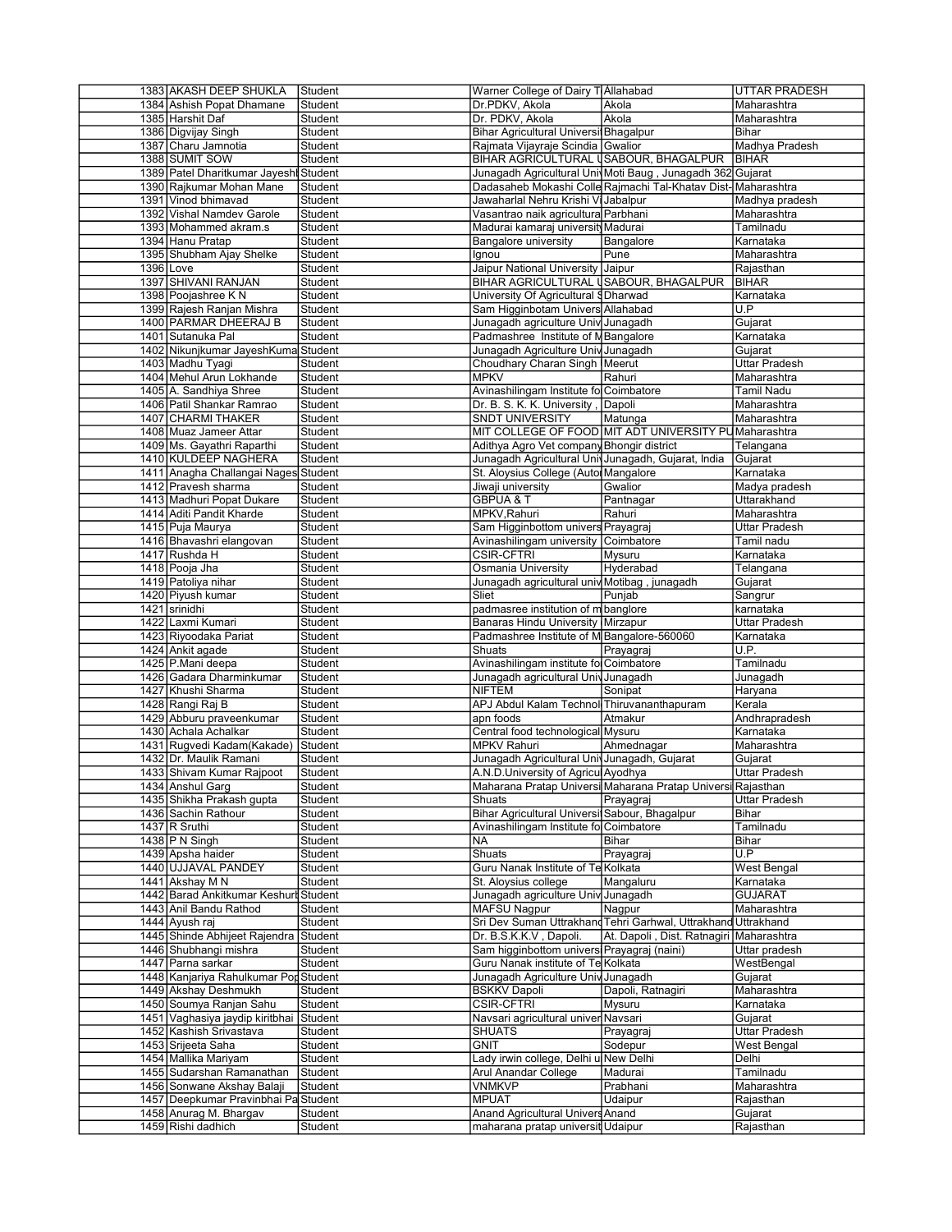| 1383 AKASH DEEP SHUKLA                                      | Student                   | Warner College of Dairy T Allahabad                                     |                                                               | UTTAR PRADESH                    |
|-------------------------------------------------------------|---------------------------|-------------------------------------------------------------------------|---------------------------------------------------------------|----------------------------------|
| 1384 Ashish Popat Dhamane                                   | Student                   | Dr.PDKV, Akola                                                          | Akola                                                         | Maharashtra                      |
| 1385 Harshit Daf                                            | Student                   | Dr. PDKV, Akola                                                         | Akola                                                         | Maharashtra                      |
| 1386 Digvijay Singh                                         | Student                   | Bihar Agricultural Universi Bhagalpur                                   |                                                               | Bihar                            |
| 1387 Charu Jamnotia                                         | Student                   | Rajmata Vijayraje Scindia Gwalior                                       |                                                               | Madhya Pradesh                   |
| 1388 SUMIT SOW                                              | Student                   |                                                                         | BIHAR AGRICULTURAL USABOUR, BHAGALPUR   BIHAR                 |                                  |
| 1389 Patel Dharitkumar Jayeshi Student                      | Student                   |                                                                         | Junagadh Agricultural Univ Moti Baug, Junagadh 362 Gujarat    |                                  |
| 1390 Rajkumar Mohan Mane<br>1391 Vinod bhimavad             | Student                   | Jawaharlal Nehru Krishi Vi Jabalpur                                     | Dadasaheb Mokashi Colle Rajmachi Tal-Khatav Dist-Maharashtra  | Madhya pradesh                   |
| 1392 Vishal Namdev Garole                                   | Student                   | Vasantrao naik agricultura Parbhani                                     |                                                               | Maharashtra                      |
| 1393 Mohammed akram.s                                       | Student                   | Madurai kamaraj universit Madurai                                       |                                                               | Tamilnadu                        |
| 1394 Hanu Pratap                                            | Student                   |                                                                         |                                                               | Karnataka                        |
| 1395 Shubham Ajay Shelke                                    | <b>Student</b>            | Bangalore university<br>lgnou                                           | Bangalore<br>Pune                                             | Maharashtra                      |
| $1396$ Love                                                 | Student                   | Jaipur National University Jaipur                                       |                                                               | Rajasthan                        |
| 1397 SHIVANI RANJAN                                         | Student                   | BIHAR AGRICULTURAL USABOUR, BHAGALPUR                                   |                                                               | <b>BIHAR</b>                     |
| 1398 Pooiashree KN                                          | Student                   |                                                                         |                                                               | Karnataka                        |
|                                                             | Student                   | University Of Agricultural § Dharwad                                    |                                                               | U.P                              |
| 1399 Rajesh Ranjan Mishra<br>1400 PARMAR DHEERAJ B          | Student                   | Sam Higginbotam Univers Allahabad<br>Junagadh agriculture Univ Junagadh |                                                               | Gujarat                          |
| 1401 Sutanuka Pal                                           | Student                   | Padmashree Institute of M Bangalore                                     |                                                               | Karnataka                        |
| 1402 Nikunjkumar JayeshKuma Student                         |                           | Junagadh Agriculture Univ Junagadh                                      |                                                               | Gujarat                          |
|                                                             | Student                   |                                                                         |                                                               |                                  |
| 1403 Madhu Tyagi<br>1404 Mehul Arun Lokhande                |                           | Choudhary Charan Singh Meerut                                           |                                                               | <b>Uttar Pradesh</b>             |
|                                                             | Student                   | <b>MPKV</b>                                                             | Rahuri                                                        | Maharashtra<br><b>Tamil Nadu</b> |
| 1405 A. Sandhiya Shree                                      | Student<br>Student        | Avinashilingam Institute fo Coimbatore<br>Dr. B. S. K. K. University,   |                                                               | Maharashtra                      |
| 1406 Patil Shankar Ramrao                                   |                           |                                                                         | Dapoli                                                        |                                  |
| 1407 CHARMI THAKER                                          | Student                   | <b>SNDT UNIVERSITY</b>                                                  | Matunga                                                       | Maharashtra                      |
| 1408 Muaz Jameer Attar                                      | Student                   |                                                                         | MIT COLLEGE OF FOOD MIT ADT UNIVERSITY PUMaharashtra          |                                  |
| 1409 Ms. Gayathri Raparthi                                  | Student                   | Adithya Agro Vet company Bhongir district                               |                                                               | Telangana                        |
| 1410 KULDEEP NAGHERA                                        | Student                   | Junagadh Agricultural Univ Junagadh, Gujarat, India                     |                                                               | Gujarat                          |
| 1411 Anagha Challangai Nages Student<br>1412 Pravesh sharma |                           | St. Aloysius College (Autor Mangalore                                   |                                                               | Karnataka                        |
|                                                             | Student                   | Jiwaji university                                                       | Gwalior                                                       | Madya pradesh                    |
| 1413 Madhuri Popat Dukare                                   | Student                   | <b>GBPUA &amp; T</b>                                                    | Pantnagar                                                     | Uttarakhand                      |
| 1414 Aditi Pandit Kharde                                    | Student                   | MPKV, Rahuri                                                            | Rahuri                                                        | Maharashtra                      |
| 1415 Puja Maurya                                            | Student                   | Sam Higginbottom univers Prayagraj                                      |                                                               | <b>Uttar Pradesh</b>             |
| 1416 Bhavashri elangovan                                    | Student<br>Student        | Avinashilingam university                                               | Coimbatore                                                    | Tamil nadu                       |
| 1417 Rushda H                                               |                           | <b>CSIR-CFTRI</b>                                                       | Mysuru                                                        | Karnataka                        |
| 1418 Pooja Jha                                              | Student                   | Osmania University                                                      | Hyderabad                                                     | Telangana                        |
| 1419 Patoliya nihar                                         | Student                   | Junagadh agricultural univ Motibag, junagadh                            |                                                               | Gujarat                          |
| 1420 Piyush kumar                                           | Student                   | Sliet                                                                   | Punjab                                                        | Sangrur                          |
| 1421 srinidhi                                               | Student                   | padmasree institution of m banglore                                     |                                                               | karnataka                        |
| 1422 Laxmi Kumari                                           | Student                   | Banaras Hindu University Mirzapur                                       |                                                               | Uttar Pradesh                    |
| 1423 Riyoodaka Pariat                                       | Student                   | Padmashree Institute of M Bangalore-560060                              |                                                               | Karnataka<br>U.P.                |
| 1424 Ankit agade                                            | Student                   | Shuats                                                                  | Prayagraj                                                     |                                  |
| 1425 P.Mani deepa                                           | Student                   | Avinashilingam institute fo Coimbatore                                  |                                                               | Tamilnadu                        |
| 1426 Gadara Dharminkumar                                    | Student                   | Junagadh agricultural Univ Junagadh                                     |                                                               | Junagadh                         |
| 1427 Khushi Sharma                                          | Student                   | <b>NIFTEM</b>                                                           | Sonipat                                                       | Haryana                          |
| 1428 Rangi Raj B                                            | Student<br><b>Student</b> | APJ Abdul Kalam Technol Thiruvananthapuram                              |                                                               | Kerala                           |
| 1429 Abburu praveenkumar                                    |                           | apn foods<br>Central food technological Mysuru                          | Atmakur                                                       | Andhrapradesh                    |
| 1430 Achala Achalkar<br>1431 Rugvedi Kadam (Kakade)         |                           |                                                                         |                                                               |                                  |
|                                                             | Student                   |                                                                         |                                                               | Karnataka                        |
|                                                             | Student                   | <b>MPKV Rahuri</b>                                                      | Ahmednagar                                                    | Maharashtra                      |
| 1432 Dr. Maulik Ramani                                      | Student                   | Junagadh Agricultural Univ Junagadh, Gujarat                            |                                                               | Guiarat                          |
| 1433 Shivam Kumar Rajpoot                                   | Student                   | A.N.D.University of Agricul Ayodhya                                     |                                                               | <b>Uttar Pradesh</b>             |
| 1434 Anshul Garg                                            | Student                   |                                                                         | Maharana Pratap Universi Maharana Pratap Universi Rajasthan   |                                  |
| 1435 Shikha Prakash gupta                                   | Student                   | Shuats                                                                  | Prayagraj                                                     | <b>Uttar Pradesh</b>             |
| 1436 Sachin Rathour                                         | Student                   | Bihar Agricultural Universi Sabour, Bhagalpur                           |                                                               | Bihar                            |
| 1437 R Sruthi                                               | Student                   | Avinashilingam Institute fo Coimbatore                                  |                                                               | Tamilnadu                        |
| 1438 $P$ N Singh                                            | Student                   | NA                                                                      | Bihar                                                         | Bihar                            |
| 1439 Apsha haider                                           | Student                   | Shuats                                                                  | Prayagraj                                                     | U.P                              |
| 1440 UJJAVAL PANDEY                                         | Student                   | Guru Nanak Institute of Te Kolkata                                      |                                                               | West Bengal                      |
| 1441 Akshay M N                                             | Student                   | St. Aloysius college                                                    | Mangaluru                                                     | Karnataka                        |
| 1442 Barad Ankitkumar Keshurt Student                       |                           | Junagadh agriculture Univ Junagadh                                      |                                                               | <b>GUJARAT</b>                   |
| 1443 Anil Bandu Rathod                                      | Student                   | <b>MAFSU Nagpur</b>                                                     | Nagpur                                                        | Maharashtra                      |
| 1444 Ayush raj                                              | Student                   |                                                                         | Sri Dev Suman Uttrakhand Tehri Garhwal, Uttrakhand Uttrakhand |                                  |
| 1445 Shinde Abhijeet Rajendra                               | Student                   | Dr. B.S.K.K.V, Dapoli.                                                  | At. Dapoli, Dist. Ratnagiri                                   | Maharashtra                      |
| 1446 Shubhangi mishra                                       | Student                   | Sam higginbottom universi Prayagraj (naini)                             |                                                               | Uttar pradesh                    |
| 1447 Parna sarkar                                           | Student                   | Guru Nanak institute of Te Kolkata                                      |                                                               | WestBengal                       |
| 1448 Kanjariya Rahulkumar Por Student                       |                           | Junagadh Agriculture Univ Junagadh                                      |                                                               | Gujarat                          |
| 1449 Akshay Deshmukh                                        | Student                   | <b>BSKKV Dapoli</b>                                                     | Dapoli, Ratnagiri                                             | Maharashtra                      |
| 1450 Soumya Ranjan Sahu                                     | Student                   | <b>CSIR-CFTRI</b>                                                       | Mysuru                                                        | Karnataka                        |
| 1451 Vaghasiya jaydip kiritbhai Student                     |                           | Navsari agricultural univer Navsari                                     |                                                               | Gujarat                          |
| 1452 Kashish Srivastava                                     | Student                   | <b>SHUATS</b>                                                           | Prayagraj                                                     | Uttar Pradesh                    |
| 1453 Srijeeta Saha                                          | Student                   | <b>GNIT</b>                                                             | Sodepur                                                       | West Bengal                      |
| 1454 Mallika Mariyam                                        | Student                   | Lady irwin college, Delhi u New Delhi                                   |                                                               | Delhi                            |
| 1455 Sudarshan Ramanathan                                   | Student                   | Arul Anandar College                                                    | Madurai                                                       | Tamilnadu                        |
| 1456 Sonwane Akshay Balaji                                  | Student                   | <b>VNMKVP</b>                                                           | Prabhani                                                      | Maharashtra                      |
| 1457 Deepkumar Pravinbhai Pa Student                        |                           | <b>MPUAT</b>                                                            | Udaipur                                                       | Rajasthan                        |
| 1458 Anurag M. Bhargav<br>1459 Rishi dadhich                | Student<br>Student        | Anand Agricultural Univers Anand<br>maharana pratap universit Udaipur   |                                                               | Gujarat<br>Rajasthan             |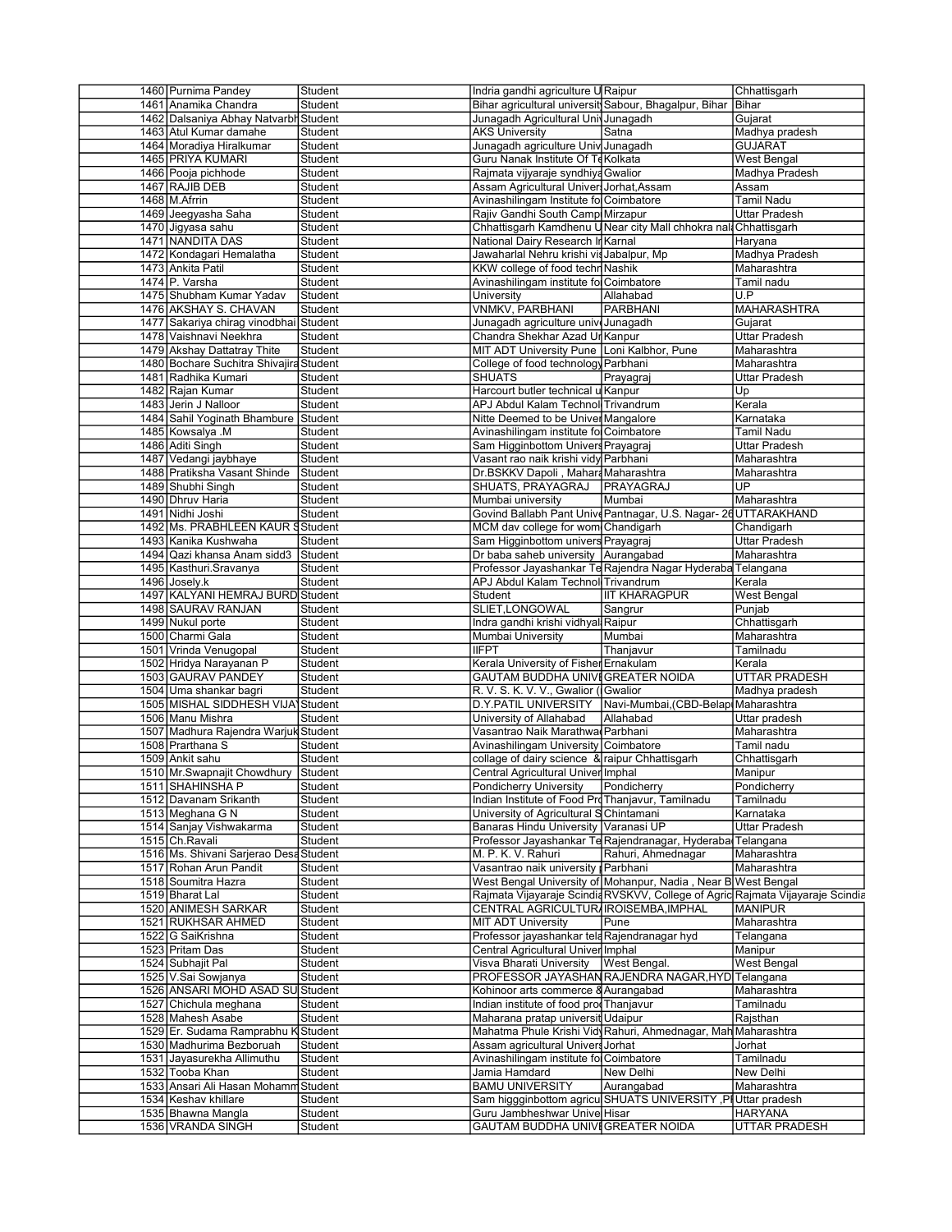| 1460 Purnima Pandey                     | Student            | Indria gandhi agriculture U Raipur                               |                                                                               | Chhattisgarh                           |
|-----------------------------------------|--------------------|------------------------------------------------------------------|-------------------------------------------------------------------------------|----------------------------------------|
| 1461 Anamika Chandra                    | Student            |                                                                  | Bihar agricultural universit Sabour, Bhagalpur, Bihar   Bihar                 |                                        |
| 1462 Dalsaniya Abhay Natvarbh Student   |                    | Junagadh Agricultural Univ Junagadh                              |                                                                               | Gujarat                                |
| 1463 Atul Kumar damahe                  | Student            | <b>AKS Universitv</b>                                            | Satna                                                                         | Madhya pradesh                         |
|                                         |                    |                                                                  |                                                                               |                                        |
| 1464 Moradiya Hiralkumar                | Student            | Junagadh agriculture Univ Junagadh                               |                                                                               | <b>GUJARAT</b>                         |
| 1465 PRIYA KUMARI                       | Student            | Guru Nanak Institute Of Te Kolkata                               |                                                                               | West Bengal                            |
| 1466 Pooja pichhode                     | Student            | Rajmata vijyaraje syndhiya Gwalior                               |                                                                               | Madhya Pradesh                         |
| 1467 RAJIB DEB                          | Student            | Assam Agricultural Univer Jorhat, Assam                          |                                                                               | Assam                                  |
|                                         |                    |                                                                  |                                                                               | <b>Tamil Nadu</b>                      |
| 1468 M. Afrrin                          | Student            | Avinashilingam Institute fo Coimbatore                           |                                                                               |                                        |
| 1469 Jeegyasha Saha                     | Student            | Rajiv Gandhi South Camp Mirzapur                                 |                                                                               | <b>Uttar Pradesh</b>                   |
| 1470 Jigyasa sahu                       | Student            |                                                                  | Chhattisgarh Kamdhenu UNear city Mall chhokra nal Chhattisgarh                |                                        |
| 1471 NANDITA DAS                        | Student            | National Dairy Research Ir Karnal                                |                                                                               | Haryana                                |
|                                         |                    |                                                                  |                                                                               |                                        |
| 1472 Kondagari Hemalatha                | Student            | Jawaharlal Nehru krishi vis Jabalpur, Mp                         |                                                                               | Madhya Pradesh                         |
| 1473 Ankita Patil                       | Student            | KKW college of food techn Nashik                                 |                                                                               | Maharashtra                            |
| 1474 P. Varsha                          | Student            | Avinashilingam institute fol Coimbatore                          |                                                                               | Tamil nadu                             |
| 1475 Shubham Kumar Yadav                | Student            | University                                                       | Allahabad                                                                     | U.P                                    |
|                                         |                    |                                                                  |                                                                               |                                        |
| 1476 AKSHAY S. CHAVAN                   | Student            | <b>VNMKV, PARBHANI</b>                                           | <b>PARBHANI</b>                                                               | MAHARASHTRA                            |
| 1477 Sakariya chirag vinodbhai Student  |                    | Junagadh agriculture unive Junagadh                              |                                                                               | Gujarat                                |
| 1478 Vaishnavi Neekhra                  | Student            | Chandra Shekhar Azad Ur Kanpur                                   |                                                                               | Uttar Pradesh                          |
| 1479 Akshay Dattatray Thite             | Student            | MIT ADT University Pune Loni Kalbhor, Pune                       |                                                                               | Maharashtra                            |
|                                         |                    |                                                                  |                                                                               |                                        |
| 1480 Bochare Suchitra Shivajira Student |                    | College of food technology Parbhani                              |                                                                               | Maharashtra                            |
| 1481 Radhika Kumari                     | Student            | <b>SHUATS</b>                                                    | Prayagraj                                                                     | Uttar Pradesh                          |
| 1482 Rajan Kumar                        | Student            | Harcourt butler technical u Kanpur                               |                                                                               | Up                                     |
| 1483 Jerin J Nalloor                    | Student            | APJ Abdul Kalam Technol Trivandrum                               |                                                                               | Kerala                                 |
|                                         |                    |                                                                  |                                                                               |                                        |
| 1484 Sahil Yoginath Bhambure Student    |                    | Nitte Deemed to be Univer Mangalore                              |                                                                               | Karnataka                              |
| 1485 Kowsalya .M                        | Student            | Avinashilingam institute fol Coimbatore                          |                                                                               | Tamil Nadu                             |
| 1486 Aditi Singh                        | Student            | Sam Higginbottom Univers Prayagraj                               |                                                                               | Uttar Pradesh                          |
|                                         |                    |                                                                  |                                                                               |                                        |
| 1487 Vedangi jaybhaye                   | Student            | Vasant rao naik krishi vidy Parbhani                             |                                                                               | Maharashtra                            |
| 1488 Pratiksha Vasant Shinde            | Student            | Dr.BSKKV Dapoli, MaharaMaharashtra                               |                                                                               | Maharashtra                            |
| 1489 Shubhi Singh                       | Student            | SHUATS, PRAYAGRAJ                                                | PRAYAGRAJ                                                                     | UP.                                    |
| 1490 Dhruv Haria                        | Student            |                                                                  | Mumbai                                                                        | Maharashtra                            |
|                                         |                    | Mumbai university                                                |                                                                               |                                        |
| 1491 Nidhi Joshi                        | Student            |                                                                  | Govind Ballabh Pant Unive Pantnagar, U.S. Nagar- 26 UTTARAKHAND               |                                        |
| 1492 Ms. PRABHLEEN KAUR Student         |                    | MCM dav college for wom Chandigarh                               |                                                                               | Chandigarh                             |
| 1493 Kanika Kushwaha                    | Student            | Sam Higginbottom univers Prayagraj                               |                                                                               | Uttar Pradesh                          |
|                                         |                    | Dr baba saheb university Aurangabad                              |                                                                               | Maharashtra                            |
| 1494 Qazi khansa Anam sidd3 Student     |                    |                                                                  |                                                                               |                                        |
| 1495 Kasthuri.Sravanya                  | Student            |                                                                  | Professor Jayashankar Te Rajendra Nagar Hyderaba Telangana                    |                                        |
| 1496 Josely.k                           | Student            | APJ Abdul Kalam Technol Trivandrum                               |                                                                               | Kerala                                 |
| 1497 KALYANI HEMRAJ BURD Student        |                    | Student                                                          | <b>IIT KHARAGPUR</b>                                                          | West Bengal                            |
|                                         |                    |                                                                  |                                                                               |                                        |
| 1498 SAURAV RANJAN                      | Student            | SLIET, LONGOWAL                                                  | Sangrur                                                                       | Punjab                                 |
| 1499 Nukul porte                        | Student            | Indra gandhi krishi vidhyal Raipur                               |                                                                               | Chhattisgarh                           |
|                                         |                    |                                                                  |                                                                               |                                        |
|                                         |                    |                                                                  |                                                                               |                                        |
| 1500 Charmi Gala                        | Student            | Mumbai University                                                | Mumbai                                                                        | Maharashtra                            |
| 1501 Vrinda Venugopal                   | Student            | <b>IIFPT</b>                                                     | Thanjavur                                                                     | Tamilnadu                              |
| 1502 Hridya Narayanan P                 | Student            | Kerala University of Fisher Ernakulam                            |                                                                               | Kerala                                 |
| 1503 GAURAV PANDEY                      | Student            |                                                                  |                                                                               |                                        |
|                                         |                    | <b>GAUTAM BUDDHA UNIVE GREATER NOIDA</b>                         |                                                                               | <b>UTTAR PRADESH</b>                   |
| 1504 Uma shankar bagri                  | Student            | R. V. S. K. V. V., Gwalior (Gwalior                              |                                                                               | Madhya pradesh                         |
| 1505 MISHAL SIDDHESH VIJA Student       |                    |                                                                  | D.Y.PATIL UNIVERSITY Navi-Mumbai, (CBD-Belap Maharashtra                      |                                        |
| 1506 Manu Mishra                        | Student            |                                                                  | Allahabad                                                                     |                                        |
|                                         |                    | University of Allahabad                                          |                                                                               | Uttar pradesh                          |
| 1507 Madhura Rajendra Warjuk Student    |                    | Vasantrao Naik Marathwa Parbhani                                 |                                                                               | Maharashtra                            |
| 1508 Prarthana S                        | Student            | <b>Avinashilingam University Coimbatore</b>                      |                                                                               | Tamil nadu                             |
| 1509 Ankit sahu                         | Student            | collage of dairy science & raipur Chhattisgarh                   |                                                                               | Chhattisgarh                           |
|                                         |                    |                                                                  |                                                                               |                                        |
| 1510 Mr. Swapnajit Chowdhury Student    |                    | Central Agricultural Univer Imphal                               |                                                                               | Manipur                                |
| 1511 SHAHINSHA P                        | Student            | Pondicherry University                                           | Pondicherry                                                                   | Pondicherry                            |
| 1512 Davanam Srikanth                   | Student            | Indian Institute of Food ProThanjavur, Tamilnadu                 |                                                                               | Tamilnadu                              |
| 1513 Meghana G N                        | Student            | University of Agricultural S Chintamani                          |                                                                               | Karnataka                              |
|                                         |                    |                                                                  |                                                                               |                                        |
| 1514 Sanjay Vishwakarma                 | Student            | Banaras Hindu University Varanasi UP                             |                                                                               | Uttar Pradesh                          |
| 1515 Ch. Ravali                         | Student            |                                                                  | Professor Jayashankar Te Rajendranagar, Hyderaba                              | Telangana                              |
| 1516 Ms. Shivani Sarjerao Desa Student  |                    | M. P. K. V. Rahuri                                               | Rahuri, Ahmednagar                                                            | Maharashtra                            |
|                                         |                    |                                                                  |                                                                               |                                        |
| 1517 Rohan Arun Pandit                  | Student            | Vasantrao naik university Parbhani                               |                                                                               | Maharashtra                            |
| 1518 Soumitra Hazra                     | Student            |                                                                  | West Bengal University of Mohanpur, Nadia, Near B West Bengal                 |                                        |
| 1519 Bharat Lal                         | Student            |                                                                  | Rajmata Vijayaraje ScindiaRVSKVV, College of Agric Rajmata Vijayaraje Scindia |                                        |
| 1520 ANIMESH SARKAR                     | Student            | CENTRAL AGRICULTUR IROISEMBA, IMPHAL                             |                                                                               | <b>MANIPUR</b>                         |
|                                         |                    |                                                                  |                                                                               |                                        |
| 1521 RUKHSAR AHMED                      | Student            | <b>MIT ADT University</b>                                        | Pune                                                                          | Maharashtra                            |
| 1522 G SaiKrishna                       | Student            | Professor jayashankar tela Rajendranagar hyd                     |                                                                               | Telangana                              |
| 1523 Pritam Das                         | Student            | Central Agricultural Univer Imphal                               |                                                                               | Manipur                                |
| 1524 Subhajit Pal                       | Student            | Visva Bharati University                                         | West Bengal.                                                                  | West Bengal                            |
|                                         |                    |                                                                  |                                                                               |                                        |
| 1525 V.Sai Sowjanya                     | Student            |                                                                  | PROFESSOR JAYASHAN RAJENDRA NAGAR, HYD Telangana                              |                                        |
| 1526 ANSARI MOHD ASAD SU Student        |                    | Kohinoor arts commerce 8 Aurangabad                              |                                                                               | Maharashtra                            |
| 1527 Chichula meghana                   | Student            | Indian institute of food prod Thanjavur                          |                                                                               | Tamilnadu                              |
|                                         |                    |                                                                  |                                                                               |                                        |
| 1528 Mahesh Asabe                       | Student            | Maharana pratap universit Udaipur                                |                                                                               | Rajsthan                               |
| 1529 Er. Sudama Ramprabhu K Student     |                    |                                                                  | Mahatma Phule Krishi Vidy Rahuri, Ahmednagar, Mah Maharashtra                 |                                        |
| 1530 Madhurima Bezboruah                | Student            | Assam agricultural Univers Jorhat                                |                                                                               | Jorhat                                 |
|                                         |                    |                                                                  |                                                                               |                                        |
| 1531 Jayasurekha Allimuthu              | Student            | Avinashilingam institute fol Coimbatore                          |                                                                               | Tamilnadu                              |
| 1532 Tooba Khan                         | Student            | Jamia Hamdard                                                    | New Delhi                                                                     | New Delhi                              |
| 1533 Ansari Ali Hasan Mohamm Student    |                    | <b>BAMU UNIVERSITY</b>                                           | Aurangabad                                                                    | Maharashtra                            |
| 1534 Keshav khillare                    | Student            |                                                                  | Sam higgginbottom agricu SHUATS UNIVERSITY, PI Uttar pradesh                  |                                        |
|                                         |                    |                                                                  |                                                                               |                                        |
| 1535 Bhawna Mangla<br>1536 VRANDA SINGH | Student<br>Student | Guru Jambheshwar Unive Hisar<br>GAUTAM BUDDHA UNIVEGREATER NOIDA |                                                                               | <b>HARYANA</b><br><b>UTTAR PRADESH</b> |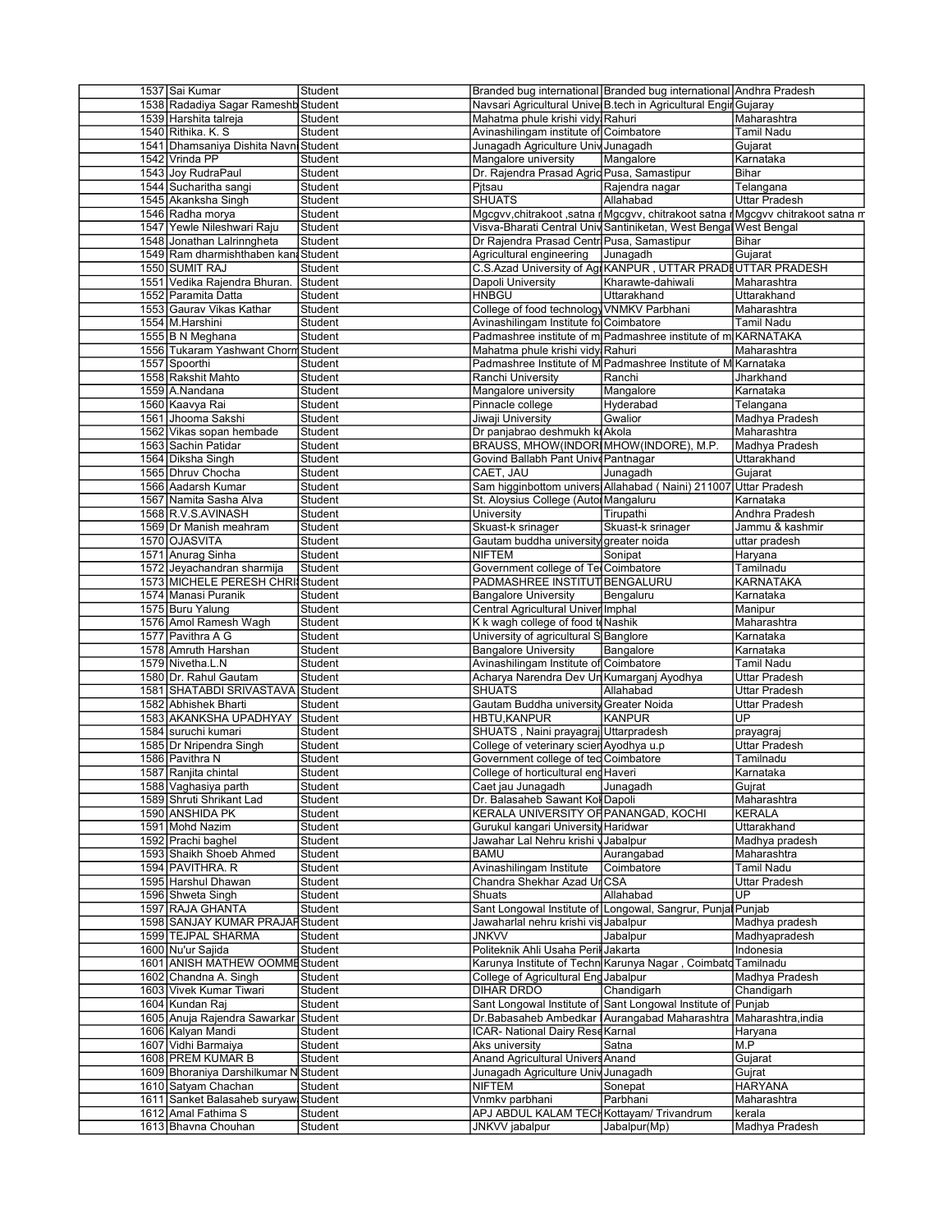| 1537 Sai Kumar                        | Student |                                            | Branded bug international Branded bug international Andhra Pradesh              |                      |
|---------------------------------------|---------|--------------------------------------------|---------------------------------------------------------------------------------|----------------------|
| 1538 Radadiya Sagar Rameshb Student   |         |                                            | Navsari Agricultural Unive B.tech in Agricultural Engir Gujaray                 |                      |
| 1539 Harshita talreja                 | Student | Mahatma phule krishi vidy Rahuri           |                                                                                 | Maharashtra          |
| 1540 Rithika, K. S.                   | Student | Avinashilingam institute of Coimbatore     |                                                                                 | Tamil Nadu           |
| 1541 Dhamsaniya Dishita Navni Student |         | Junagadh Agriculture Univ Junagadh         |                                                                                 | Gujarat              |
| 1542 Vrinda PP                        | Student | Mangalore university                       | Mangalore                                                                       | Karnataka            |
|                                       |         |                                            |                                                                                 |                      |
| 1543 Joy RudraPaul                    | Student | Dr. Rajendra Prasad Agric Pusa, Samastipur |                                                                                 | Bihar                |
| 1544 Sucharitha sangi                 | Student | Pitsau                                     | Rajendra nagar                                                                  | Telangana            |
| 1545 Akanksha Singh                   | Student | <b>SHUATS</b>                              | Allahabad                                                                       | <b>Uttar Pradesh</b> |
| 1546 Radha morya                      | Student |                                            | Mgcgvv, chitrakoot , satna rMgcgvv, chitrakoot satna rMgcgvv chitrakoot satna m |                      |
| 1547 Yewle Nileshwari Raju            | Student |                                            | Visva-Bharati Central Univ Santiniketan, West Bengal West Bengal                |                      |
| 1548 Jonathan Lalrinngheta            | Student | Dr Rajendra Prasad Centr Pusa, Samastipur  |                                                                                 | Bihar                |
| 1549 Ram dharmishthaben kan Student   |         | Agricultural engineering                   | Junagadh                                                                        | Gujarat              |
|                                       |         |                                            |                                                                                 |                      |
| 1550 SUMIT RAJ                        | Student |                                            | C.S.Azad University of Agr KANPUR, UTTAR PRADI UTTAR PRADESH                    |                      |
| 1551 Vedika Rajendra Bhuran.          | Student | Dapoli University                          | Kharawte-dahiwali                                                               | Maharashtra          |
| 1552 Paramita Datta                   | Student | <b>HNBGU</b>                               | Uttarakhand                                                                     | Uttarakhand          |
| 1553 Gaurav Vikas Kathar              | Student | College of food technology VNMKV Parbhani  |                                                                                 | Maharashtra          |
| 1554 M.Harshini                       | Student | Avinashilingam Institute fo Coimbatore     |                                                                                 | <b>Tamil Nadu</b>    |
| 1555 B N Meghana                      | Student |                                            | Padmashree institute of m Padmashree institute of m KARNATAKA                   |                      |
| 1556 Tukaram Yashwant Chorm Student   |         |                                            |                                                                                 | Maharashtra          |
|                                       |         | Mahatma phule krishi vidy Rahuri           |                                                                                 |                      |
| 1557 Spoorthi                         | Student |                                            | Padmashree Institute of M Padmashree Institute of M Karnataka                   |                      |
| 1558 Rakshit Mahto                    | Student | Ranchi University                          | Ranchi                                                                          | Jharkhand            |
| 1559 A.Nandana                        | Student | Mangalore university                       | Mangalore                                                                       | Karnataka            |
| 1560 Kaavya Rai                       | Student | Pinnacle college                           | Hyderabad                                                                       | Telangana            |
| 1561 Jhooma Sakshi                    | Student | Jiwaji University                          | Gwalior                                                                         | Madhya Pradesh       |
| 1562 Vikas sopan hembade              | Student |                                            |                                                                                 |                      |
|                                       |         | Dr panjabrao deshmukh ki Akola             |                                                                                 | Maharashtra          |
| 1563 Sachin Patidar                   | Student | BRAUSS, MHOW(INDORIMHOW(INDORE), M.P.      |                                                                                 | Madhya Pradesh       |
| 1564 Diksha Singh                     | Student | Govind Ballabh Pant Unive Pantnagar        |                                                                                 | Uttarakhand          |
| 1565 Dhruv Chocha                     | Student | CAET, JAU                                  | Junagadh                                                                        | Gujarat              |
| 1566 Aadarsh Kumar                    | Student |                                            | Sam higginbottom universi Allahabad (Naini) 211007                              | <b>Uttar Pradesh</b> |
| 1567 Namita Sasha Alva                | Student | St. Aloysius College (Autol Mangaluru      |                                                                                 | Karnataka            |
|                                       |         |                                            |                                                                                 |                      |
| 1568 R.V.S.AVINASH                    | Student | University                                 | Tirupathi                                                                       | Andhra Pradesh       |
| 1569 Dr Manish meahram                | Student | Skuast-k srinager                          | Skuast-k srinager                                                               | Jammu & kashmir      |
| 1570 OJASVITA                         | Student | Gautam buddha university greater noida     |                                                                                 | uttar pradesh        |
| 1571 Anurag Sinha                     | Student | <b>NIFTEM</b>                              | Sonipat                                                                         | Haryana              |
| 1572 Jeyachandran sharmija            | Student | Government college of Tel Coimbatore       |                                                                                 | Tamilnadu            |
| 1573 MICHELE PERESH CHRIStudent       |         | PADMASHREE INSTITUT BENGALURU              |                                                                                 | KARNATAKA            |
|                                       |         |                                            |                                                                                 |                      |
| 1574 Manasi Puranik                   | Student | <b>Bangalore University</b>                | Bengaluru                                                                       | Karnataka            |
| 1575 Buru Yalung                      | Student | Central Agricultural Univer Imphal         |                                                                                 | Manipur              |
| 1576 Amol Ramesh Wagh                 | Student | K k wagh college of food to Nashik         |                                                                                 | Maharashtra          |
| 1577 Pavithra A G                     | Student | University of agricultural S Banglore      |                                                                                 | Karnataka            |
| 1578 Amruth Harshan                   | Student | <b>Bangalore University</b>                | Bangalore                                                                       | Karnataka            |
| 1579 Nivetha.L.N                      | Student | Avinashilingam Institute of Coimbatore     |                                                                                 | Tamil Nadu           |
| 1580 Dr. Rahul Gautam                 | Student | Acharya Narendra Dev Un Kumarganj Ayodhya  |                                                                                 | Uttar Pradesh        |
|                                       |         |                                            |                                                                                 |                      |
| 1581 SHATABDI SRIVASTAVA Student      |         | <b>SHUATS</b>                              | Allahabad                                                                       | Uttar Pradesh        |
| 1582 Abhishek Bharti                  | Student | Gautam Buddha university Greater Noida     |                                                                                 | Uttar Pradesh        |
| 1583 AKANKSHA UPADHYAY                | Student | <b>HBTU,KANPUR</b>                         | <b>KANPUR</b>                                                                   | UP                   |
| 1584 suruchi kumari                   | Student | SHUATS, Naini prayagraj Uttarpradesh       |                                                                                 | prayagraj            |
| 1585 Dr Nripendra Singh               | Student | College of veterinary scien Ayodhya u.p    |                                                                                 | Uttar Pradesh        |
| 1586 Pavithra N                       | Student | Government college of ted Coimbatore       |                                                                                 | Tamilnadu            |
|                                       |         |                                            |                                                                                 |                      |
| 1587 Ranjita chintal                  | Student | College of horticultural end Haveri        |                                                                                 | Karnataka            |
| 1588 Vaghasiya parth                  | Student | Caet jau Junagadh                          | Junagadh                                                                        | Gujrat               |
| 1589 Shruti Shrikant Lad              | Student | Dr. Balasaheb Sawant Kol Dapoli            |                                                                                 | Maharashtra          |
| 1590 ANSHIDA PK                       | Student | KERALA UNIVERSITY OF PANANGAD, KOCHI       |                                                                                 | KERALA               |
| 1591 Mohd Nazim                       | Student | Gurukul kangari University Haridwar        |                                                                                 | Uttarakhand          |
| 1592 Prachi baghel                    | Student | Jawahar Lal Nehru krishi v Jabalpur        |                                                                                 | Madhya pradesh       |
|                                       |         | <b>BAMU</b>                                |                                                                                 |                      |
| 1593 Shaikh Shoeb Ahmed               | Student |                                            | Aurangabad                                                                      | Maharashtra          |
| 1594 PAVITHRA. R                      | Student | Avinashilingam Institute                   | Coimbatore                                                                      | Tamil Nadu           |
| 1595 Harshul Dhawan                   | Student | Chandra Shekhar Azad Ur CSA                |                                                                                 | Uttar Pradesh        |
| 1596 Shweta Singh                     | Student | Shuats                                     | Allahabad                                                                       | UP                   |
| 1597 RAJA GHANTA                      | Student |                                            | Sant Longowal Institute of Longowal, Sangrur, Punjal Punjab                     |                      |
| 1598 SANJAY KUMAR PRAJARStudent       |         | Jawaharlal nehru krishi vis Jabalpur       |                                                                                 | Madhya pradesh       |
| 1599 TEJPAL SHARMA                    | Student | <b>JNKVV</b>                               | Jabalpur                                                                        | Madhyapradesh        |
|                                       |         |                                            |                                                                                 |                      |
| 1600 Nu'ur Sajida                     | Student | Politeknik Ahli Usaha Peril Jakarta        |                                                                                 | Indonesia            |
| 1601 ANISH MATHEW OOMME Student       |         |                                            | Karunya Institute of Techn Karunya Nagar, Coimbato                              | Tamilnadu            |
| 1602 Chandna A. Singh                 | Student | College of Agricultural Eng Jabalpur       |                                                                                 | Madhya Pradesh       |
| 1603 Vivek Kumar Tiwari               | Student | DIHAR DRDO                                 | Chandigarh                                                                      | Chandigarh           |
| 1604 Kundan Raj                       | Student |                                            | Sant Longowal Institute of Sant Longowal Institute of                           | Punjab               |
| 1605 Anuja Rajendra Sawarkar          | Student |                                            | Dr.Babasaheb Ambedkar   Aurangabad Maharashtra                                  | Maharashtra, india   |
|                                       |         |                                            |                                                                                 |                      |
| 1606 Kalyan Mandi                     | Student | ICAR- National Dairy Rese Karnal           |                                                                                 | Haryana              |
| 1607 Vidhi Barmaiya                   | Student | Aks university                             | Satna                                                                           | M.P                  |
| 1608 PREM KUMAR B                     | Student | Anand Agricultural Univers Anand           |                                                                                 | Gujarat              |
| 1609 Bhoraniya Darshilkumar N Student |         | Junagadh Agriculture Univ Junagadh         |                                                                                 | Gujrat               |
| 1610 Satyam Chachan                   | Student | <b>NIFTEM</b>                              | Sonepat                                                                         | HARYANA              |
| 1611 Sanket Balasaheb suryaw Student  |         | Vnmkv parbhani                             | Parbhani                                                                        |                      |
|                                       |         |                                            |                                                                                 | Maharashtra          |
| 1612 Amal Fathima S                   | Student | APJ ABDUL KALAM TECH Kottayam/ Trivandrum  |                                                                                 | kerala               |
| 1613 Bhavna Chouhan                   | Student | JNKVV jabalpur                             | Jabalpur(Mp)                                                                    | Madhya Pradesh       |
|                                       |         |                                            |                                                                                 |                      |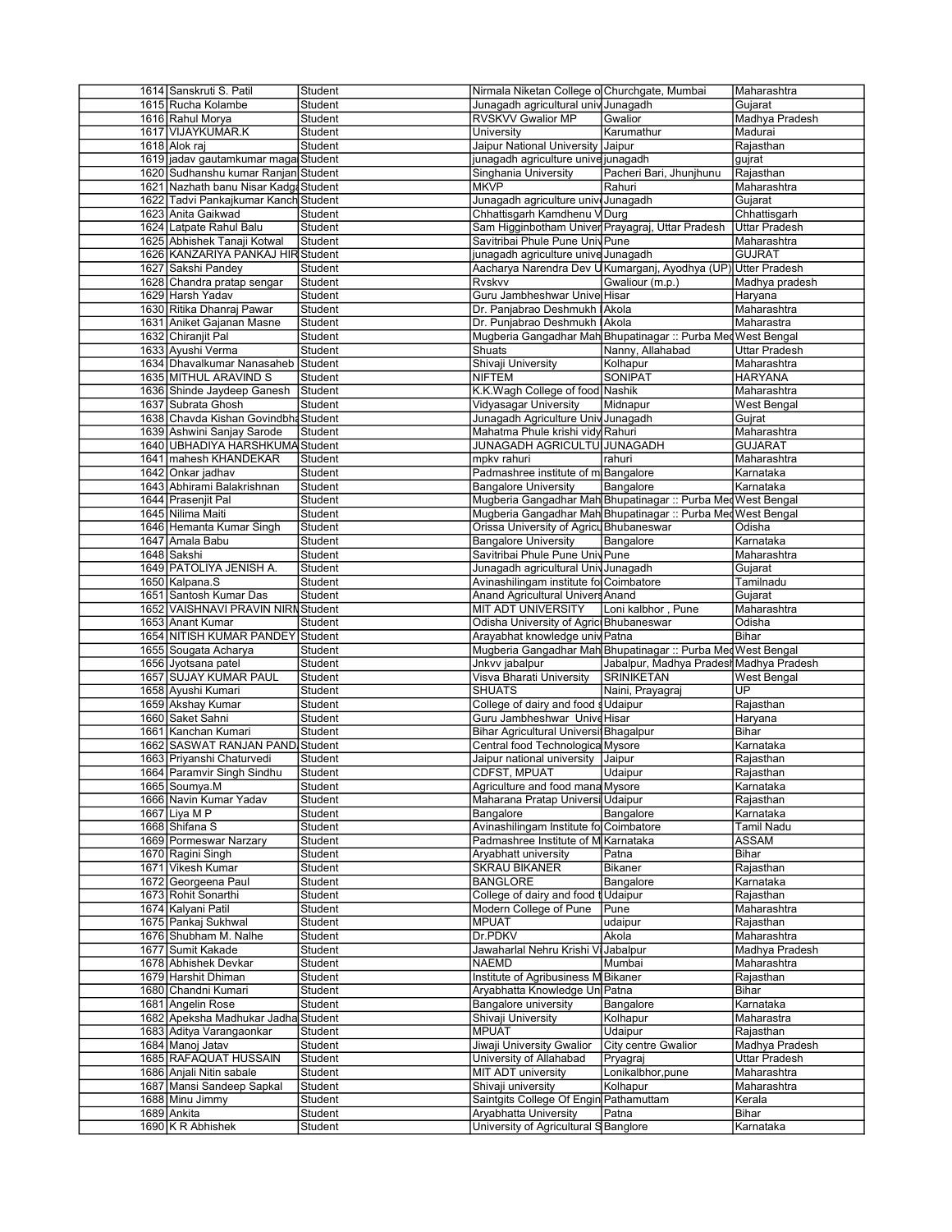| 1614 Sanskruti S. Patil               | Student | Nirmala Niketan College o Churchgate, Mumbai     |                                                               | Maharashtra        |
|---------------------------------------|---------|--------------------------------------------------|---------------------------------------------------------------|--------------------|
| 1615 Rucha Kolambe                    | Student | Junagadh agricultural univ Junagadh              |                                                               | Gujarat            |
| 1616 Rahul Morya                      | Student | RVSKVV Gwalior MP                                | Gwalior                                                       | Madhya Pradesh     |
| 1617 VIJAYKUMAR.K                     | Student | University                                       | Karumathur                                                    | Madurai            |
| 1618 Alok raj                         | Student | Jaipur National University Jaipur                |                                                               | Rajasthan          |
| 1619 jadav gautamkumar maga Student   |         |                                                  |                                                               |                    |
|                                       |         | junagadh agriculture unive junagadh              |                                                               | gujrat             |
| 1620 Sudhanshu kumar Ranjan Student   |         | Singhania University                             | Pacheri Bari, Jhunjhunu                                       | Rajasthan          |
| 1621 Nazhath banu Nisar Kadga Student |         | <b>MKVP</b>                                      | Rahuri                                                        | Maharashtra        |
| 1622 Tadvi Pankajkumar Kanch Student  |         | Junagadh agriculture unive Junagadh              |                                                               | Gujarat            |
| 1623 Anita Gaikwad                    | Student | Chhattisgarh Kamdhenu V Durg                     |                                                               | Chhattisgarh       |
| 1624 Latpate Rahul Balu               | Student |                                                  |                                                               |                    |
|                                       |         | Sam Higginbotham Univer Prayagraj, Uttar Pradesh |                                                               | Uttar Pradesh      |
| 1625 Abhishek Tanaji Kotwal           | Student | Savitribai Phule Pune Univ Pune                  |                                                               | Maharashtra        |
| 1626 KANZARIYA PANKAJ HIR Student     |         | junagadh agriculture unive Junagadh              |                                                               | <b>GUJRAT</b>      |
| 1627 Sakshi Pandey                    | Student |                                                  | Aacharya Narendra Dev U Kumarganj, Ayodhya (UP) Utter Pradesh |                    |
| 1628 Chandra pratap sengar            | Student | Rvskvv                                           | Gwaliour (m.p.)                                               | Madhya pradesh     |
| 1629 Harsh Yadav                      | Student | Guru Jambheshwar Unive Hisar                     |                                                               |                    |
|                                       |         |                                                  |                                                               | Haryana            |
| 1630 Ritika Dhanraj Pawar             | Student | Dr. Panjabrao Deshmukh Akola                     |                                                               | Maharashtra        |
| 1631 Aniket Gajanan Masne             | Student | Dr. Punjabrao Deshmukh IAkola                    |                                                               | Maharastra         |
| 1632 Chiranjit Pal                    | Student |                                                  | Mugberia Gangadhar Mah Bhupatinagar :: Purba Med              | West Bengal        |
| 1633 Ayushi Verma                     | Student | Shuats                                           | Nanny, Allahabad                                              | Uttar Pradesh      |
| 1634 Dhavalkumar Nanasaheb Student    |         | Shivaji University                               | Kolhapur                                                      | Maharashtra        |
|                                       |         |                                                  |                                                               |                    |
| 1635 MITHUL ARAVIND S                 | Student | <b>NIFTEM</b>                                    | <b>SONIPAT</b>                                                | <b>HARYANA</b>     |
| 1636 Shinde Jaydeep Ganesh            | Student | K.K.Wagh College of food Nashik                  |                                                               | Maharashtra        |
| 1637 Subrata Ghosh                    | Student | Vidyasagar University                            | Midnapur                                                      | West Bengal        |
| 1638 Chavda Kishan Govindbha Student  |         | Junagadh Agriculture Univ Junagadh               |                                                               | Gujrat             |
| 1639 Ashwini Sanjay Sarode            | Student | Mahatma Phule krishi vidy Rahuri                 |                                                               | Maharashtra        |
|                                       |         |                                                  |                                                               |                    |
| 1640 UBHADIYA HARSHKUMA Student       |         | JUNAGADH AGRICULTUI JUNAGADH                     |                                                               | <b>GUJARAT</b>     |
| 1641 mahesh KHANDEKAR                 | Student | mpkv rahuri                                      | rahuri                                                        | Maharashtra        |
| 1642 Onkar jadhav                     | Student | Padmashree institute of m Bangalore              |                                                               | Karnataka          |
| 1643 Abhirami Balakrishnan            | Student | <b>Bangalore University</b>                      | Bangalore                                                     | Karnataka          |
| 1644 Prasenjit Pal                    | Student |                                                  | Mugberia Gangadhar Mah Bhupatinagar :: Purba Med West Bengal  |                    |
|                                       |         |                                                  |                                                               |                    |
| 1645 Nilima Maiti                     | Student |                                                  | Mugberia Gangadhar Mah Bhupatinagar :: Purba Med West Bengal  |                    |
| 1646 Hemanta Kumar Singh              | Student | Orissa University of Agricu Bhubaneswar          |                                                               | Odisha             |
| 1647 Amala Babu                       | Student | <b>Bangalore University</b>                      | Bangalore                                                     | Karnataka          |
| 1648 Sakshi                           | Student | Savitribai Phule Pune Univ Pune                  |                                                               | Maharashtra        |
| 1649 PATOLIYA JENISH A.               |         | Junagadh agricultural Univ Junagadh              |                                                               |                    |
|                                       | Student |                                                  |                                                               | Gujarat            |
| 1650 Kalpana.S                        | Student | Avinashilingam institute fo Coimbatore           |                                                               | Tamilnadu          |
| 1651 Santosh Kumar Das                | Student | Anand Agricultural Univers Anand                 |                                                               | Gujarat            |
| 1652 VAISHNAVI PRAVIN NIRN Student    |         | MIT ADT UNIVERSITY                               | Loni kalbhor, Pune                                            | Maharashtra        |
| 1653 Anant Kumar                      | Student | Odisha University of Agric Bhubaneswar           |                                                               | Odisha             |
|                                       |         |                                                  |                                                               |                    |
|                                       |         |                                                  |                                                               |                    |
| 1654 NITISH KUMAR PANDEY              | Student | Arayabhat knowledge univ Patna                   |                                                               | Bihar              |
| 1655 Sougata Acharya                  | Student |                                                  | Mugberia Gangadhar Mah Bhupatinagar :: Purba Med West Bengal  |                    |
| 1656 Jyotsana patel                   | Student | Jnkvv jabalpur                                   | Jabalpur, Madhya Pradesł Madhya Pradesh                       |                    |
|                                       | Student |                                                  | <b>SRINIKETAN</b>                                             | <b>West Bengal</b> |
| 1657 SUJAY KUMAR PAUL                 |         | Visva Bharati University                         |                                                               |                    |
| 1658 Ayushi Kumari                    | Student | <b>SHUATS</b>                                    | Naini, Prayagraj                                              | UP                 |
| 1659 Akshay Kumar                     | Student | College of dairy and food s Udaipur              |                                                               | Rajasthan          |
| 1660 Saket Sahni                      | Student | Guru Jambheshwar Unive Hisar                     |                                                               | Haryana            |
| 1661 Kanchan Kumari                   | Student | Bihar Agricultural Universi Bhagalpur            |                                                               | Bihar              |
| 1662 SASWAT RANJAN PAND Student       |         | Central food Technologica Mysore                 |                                                               | Karnataka          |
|                                       |         |                                                  |                                                               |                    |
| 1663 Priyanshi Chaturvedi             | Student | Jaipur national university                       | Jaipur                                                        | Rajasthan          |
| 1664 Paramvir Singh Sindhu            | Student | CDFST, MPUAT                                     | Udaipur                                                       | Rajasthan          |
| 1665 Soumya.M                         | Student | Agriculture and food mana Mysore                 |                                                               | Karnataka          |
| 1666 Navin Kumar Yadav                | Student | Maharana Pratap Universi Udaipur                 |                                                               | Rajasthan          |
| 1667 Liya M P                         | Student | Bangalore                                        | Bangalore                                                     | Karnataka          |
|                                       |         |                                                  |                                                               |                    |
| 1668 Shifana S                        | Student | Avinashilingam Institute fo Coimbatore           |                                                               | Tamil Nadu         |
| 1669 Pormeswar Narzary                | Student | Padmashree Institute of M Karnataka              |                                                               | <b>ASSAM</b>       |
| 1670 Ragini Singh                     | Student | Aryabhatt university                             | Patna                                                         | Bihar              |
| 1671 Vikesh Kumar                     | Student | <b>SKRAU BIKANER</b>                             | Bikaner                                                       | Rajasthan          |
| 1672 Georgeena Paul                   | Student | <b>BANGLORE</b>                                  | Bangalore                                                     | Karnataka          |
|                                       |         |                                                  |                                                               |                    |
| 1673 Rohit Sonarthi                   | Student | College of dairy and food                        | t Udaipur                                                     | Rajasthan          |
| 1674 Kalyani Patil                    | Student | Modern College of Pune                           | Pune                                                          | Maharashtra        |
| 1675 Pankaj Sukhwal                   | Student | <b>MPUAT</b>                                     | udaipur                                                       | Rajasthan          |
| 1676 Shubham M. Nalhe                 | Student | Dr.PDKV                                          | Akola                                                         | Maharashtra        |
|                                       | Student |                                                  |                                                               |                    |
| 1677 Sumit Kakade                     |         | Jawaharlal Nehru Krishi \                        | Jabalpur                                                      | Madhya Pradesh     |
| 1678 Abhishek Devkar                  | Student | <b>NAEMD</b>                                     | Mumbai                                                        | Maharashtra        |
| 1679 Harshit Dhiman                   | Student | Institute of Agribusiness M Bikaner              |                                                               | Rajasthan          |
| 1680 Chandni Kumari                   | Student | Aryabhatta Knowledge Un Patna                    |                                                               | Bihar              |
| 1681 Angelin Rose                     | Student | Bangalore university                             | Bangalore                                                     | Karnataka          |
|                                       |         |                                                  |                                                               |                    |
| 1682 Apeksha Madhukar Jadha Student   |         | Shivaji University                               | Kolhapur                                                      | Maharastra         |
| 1683 Aditya Varangaonkar              | Student | <b>MPUAT</b>                                     | Udaipur                                                       | Rajasthan          |
| 1684 Manoj Jatav                      | Student | Jiwaji University Gwalior                        | City centre Gwalior                                           | Madhya Pradesh     |
| 1685 RAFAQUAT HUSSAIN                 | Student | University of Allahabad                          | Pryagraj                                                      | Uttar Pradesh      |
|                                       |         |                                                  |                                                               |                    |
| 1686 Anjali Nitin sabale              | Student | MIT ADT university                               | Lonikalbhor, pune                                             | Maharashtra        |
| 1687 Mansi Sandeep Sapkal             | Student | Shivaji university                               | Kolhapur                                                      | Maharashtra        |
| 1688 Minu Jimmy                       | Student | Saintgits College Of Engin Pathamuttam           |                                                               | Kerala             |
| 1689 Ankita                           | Student | Aryabhatta University                            | Patna                                                         | Bihar              |
| 1690 K R Abhishek                     | Student | University of Agricultural S Banglore            |                                                               | Karnataka          |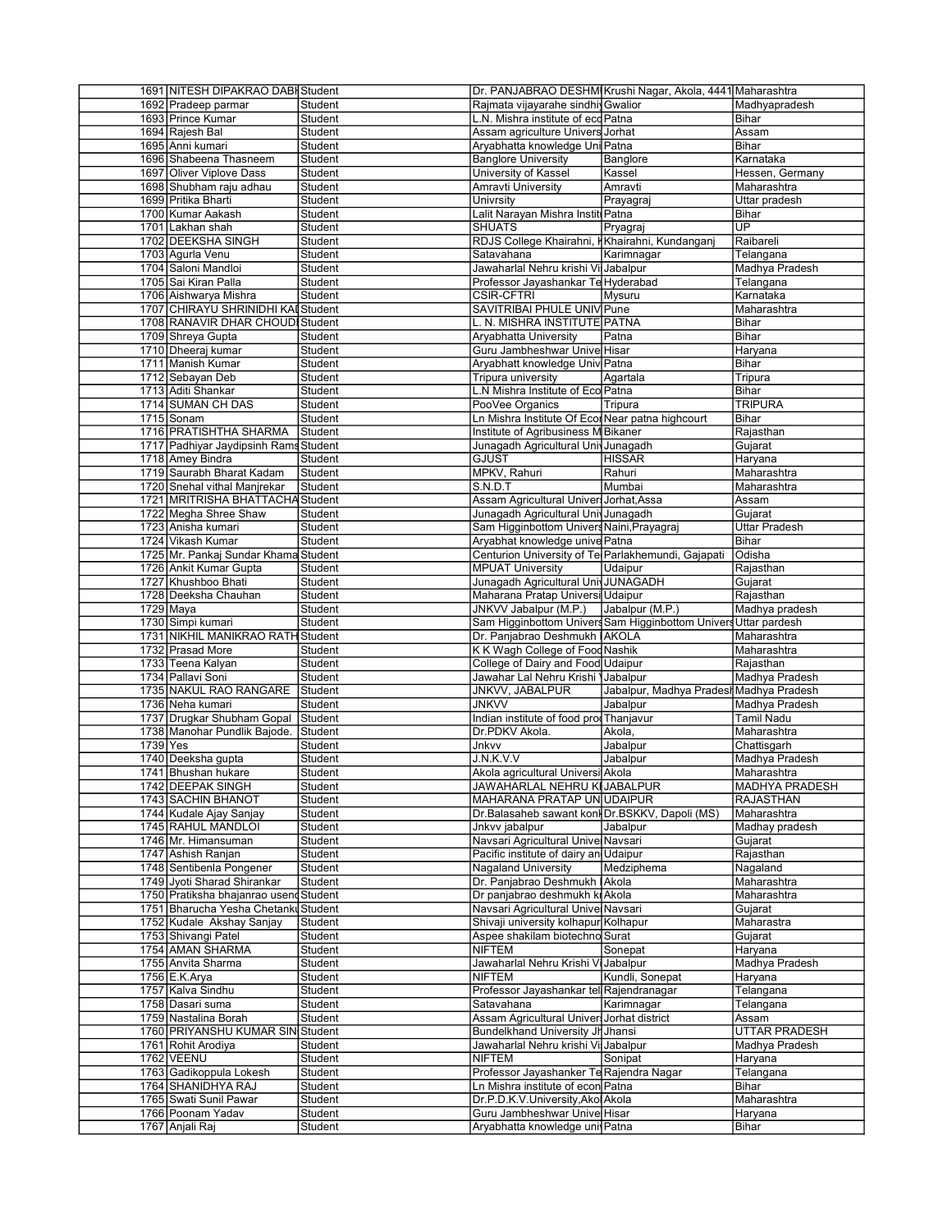|          | 1691 NITESH DIPAKRAO DABI Student      |                    |                                                                 | Dr. PANJABRAO DESHM Krushi Nagar, Akola, 4441 Maharashtra       |                       |
|----------|----------------------------------------|--------------------|-----------------------------------------------------------------|-----------------------------------------------------------------|-----------------------|
|          | 1692 Pradeep parmar                    | Student            | Rajmata vijayarahe sindhi Gwalior                               |                                                                 | Madhyapradesh         |
|          | 1693 Prince Kumar                      | Student            | L.N. Mishra institute of eco Patna                              |                                                                 | Bihar                 |
|          | 1694 Rajesh Bal                        | Student            | Assam agriculture Univers Jorhat                                |                                                                 | Assam                 |
|          | 1695 Anni kumari                       | Student            | Aryabhatta knowledge Uni Patna                                  |                                                                 | Bihar                 |
|          | 1696 Shabeena Thasneem                 | Student            | <b>Banglore University</b>                                      |                                                                 | Karnataka             |
|          |                                        |                    |                                                                 | Banglore                                                        |                       |
|          | 1697 Oliver Viplove Dass               | Student            | University of Kassel                                            | Kassel                                                          | Hessen, Germany       |
|          | 1698 Shubham raju adhau                | Student            | Amravti University                                              | Amravti                                                         | Maharashtra           |
|          | 1699 Pritika Bharti                    | Student            | Univrsity                                                       | Prayagraj                                                       | Uttar pradesh         |
|          | 1700 Kumar Aakash                      | Student            | Lalit Narayan Mishra Instit Patna                               |                                                                 | Bihar                 |
|          |                                        |                    |                                                                 |                                                                 | $\overline{UP}$       |
|          | 1701 Lakhan shah                       | Student            | <b>SHUATS</b>                                                   | Pryagraj                                                        |                       |
|          | 1702 DEEKSHA SINGH                     | Student            | RDJS College Khairahni, Khairahni, Kundanganj                   |                                                                 | Raibareli             |
|          | 1703 Agurla Venu                       | Student            | Satavahana                                                      | Karimnagar                                                      | Telangana             |
|          | 1704 Saloni Mandloi                    | Student            | Jawaharlal Nehru krishi Vil Jabalpur                            |                                                                 | Madhya Pradesh        |
|          | 1705 Sai Kiran Palla                   | Student            | Professor Jayashankar Te Hyderabad                              |                                                                 | Telangana             |
|          |                                        |                    |                                                                 |                                                                 |                       |
|          | 1706 Aishwarya Mishra                  | Student            | <b>CSIR-CFTRI</b>                                               | Mysuru                                                          | Karnataka             |
|          | 1707 CHIRAYU SHRINIDHI KAI Student     |                    | SAVITRIBAI PHULE UNIV Pune                                      |                                                                 | Maharashtra           |
|          | 1708 RANAVIR DHAR CHOUD Student        |                    | L. N. MISHRA INSTITUTE PATNA                                    |                                                                 | Bihar                 |
|          | 1709 Shreya Gupta                      | Student            | Aryabhatta University                                           | Patna                                                           | Bihar                 |
|          | 1710 Dheeraj kumar                     | Student            | Guru Jambheshwar Unive Hisar                                    |                                                                 |                       |
|          |                                        |                    |                                                                 |                                                                 | Haryana               |
|          | 1711 Manish Kumar                      | Student            | Aryabhatt knowledge Univ Patna                                  |                                                                 | Bihar                 |
|          | 1712 Sebayan Deb                       | Student            | Tripura university                                              | Agartala                                                        | Tripura               |
|          | 1713 Aditi Shankar                     | Student            | L.N Mishra Institute of Eco Patna                               |                                                                 | Bihar                 |
|          | 1714 SUMAN CH DAS                      | Student            | PooVee Organics                                                 | Tripura                                                         | <b>TRIPURA</b>        |
|          |                                        | Student            |                                                                 |                                                                 |                       |
|          | $1715$ Sonam                           |                    | Ln Mishra Institute Of Ecor Near patna highcourt                |                                                                 | Bihar                 |
|          | 1716 PRATISHTHA SHARMA                 | Student            | Institute of Agribusiness M Bikaner                             |                                                                 | Rajasthan             |
|          | 1717 Padhiyar Jaydipsinh Rams Student  |                    | Junagadh Agricultural Univ Junagadh                             |                                                                 | Gujarat               |
|          | 1718 Amey Bindra                       | Student            | <b>GJUST</b>                                                    | <b>HISSAR</b>                                                   | Haryana               |
|          | 1719 Saurabh Bharat Kadam              | Student            | MPKV, Rahuri                                                    | Rahuri                                                          | Maharashtra           |
|          |                                        |                    |                                                                 |                                                                 |                       |
|          | 1720 Snehal vithal Manjrekar           | Student            | S.N.D.T                                                         | Mumbai                                                          | Maharashtra           |
|          | 1721 MRITRISHA BHATTACHA Student       |                    | Assam Agricultural Univer Jorhat, Assa                          |                                                                 | Assam                 |
|          | 1722 Megha Shree Shaw                  | Student            | Junagadh Agricultural Univ Junagadh                             |                                                                 | Gujarat               |
|          | 1723 Anisha kumari                     | Student            | Sam Higginbottom Univers Naini, Prayagraj                       |                                                                 | <b>Uttar Pradesh</b>  |
|          | 1724 Vikash Kumar                      | Student            | Aryabhat knowledge unive Patna                                  |                                                                 | Bihar                 |
|          | 1725 Mr. Pankaj Sundar Khama Student   |                    | Centurion University of Tel Parlakhemundi, Gajapati             |                                                                 |                       |
|          |                                        |                    |                                                                 |                                                                 | Odisha                |
|          | 1726 Ankit Kumar Gupta                 | Student            | <b>MPUAT University</b>                                         | Udaipur                                                         | Rajasthan             |
|          | 1727 Khushboo Bhati                    | Student            | Junagadh Agricultural UnivJUNAGADH                              |                                                                 | Gujarat               |
|          | 1728 Deeksha Chauhan                   | Student            | Maharana Pratap Universi Udaipur                                |                                                                 | Rajasthan             |
|          | 1729 Maya                              | Student            | JNKVV Jabalpur (M.P.)                                           | Jabalpur (M.P.)                                                 | Madhya pradesh        |
|          |                                        |                    |                                                                 | Sam Higginbottom Univers Sam Higginbottom Univers Uttar pardesh |                       |
|          |                                        |                    |                                                                 |                                                                 |                       |
|          | 1730 Simpi kumari                      | Student            |                                                                 |                                                                 |                       |
|          | 1731 NIKHIL MANIKRAO RATH Student      |                    | Dr. Panjabrao Deshmukh IAKOLA                                   |                                                                 | Maharashtra           |
|          | 1732 Prasad More                       | Student            | K K Wagh College of Food Nashik                                 |                                                                 | Maharashtra           |
|          | 1733 Teena Kalyan                      | Student            | College of Dairy and Food Udaipur                               |                                                                 | Rajasthan             |
|          |                                        |                    |                                                                 |                                                                 |                       |
|          | 1734 Pallavi Soni                      | Student            | Jawahar Lal Nehru Krishi \Jabalpur                              |                                                                 | Madhya Pradesh        |
|          | 1735 NAKUL RAO RANGARE                 | Student            | JNKVV, JABALPUR                                                 | Jabalpur, Madhya Pradesł Madhya Pradesh                         |                       |
|          | 1736 Neha kumari                       | Student            | <b>JNKVV</b>                                                    | Jabalpur                                                        | Madhya Pradesh        |
|          | 1737 Drugkar Shubham Gopal Student     |                    | Indian institute of food prod Thanjavur                         |                                                                 | Tamil Nadu            |
|          | 1738 Manohar Pundlik Bajode.           | Student            | Dr.PDKV Akola.                                                  | Akola,                                                          | Maharashtra           |
|          |                                        |                    |                                                                 |                                                                 |                       |
| 1739 Yes |                                        | Student            | Jnkvv                                                           | Jabalpur                                                        | Chattisgarh           |
|          | 1740 Deeksha gupta                     | Student            | J.N.K.V.V                                                       | Jabalpur                                                        | Madhya Pradesh        |
|          | 1741 Bhushan hukare                    | Student            | Akola agricultural Universi Akola                               |                                                                 | Maharashtra           |
|          | 1742 DEEPAK SINGH                      | Student            | JAWAHARLAL NEHRU KI JABALPUR                                    |                                                                 | <b>MADHYA PRADESH</b> |
|          | 1743 SACHIN BHANOT                     | Student            | MAHARANA PRATAP UN UDAIPUR                                      |                                                                 | <b>RAJASTHAN</b>      |
|          |                                        |                    |                                                                 |                                                                 |                       |
|          | 1744 Kudale Ajay Sanjay                | Student            | Dr.Balasaheb sawant koni Dr.BSKKV, Dapoli (MS)                  |                                                                 | Maharashtra           |
|          | 1745 RAHUL MANDLOI                     | Student            | Jnkvv jabalpur                                                  | Jabalpur                                                        | Madhay pradesh        |
|          | 1746 Mr. Himansuman                    | Student            | Navsari Agricultural Unive Navsari                              |                                                                 | Gujarat               |
|          | 1747 Ashish Ranjan                     | Student            | Pacific institute of dairy an Udaipur                           |                                                                 | Rajasthan             |
|          |                                        |                    |                                                                 |                                                                 |                       |
|          | 1748 Sentibenla Pongener               | Student            | <b>Nagaland University</b>                                      | Medziphema                                                      | Nagaland              |
|          | 1749 Jyoti Sharad Shirankar            | Student            | Dr. Panjabrao Deshmukh Akola                                    |                                                                 | Maharashtra           |
|          | 1750 Pratiksha bhajanrao usend Student |                    | Dr panjabrao deshmukh ki Akola                                  |                                                                 | Maharashtra           |
|          | 1751 Bharucha Yesha Chetanku Student   |                    | Navsari Agricultural Unive Navsari                              |                                                                 | Gujarat               |
|          | 1752 Kudale Akshay Sanjay              | Student            | Shivaji university kolhapur Kolhapur                            |                                                                 | Maharastra            |
|          |                                        |                    |                                                                 |                                                                 |                       |
|          | 1753 Shivangi Patel                    | Student            | Aspee shakilam biotechno Surat                                  |                                                                 | Gujarat               |
|          | 1754 AMAN SHARMA                       | Student            | <b>NIFTEM</b>                                                   | Sonepat                                                         | Haryana               |
|          | 1755 Anvita Sharma                     | Student            | Jawaharlal Nehru Krishi Vi Jabalpur                             |                                                                 | Madhya Pradesh        |
|          | 1756 E.K. Arya                         | Student            | <b>NIFTEM</b>                                                   | Kundli, Sonepat                                                 | Haryana               |
|          | 1757 Kalva Sindhu                      | Student            | Professor Jayashankar tel Rajendranagar                         |                                                                 | Telangana             |
|          | 1758 Dasari suma                       | Student            | Satavahana                                                      | Karimnagar                                                      |                       |
|          |                                        |                    |                                                                 |                                                                 | Telangana             |
|          | 1759 Nastalina Borah                   | Student            | Assam Agricultural Univer Jorhat district                       |                                                                 | Assam                 |
|          | 1760 PRIYANSHU KUMAR SIN               | Student            | Bundelkhand University Jr Jhansi                                |                                                                 | UTTAR PRADESH         |
|          | 1761 Rohit Arodiya                     | Student            | Jawaharlal Nehru krishi Vi Jabalpur                             |                                                                 | Madhya Pradesh        |
|          | 1762 VEENU                             | Student            | <b>NIFTEM</b>                                                   | Sonipat                                                         | Haryana               |
|          | 1763 Gadikoppula Lokesh                | Student            | Professor Jayashanker Te Rajendra Nagar                         |                                                                 | Telangana             |
|          |                                        |                    |                                                                 |                                                                 |                       |
|          | 1764 SHANIDHYA RAJ                     | Student            | Ln Mishra institute of econ Patna                               |                                                                 | Bihar                 |
|          | 1765 Swati Sunil Pawar                 | Student            | Dr.P.D.K.V.University, Akol Akola                               |                                                                 | Maharashtra           |
|          | 1766 Poonam Yadav<br>1767 Anjali Raj   | Student<br>Student | Guru Jambheshwar Unive Hisar<br>Aryabhatta knowledge univ Patna |                                                                 | Haryana<br>Bihar      |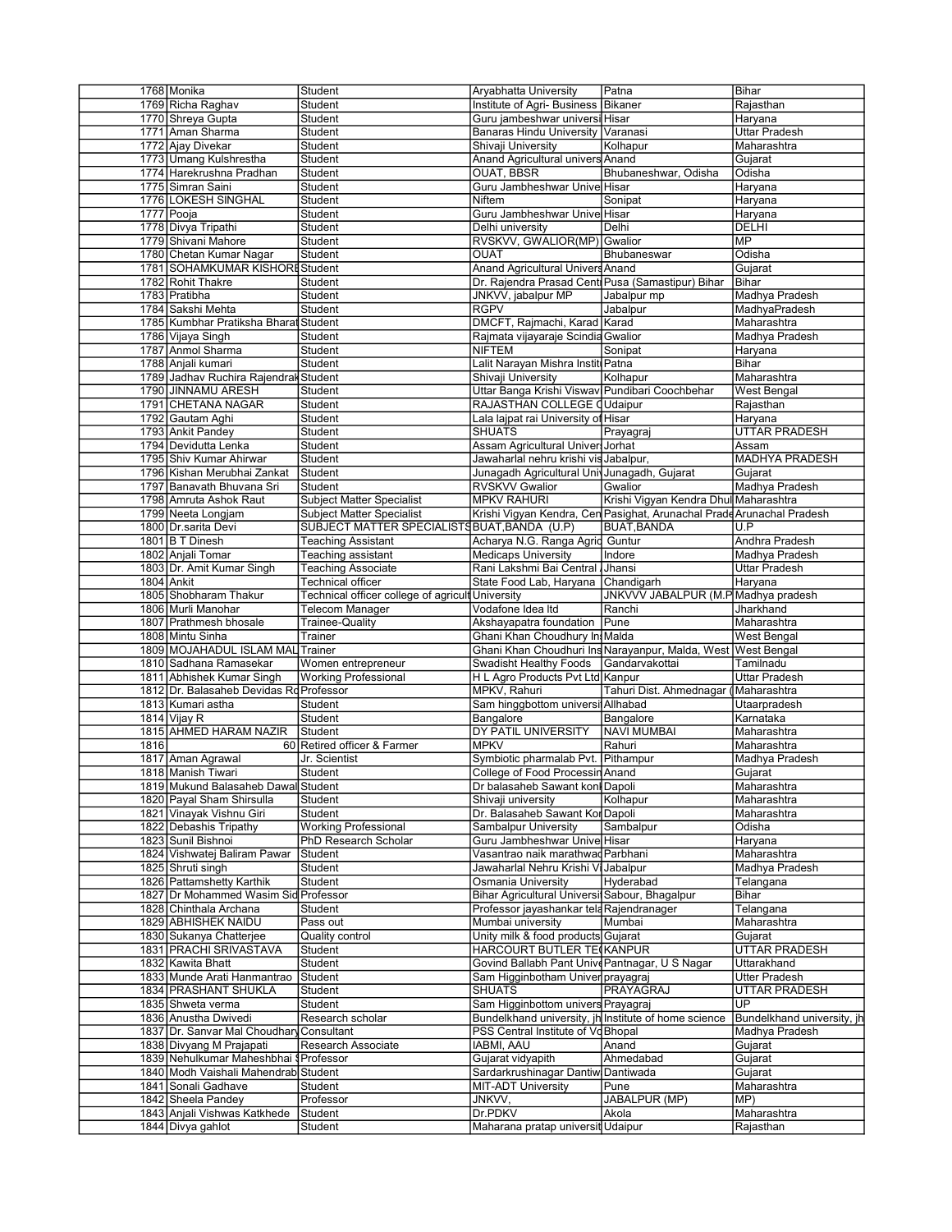|      | 1768 Monika                              | Student                                          | Aryabhatta University                                | Patna                                                                 | Bihar                      |
|------|------------------------------------------|--------------------------------------------------|------------------------------------------------------|-----------------------------------------------------------------------|----------------------------|
|      | 1769 Richa Raghav                        | Student                                          | Institute of Agri- Business Bikaner                  |                                                                       | Rajasthan                  |
|      | 1770 Shreya Gupta                        | Student                                          | Guru jambeshwar universi Hisar                       |                                                                       | Haryana                    |
|      | 1771 Aman Sharma                         | Student                                          | Banaras Hindu University Varanasi                    |                                                                       | <b>Uttar Pradesh</b>       |
|      |                                          |                                                  |                                                      |                                                                       |                            |
|      | 1772 Ajay Divekar                        | Student                                          | Shivaji University                                   | Kolhapur                                                              | Maharashtra                |
|      | 1773 Umang Kulshrestha                   | Student                                          | Anand Agricultural univers Anand                     |                                                                       | Gujarat                    |
|      | 1774 Harekrushna Pradhan                 | Student                                          | OUAT, BBSR                                           | Bhubaneshwar, Odisha                                                  | Odisha                     |
|      | 1775 Simran Saini                        | Student                                          | Guru Jambheshwar Unive Hisar                         |                                                                       | Haryana                    |
|      | 1776 LOKESH SINGHAL                      | Student                                          | <b>Niftem</b>                                        | Sonipat                                                               | Haryana                    |
|      | 1777 Pooja                               | Student                                          | Guru Jambheshwar Unive Hisar                         |                                                                       | Haryana                    |
|      | 1778 Divya Tripathi                      | Student                                          | Delhi university                                     | Delhi                                                                 | DELHI                      |
|      | 1779 Shivani Mahore                      | Student                                          | RVSKVV, GWALIOR(MP) Gwalior                          |                                                                       | <b>MP</b>                  |
|      | 1780 Chetan Kumar Nagar                  |                                                  |                                                      |                                                                       | Odisha                     |
|      |                                          | Student                                          | <b>OUAT</b>                                          | Bhubaneswar                                                           |                            |
|      | 1781 SOHAMKUMAR KISHORE Student          |                                                  | Anand Agricultural Univers Anand                     |                                                                       | Gujarat                    |
|      | 1782 Rohit Thakre                        | Student                                          | Dr. Rajendra Prasad Centi Pusa (Samastipur) Bihar    |                                                                       | Bihar                      |
|      | 1783 Pratibha                            | Student                                          | JNKVV, jabalpur MP                                   | Jabalpur mp                                                           | Madhya Pradesh             |
|      | 1784 Sakshi Mehta                        | Student                                          | <b>RGPV</b>                                          | Jabalpur                                                              | MadhyaPradesh              |
|      | 1785 Kumbhar Pratiksha Bharat Student    |                                                  | DMCFT, Rajmachi, Karad Karad                         |                                                                       | Maharashtra                |
|      | 1786 Vijaya Singh                        | Student                                          | Rajmata vijayaraje Scindia Gwalior                   |                                                                       | Madhya Pradesh             |
|      | 1787 Anmol Sharma                        | Student                                          | <b>NIFTEM</b>                                        | Sonipat                                                               | Haryana                    |
|      |                                          |                                                  |                                                      |                                                                       |                            |
|      | 1788 Anjali kumari                       | Student                                          | Lalit Narayan Mishra Institi Patna                   |                                                                       | Bihar                      |
|      | 1789 Jadhav Ruchira Rajendral Student    |                                                  | Shivaji University                                   | Kolhapur                                                              | Maharashtra                |
|      | 1790 JINNAMU ARESH                       | Student                                          | Uttar Banga Krishi Viswav Pundibari Coochbehar       |                                                                       | West Bengal                |
|      | 1791 CHETANA NAGAR                       | Student                                          | RAJASTHAN COLLEGE (Udaipur                           |                                                                       | Rajasthan                  |
|      | 1792 Gautam Aghi                         | Student                                          | Lala laipat rai University of Hisar                  |                                                                       | Haryana                    |
|      | 1793 Ankit Pandey                        | Student                                          | SHUATS                                               | Prayagraj                                                             | <b>UTTAR PRADESH</b>       |
|      | 1794 Devidutta Lenka                     | Student                                          |                                                      |                                                                       | Assam                      |
|      |                                          |                                                  | Assam Agricultural Univer Jorhat                     |                                                                       |                            |
|      | 1795 Shiv Kumar Ahirwar                  | Student                                          | Jawaharlal nehru krishi vis Jabalpur,                |                                                                       | <b>MADHYA PRADESH</b>      |
|      | 1796 Kishan Merubhai Zankat              | Student                                          | Junagadh Agricultural Univ Junagadh, Gujarat         |                                                                       | Gujarat                    |
|      | 1797 Banavath Bhuvana Sri                | Student                                          | <b>RVSKVV Gwalior</b>                                | Gwalior                                                               | Madhya Pradesh             |
|      | 1798 Amruta Ashok Raut                   | <b>Subject Matter Specialist</b>                 | <b>MPKV RAHURI</b>                                   | Krishi Viqyan Kendra Dhul Maharashtra                                 |                            |
|      | 1799 Neeta Longjam                       | <b>Subject Matter Specialist</b>                 |                                                      | Krishi Vigyan Kendra, Cen Pasighat, Arunachal Prade Arunachal Pradesh |                            |
|      | 1800 Dr.sarita Devi                      | SUBJECT MATTER SPECIALISTS BUAT, BANDA (U.P)     |                                                      | <b>BUAT, BANDA</b>                                                    | U.P                        |
|      | 1801 B T Dinesh                          | Teaching Assistant                               | Acharya N.G. Ranga Agric Guntur                      |                                                                       | Andhra Pradesh             |
|      | 1802 Anjali Tomar                        |                                                  |                                                      | Indore                                                                |                            |
|      |                                          | Teaching assistant                               | <b>Medicaps University</b>                           |                                                                       | Madhya Pradesh             |
|      | 1803 Dr. Amit Kumar Singh                | <b>Teaching Associate</b>                        | Rani Lakshmi Bai Central Jhansi                      |                                                                       | Uttar Pradesh              |
|      | 1804 Ankit                               | Technical officer                                | State Food Lab, Haryana Chandigarh                   |                                                                       | Haryana                    |
|      | 1805 Shobharam Thakur                    | Technical officer college of agricult University |                                                      | JNKVVV JABALPUR (M.P Madhya pradesh                                   |                            |
|      | 1806 Murli Manohar                       | Telecom Manager                                  | Vodafone Idea Itd                                    | Ranchi                                                                | Jharkhand                  |
|      | 1807 Prathmesh bhosale                   | Trainee-Quality                                  | Akshayapatra foundation Pune                         |                                                                       | Maharashtra                |
|      | 1808 Mintu Sinha                         | Trainer                                          | Ghani Khan Choudhury In Malda                        |                                                                       | West Bengal                |
|      | 1809 MOJAHADUL ISLAM MAL Trainer         |                                                  |                                                      | Ghani Khan Choudhuri Ins Narayanpur, Malda, West                      |                            |
|      |                                          |                                                  |                                                      |                                                                       | <b>West Bengal</b>         |
|      | 1810 Sadhana Ramasekar                   | Women entrepreneur                               | Swadisht Healthy Foods                               | Gandarvakottai                                                        | Tamilnadu                  |
|      | 1811 Abhishek Kumar Singh                | <b>Working Professional</b>                      | H L Agro Products Pvt Ltd Kanpur                     |                                                                       | Uttar Pradesh              |
|      | 1812 Dr. Balasaheb Devidas Rd Professor  |                                                  | MPKV, Rahuri                                         | Tahuri Dist. Ahmednagar (∣Maharashtra                                 |                            |
|      | 1813 Kumari astha                        | Student                                          | Sam hinggbottom universi Allhabad                    |                                                                       | Utaarpradesh               |
|      |                                          |                                                  |                                                      |                                                                       |                            |
|      |                                          | Student                                          | Bangalore                                            |                                                                       | Karnataka                  |
|      | 1814 Vijay R                             | Student                                          |                                                      | Bangalore                                                             |                            |
|      | 1815 AHMED HARAM NAZIR                   |                                                  | DY PATIL UNIVERSITY                                  | <b>NAVI MUMBAI</b>                                                    | Maharashtra                |
| 1816 |                                          | 60 Retired officer & Farmer                      | <b>MPKV</b>                                          | Rahuri                                                                | Maharashtra                |
|      | 1817 Aman Agrawal                        | Jr. Scientist                                    | Symbiotic pharmalab Pvt. Pithampur                   |                                                                       | Madhya Pradesh             |
|      | 1818 Manish Tiwari                       | Student                                          | College of Food Processin Anand                      |                                                                       | Gujarat                    |
|      | 1819 Mukund Balasaheb Dawal Student      |                                                  | Dr balasaheb Sawant konl Dapoli                      |                                                                       | Maharashtra                |
|      | 1820 Payal Sham Shirsulla                | Student                                          | Shivaji university                                   | Kolhapur                                                              | Maharashtra                |
|      | 1821 Vinayak Vishnu Giri                 | Student                                          | Dr. Balasaheb Sawant Kor Dapoli                      |                                                                       | Maharashtra                |
|      | 1822 Debashis Tripathy                   | <b>Working Professional</b>                      | Sambalpur University                                 | Sambalpur                                                             | Odisha                     |
|      |                                          | PhD Research Scholar                             |                                                      |                                                                       |                            |
|      | 1823 Sunil Bishnoi                       |                                                  | Guru Jambheshwar Unive Hisar                         |                                                                       | Haryana                    |
|      | 1824 Vishwatej Baliram Pawar             | Student                                          | Vasantrao naik marathwad Parbhani                    |                                                                       | Maharashtra                |
|      | 1825 Shruti singh                        | Student                                          | Jawaharlal Nehru Krishi Vi Jabalpur                  |                                                                       | Madhya Pradesh             |
|      | 1826 Pattamshetty Karthik                | Student                                          | Osmania University                                   | Hyderabad                                                             | Telangana                  |
|      | 1827 Dr Mohammed Wasim Sid Professor     |                                                  | Bihar Agricultural Universit Sabour, Bhagalpur       |                                                                       | Bihar                      |
|      | 1828 Chinthala Archana                   | Student                                          | Professor jayashankar tela Rajendranager             |                                                                       | Telangana                  |
|      | 1829 ABHISHEK NAIDU                      | Pass out                                         | Mumbai university                                    | Mumbai                                                                | Maharashtra                |
|      | 1830 Sukanya Chatterjee                  | Quality control                                  | Unity milk & food products Gujarat                   |                                                                       | Gujarat                    |
|      |                                          |                                                  |                                                      |                                                                       |                            |
|      | 1831 PRACHI SRIVASTAVA                   | Student                                          | HARCOURT BUTLER TE(KANPUR                            |                                                                       | UTTAR PRADESH              |
|      | 1832 Kawita Bhatt                        | Student                                          | Govind Ballabh Pant Unive Pantnagar, U S Nagar       |                                                                       | Uttarakhand                |
|      | 1833 Munde Arati Hanmantrao              | Student                                          | Sam Higginbotham Univer prayagraj                    |                                                                       | <b>Utter Pradesh</b>       |
|      | 1834 PRASHANT SHUKLA                     | Student                                          | SHUATS                                               | PRAYAGRAJ                                                             | <b>UTTAR PRADESH</b>       |
|      | 1835 Shweta verma                        | Student                                          | Sam Higginbottom univers Prayagraj                   |                                                                       | UP                         |
|      | 1836 Anustha Dwivedi                     | Research scholar                                 | Bundelkhand university, jh Institute of home science |                                                                       |                            |
|      | 1837 Dr. Sanvar Mal Choudhary Consultant |                                                  | PSS Central Institute of Vd Bhopal                   |                                                                       | Madhya Pradesh             |
|      |                                          | Research Associate                               | IABMI, AAU                                           | Anand                                                                 | Bundelkhand university, jh |
|      | 1838 Divyang M Prajapati                 |                                                  |                                                      |                                                                       | Gujarat                    |
|      | 1839 Nehulkumar Maheshbhai § Professor   |                                                  | Gujarat vidyapith                                    | Ahmedabad                                                             | Gujarat                    |
|      | 1840 Modh Vaishali Mahendrab Student     |                                                  | Sardarkrushinagar Dantiw Dantiwada                   |                                                                       | Gujarat                    |
|      | 1841 Sonali Gadhave                      | Student                                          | <b>MIT-ADT University</b>                            | Pune                                                                  | Maharashtra                |
|      | 1842 Sheela Pandey                       | Professor                                        | JNKVV,                                               | JABALPUR (MP)                                                         | MP)                        |
|      | 1843 Anjali Vishwas Katkhede             | Student                                          | Dr.PDKV                                              | Akola                                                                 | Maharashtra                |
|      | 1844 Divya gahlot                        | Student                                          | Maharana pratap universit Udaipur                    |                                                                       | Rajasthan                  |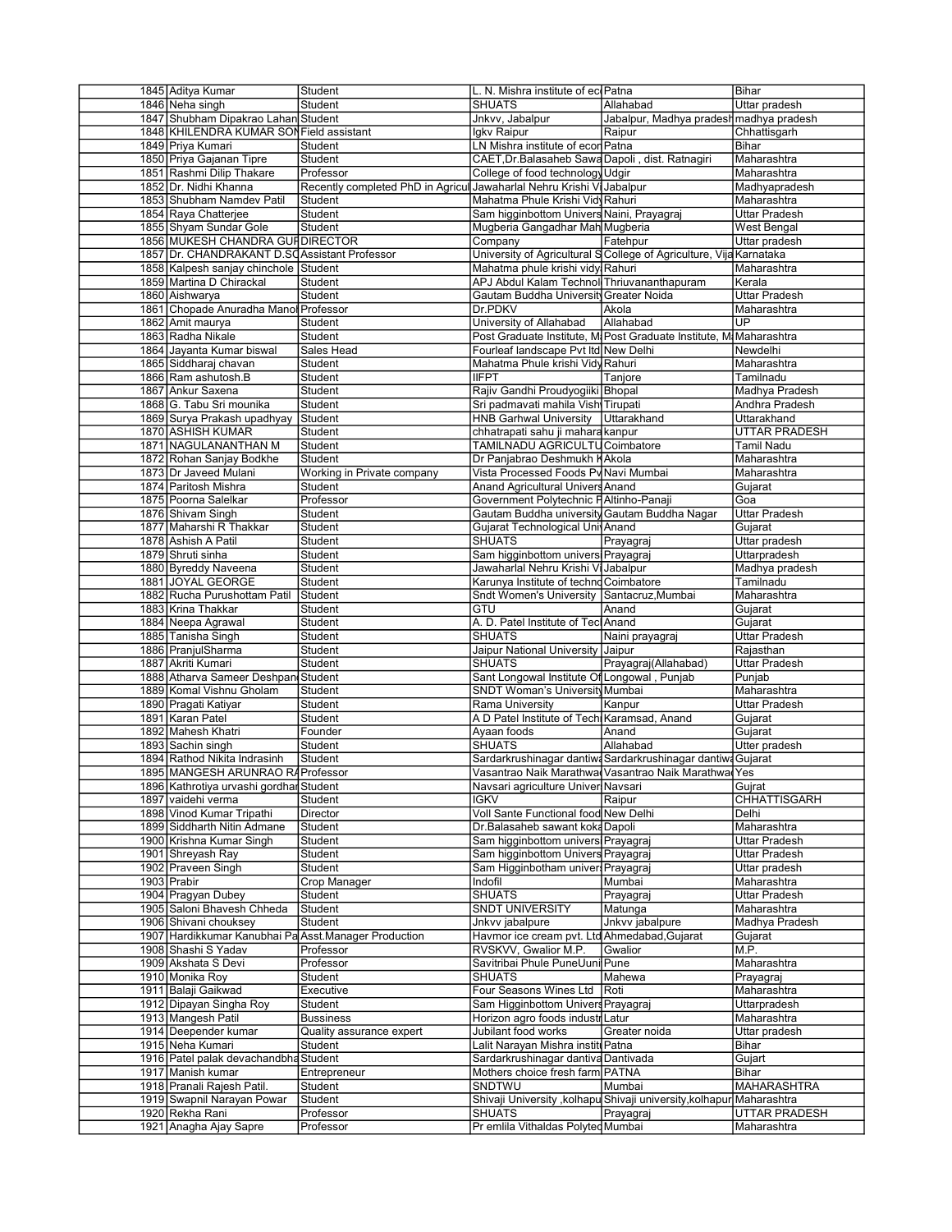| 1845 Aditya Kumar                                    | Student                                                               | L. N. Mishra institute of ecoPatna               |                                                                       | Bihar                        |
|------------------------------------------------------|-----------------------------------------------------------------------|--------------------------------------------------|-----------------------------------------------------------------------|------------------------------|
| 1846 Neha singh                                      | Student                                                               | <b>SHUATS</b>                                    | Allahabad                                                             | Uttar pradesh                |
| 1847 Shubham Dipakrao Lahan Student                  |                                                                       | Jnkvv, Jabalpur                                  | Jabalpur, Madhya prades                                               | madhya pradesh               |
| 1848 KHILENDRA KUMAR SON Field assistant             |                                                                       | Igkv Raipur                                      | Raipur                                                                | Chhattisgarh                 |
|                                                      |                                                                       |                                                  |                                                                       |                              |
| 1849 Priya Kumari                                    | Student                                                               | LN Mishra institute of econ Patna                |                                                                       | Bihar                        |
| 1850 Priya Gajanan Tipre                             | Student                                                               | CAET, Dr. Balasaheb Sawa Dapoli, dist. Ratnagiri |                                                                       | Maharashtra                  |
| 1851 Rashmi Dilip Thakare                            | Professor                                                             | College of food technology Udgir                 |                                                                       | Maharashtra                  |
| 1852 Dr. Nidhi Khanna                                | Recently completed PhD in Agricul Jawaharlal Nehru Krishi Vi Jabalpur |                                                  |                                                                       | Madhyapradesh                |
| 1853 Shubham Namdev Patil                            | Student                                                               | Mahatma Phule Krishi Vidy Rahuri                 |                                                                       | Maharashtra                  |
|                                                      |                                                                       |                                                  |                                                                       |                              |
| 1854 Raya Chatterjee                                 | Student                                                               | Sam higginbottom Univers Naini, Prayagraj        |                                                                       | Uttar Pradesh                |
| 1855 Shyam Sundar Gole                               | Student                                                               | Mugberia Gangadhar Mah Mugberia                  |                                                                       | West Bengal                  |
| 1856 MUKESH CHANDRA GUI DIRECTOR                     |                                                                       | Company                                          | Fatehpur                                                              | Uttar pradesh                |
| 1857 Dr. CHANDRAKANT D.SC Assistant Professor        |                                                                       |                                                  | University of Agricultural S College of Agriculture, Vija Karnataka   |                              |
| 1858 Kalpesh sanjay chinchole Student                |                                                                       | Mahatma phule krishi vidy Rahuri                 |                                                                       | Maharashtra                  |
|                                                      |                                                                       |                                                  |                                                                       |                              |
| 1859 Martina D Chirackal                             | Student                                                               | APJ Abdul Kalam Technol Thriuvananthapuram       |                                                                       | Kerala                       |
| 1860 Aishwarya                                       | Student                                                               | Gautam Buddha Universit Greater Noida            |                                                                       | Uttar Pradesh                |
| 1861 Chopade Anuradha Manol Professor                |                                                                       | Dr.PDKV                                          | Akola                                                                 | Maharashtra                  |
| 1862 Amit maurya                                     | Student                                                               | University of Allahabad                          | Allahabad                                                             | UP                           |
| 1863 Radha Nikale                                    | Student                                                               |                                                  | Post Graduate Institute, M. Post Graduate Institute, M. Maharashtra   |                              |
|                                                      |                                                                       |                                                  |                                                                       |                              |
| 1864 Jayanta Kumar biswal                            | Sales Head                                                            | Fourleaf landscape Pvt Itd New Delhi             |                                                                       | Newdelhi                     |
| 1865 Siddharaj chavan                                | Student                                                               | Mahatma Phule krishi Vidy Rahuri                 |                                                                       | Maharashtra                  |
| 1866 Ram ashutosh.B                                  | Student                                                               | <b>IIFPT</b>                                     | Tanjore                                                               | Tamilnadu                    |
| 1867 Ankur Saxena                                    | Student                                                               | Rajiv Gandhi Proudyogiiki Bhopal                 |                                                                       | Madhya Pradesh               |
| 1868 G. Tabu Sri mounika                             | Student                                                               | Sri padmavati mahila Vish Tirupati               |                                                                       | Andhra Pradesh               |
|                                                      |                                                                       |                                                  |                                                                       |                              |
| 1869 Surya Prakash upadhyay                          | Student                                                               | HNB Garhwal University Uttarakhand               |                                                                       | Uttarakhand                  |
| 1870 ASHISH KUMAR                                    | Student                                                               | chhatrapati sahu ji mahara kanpur                |                                                                       | <b>UTTAR PRADESH</b>         |
| 1871 NAGULANANTHAN M                                 | Student                                                               | TAMILNADU AGRICULTU Coimbatore                   |                                                                       | <b>Tamil Nadu</b>            |
| 1872 Rohan Sanjay Bodkhe                             | Student                                                               | Dr Panjabrao Deshmukh KAkola                     |                                                                       | Maharashtra                  |
| 1873 Dr Javeed Mulani                                | Working in Private company                                            | Vista Processed Foods Pv Navi Mumbai             |                                                                       | Maharashtra                  |
|                                                      |                                                                       |                                                  |                                                                       |                              |
| 1874 Paritosh Mishra                                 | Student                                                               | Anand Agricultural Univers Anand                 |                                                                       | Gujarat                      |
| 1875 Poorna Salelkar                                 | Professor                                                             | Government Polytechnic FAltinho-Panaji           |                                                                       | Goa                          |
| 1876 Shivam Singh                                    | Student                                                               | Gautam Buddha university Gautam Buddha Nagar     |                                                                       | <b>Uttar Pradesh</b>         |
| 1877 Maharshi R Thakkar                              | Student                                                               | Gujarat Technological Unit Anand                 |                                                                       | Gujarat                      |
| 1878 Ashish A Patil                                  | Student                                                               | SHUATS                                           | Prayagraj                                                             | Uttar pradesh                |
|                                                      |                                                                       |                                                  |                                                                       |                              |
| 1879 Shruti sinha                                    | Student                                                               | Sam higginbottom universi Prayagraj              |                                                                       | Uttarpradesh                 |
| 1880 Byreddy Naveena                                 | Student                                                               | Jawaharlal Nehru Krishi Vi Jabalpur              |                                                                       | Madhya pradesh               |
| 1881 JOYAL GEORGE                                    | Student                                                               | Karunya Institute of techno Coimbatore           |                                                                       | Tamilnadu                    |
| 1882 Rucha Purushottam Patil                         | Student                                                               | Sndt Women's University Santacruz, Mumbai        |                                                                       | Maharashtra                  |
| 1883 Krina Thakkar                                   | Student                                                               | GTU                                              | Anand                                                                 |                              |
|                                                      |                                                                       |                                                  |                                                                       | Gujarat                      |
| 1884 Neepa Agrawal                                   | Student                                                               | A. D. Patel Institute of Tecl Anand              |                                                                       | Gujarat                      |
| 1885 Tanisha Singh                                   | Student                                                               | <b>SHUATS</b>                                    | Naini prayagraj                                                       | Uttar Pradesh                |
| 1886 Pranjul Sharma                                  | Student                                                               | Jaipur National University Jaipur                |                                                                       | Rajasthan                    |
| 1887 Akriti Kumari                                   | Student                                                               | <b>SHUATS</b>                                    | Prayagraj(Allahabad)                                                  | Uttar Pradesh                |
|                                                      |                                                                       | Sant Longowal Institute Of Longowal, Punjab      |                                                                       | Punjab                       |
|                                                      |                                                                       |                                                  |                                                                       |                              |
| 1888 Atharva Sameer Deshpan Student                  |                                                                       |                                                  |                                                                       |                              |
| 1889 Komal Vishnu Gholam                             | Student                                                               | <b>SNDT Woman's University Mumbai</b>            |                                                                       | Maharashtra                  |
| 1890 Pragati Katiyar                                 | Student                                                               | Rama University                                  | Kanpur                                                                | Uttar Pradesh                |
| 1891 Karan Patel                                     | Student                                                               | A D Patel Institute of Tech Karamsad, Anand      |                                                                       | Gujarat                      |
|                                                      |                                                                       |                                                  |                                                                       |                              |
| 1892 Mahesh Khatri                                   | Founder                                                               | Ayaan foods                                      | Anand                                                                 | Gujarat                      |
| 1893 Sachin singh                                    | Student                                                               | <b>SHUATS</b>                                    | Allahabad                                                             | Utter pradesh                |
| 1894 Rathod Nikita Indrasinh                         | Student                                                               |                                                  | Sardarkrushinagar dantiwa Sardarkrushinagar dantiwa Gujarat           |                              |
| 1895 MANGESH ARUNRAO RAProfessor                     |                                                                       |                                                  | Vasantrao Naik Marathwa(Vasantrao Naik Marathwa(Yes                   |                              |
| 1896 Kathrotiya urvashi qordhar Student              |                                                                       | Navsari agriculture Univer Navsari               |                                                                       | Gujrat                       |
|                                                      |                                                                       |                                                  |                                                                       |                              |
| 1897 vaidehi verma                                   | Student                                                               | <b>IGKV</b>                                      | Raipur                                                                | CHHATTISGARH                 |
| 1898 Vinod Kumar Tripathi                            | Director                                                              | Voll Sante Functional food New Delhi             |                                                                       | Delhi                        |
| 1899 Siddharth Nitin Admane                          | Student                                                               | Dr.Balasaheb sawant koka Dapoli                  |                                                                       | Maharashtra                  |
| 1900 Krishna Kumar Singh                             | Student                                                               | Sam higginbottom universi Prayagraj              |                                                                       | Uttar Pradesh                |
| 1901 Shreyash Ray                                    | Student                                                               | Sam higginbottom Univers Prayagraj               |                                                                       | Uttar Pradesh                |
|                                                      |                                                                       |                                                  |                                                                       |                              |
| 1902 Praveen Singh                                   | Student                                                               | Sam Higginbotham univer Prayagraj                |                                                                       | Uttar pradesh                |
| 1903 Prabir                                          | Crop Manager                                                          | Indofil                                          | Mumbai                                                                | Maharashtra                  |
| 1904 Pragyan Dubey                                   | Student                                                               | <b>SHUATS</b>                                    | Prayagraj                                                             | Uttar Pradesh                |
| 1905 Saloni Bhavesh Chheda                           | Student                                                               | <b>SNDT UNIVERSITY</b>                           | Matunga                                                               | Maharashtra                  |
|                                                      |                                                                       |                                                  |                                                                       |                              |
| 1906 Shivani chouksey                                | Student                                                               | Jnkvv jabalpure                                  | Jnkvv jabalpure                                                       | Madhya Pradesh               |
| 1907 Hardikkumar Kanubhai Pa Asst Manager Production |                                                                       | Havmor ice cream pvt. Ltd Ahmedabad, Gujarat     |                                                                       | Gujarat                      |
| 1908 Shashi S Yadav                                  | Professor                                                             | RVSKVV, Gwalior M.P.                             | Gwalior                                                               | M.P.                         |
| 1909 Akshata S Devi                                  | Professor                                                             | Savitribai Phule PuneUuni Pune                   |                                                                       | Maharashtra                  |
| 1910 Monika Roy                                      | Student                                                               | <b>SHUATS</b>                                    | Mahewa                                                                | Prayagraj                    |
|                                                      |                                                                       |                                                  |                                                                       |                              |
| 1911 Balaji Gaikwad                                  | Executive                                                             | Four Seasons Wines Ltd                           | Roti                                                                  | Maharashtra                  |
| 1912 Dipayan Singha Roy                              | Student                                                               | Sam Higginbottom Univers Prayagraj               |                                                                       | Uttarpradesh                 |
| 1913 Mangesh Patil                                   | <b>Bussiness</b>                                                      | Horizon agro foods industr Latur                 |                                                                       | Maharashtra                  |
| 1914 Deepender kumar                                 | Quality assurance expert                                              | Jubilant food works                              | Greater noida                                                         | Uttar pradesh                |
|                                                      |                                                                       |                                                  |                                                                       |                              |
| 1915 Neha Kumari                                     | Student                                                               | Lalit Narayan Mishra institu Patna               |                                                                       | Bihar                        |
| 1916 Patel palak devachandbha Student                |                                                                       | Sardarkrushinagar dantiva Dantivada              |                                                                       | Gujart                       |
| 1917 Manish kumar                                    | Entrepreneur                                                          | Mothers choice fresh farm PATNA                  |                                                                       | Bihar                        |
| 1918 Pranali Rajesh Patil.                           | Student                                                               | SNDTWU                                           | Mumbai                                                                | MAHARASHTRA                  |
|                                                      |                                                                       |                                                  |                                                                       |                              |
| 1919 Swapnil Narayan Powar                           | Student                                                               |                                                  | Shivaji University , kolhapu Shivaji university, kolhapur Maharashtra |                              |
| 1920 Rekha Rani<br>1921 Anagha Ajay Sapre            | Professor<br>Professor                                                | SHUATS<br>Pr emlila Vithaldas Polyted Mumbai     | Prayagraj                                                             | UTTAR PRADESH<br>Maharashtra |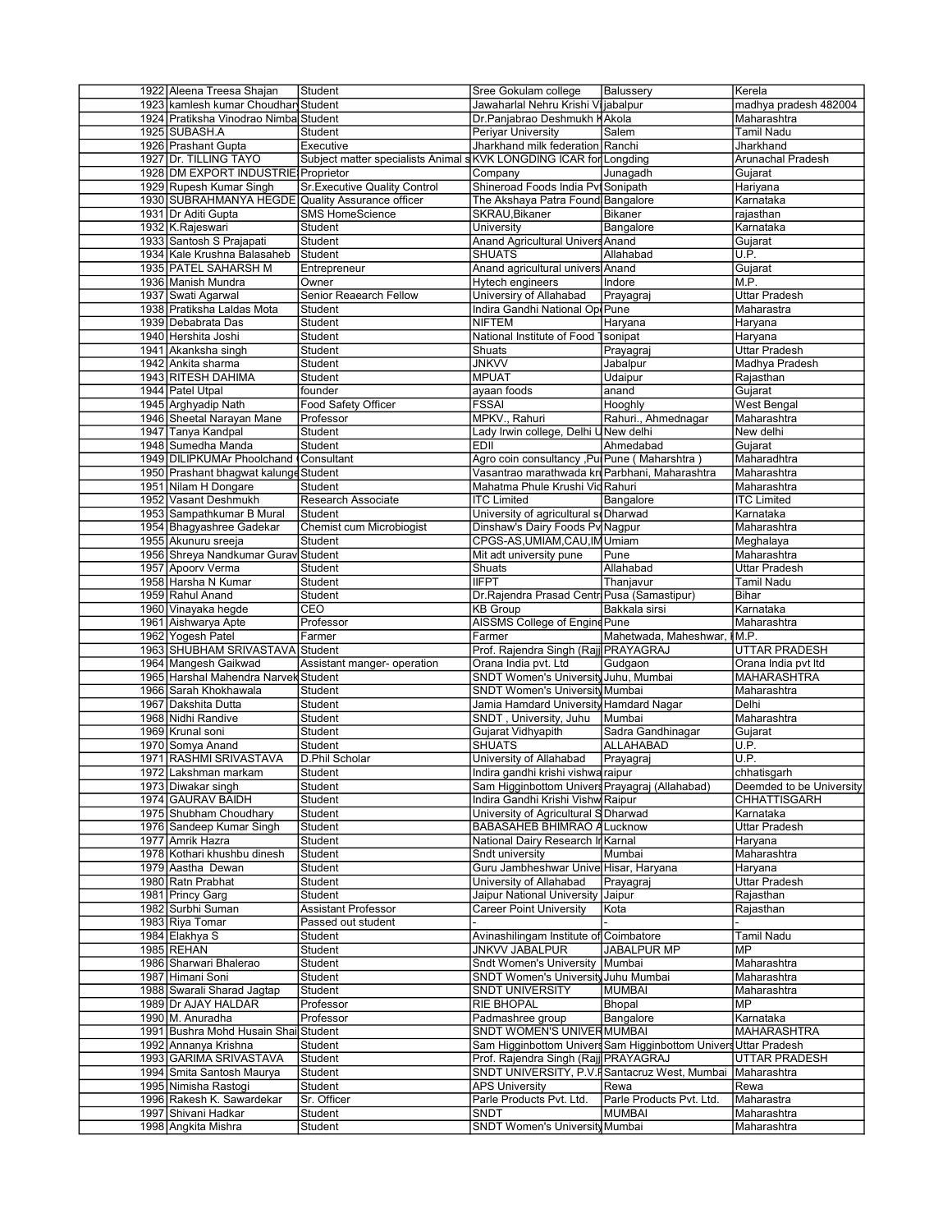| 1922 Aleena Treesa Shajan                        | Student                                                            | Sree Gokulam college                           | Balussery                                                       | Kerela                     |
|--------------------------------------------------|--------------------------------------------------------------------|------------------------------------------------|-----------------------------------------------------------------|----------------------------|
| 1923 kamlesh kumar Choudhar Student              |                                                                    | Jawaharlal Nehru Krishi Vi jabalpur            |                                                                 | madhya pradesh 482004      |
| 1924 Pratiksha Vinodrao Nimbal Student           |                                                                    | Dr.Panjabrao Deshmukh K Akola                  |                                                                 | Maharashtra                |
| 1925 SUBASH.A                                    | Student                                                            | Periyar University                             | Salem                                                           | Tamil Nadu                 |
|                                                  |                                                                    |                                                |                                                                 |                            |
| 1926 Prashant Gupta                              | Executive                                                          | Jharkhand milk federation                      | Ranchi                                                          | Jharkhand                  |
| 1927 Dr. TILLING TAYO                            | Subject matter specialists Animal s KVK LONGDING ICAR for Longding |                                                |                                                                 | Arunachal Pradesh          |
| 1928 DM EXPORT INDUSTRIE Proprietor              |                                                                    | Company                                        | Junagadh                                                        | Gujarat                    |
| 1929 Rupesh Kumar Singh                          | <b>Sr.Executive Quality Control</b>                                | Shineroad Foods India Pvi Sonipath             |                                                                 | Hariyana                   |
| 1930 SUBRAHMANYA HEGDE Quality Assurance officer |                                                                    | The Akshaya Patra Found Bangalore              |                                                                 | Karnataka                  |
| 1931 Dr Aditi Gupta                              | <b>SMS HomeScience</b>                                             | SKRAU, Bikaner                                 | Bikaner                                                         | rajasthan                  |
| 1932 K.Rajeswari                                 | Student                                                            | University                                     | Bangalore                                                       | Karnataka                  |
|                                                  |                                                                    |                                                |                                                                 |                            |
| 1933 Santosh S Prajapati                         | Student                                                            | Anand Agricultural Univers Anand               |                                                                 | Gujarat                    |
| 1934 Kale Krushna Balasaheb                      | Student                                                            | <b>SHUATS</b>                                  | Allahabad                                                       | U.P.                       |
| 1935 PATEL SAHARSH M                             | Entrepreneur                                                       | Anand agricultural univers Anand               |                                                                 | Gujarat                    |
| 1936 Manish Mundra                               | Owner                                                              | Hytech engineers                               | Indore                                                          | M.P.                       |
| 1937 Swati Agarwal                               | Senior Reaearch Fellow                                             | Universiry of Allahabad                        | Prayagraj                                                       | Uttar Pradesh              |
| 1938 Pratiksha Laldas Mota                       | Student                                                            | Indira Gandhi National OpePune                 |                                                                 | Maharastra                 |
|                                                  |                                                                    |                                                |                                                                 |                            |
| 1939 Debabrata Das                               | Student                                                            | NIFTEM                                         | Haryana                                                         | Haryana                    |
| 1940 Hershita Joshi                              | Student                                                            | National Institute of Food                     | sonipat                                                         | Haryana                    |
| 1941 Akanksha singh                              | Student                                                            | Shuats                                         | Prayagraj                                                       | Uttar Pradesh              |
| 1942 Ankita sharma                               | Student                                                            | <b>JNKVV</b>                                   | Jabalpur                                                        | Madhya Pradesh             |
| 1943 RITESH DAHIMA                               | Student                                                            | <b>MPUAT</b>                                   | Udaipur                                                         | Rajasthan                  |
|                                                  |                                                                    |                                                |                                                                 |                            |
| 1944 Patel Utpal                                 | founder                                                            | ayaan foods                                    | anand                                                           | Gujarat                    |
| 1945 Arghyadip Nath                              | Food Safety Officer                                                | <b>FSSAI</b>                                   | Hooghly                                                         | West Bengal                |
| 1946 Sheetal Narayan Mane                        | Professor                                                          | MPKV., Rahuri                                  | Rahuri., Ahmednagar                                             | Maharashtra                |
| 1947 Tanya Kandpal                               | Student                                                            | Lady Irwin college, Delhi UNew delhi           |                                                                 | New delhi                  |
| 1948 Sumedha Manda                               | Student                                                            | EDII                                           | Ahmedabad                                                       | Gujarat                    |
| 1949 DILIPKUMAr Phoolchand                       | <b>Consultant</b>                                                  |                                                |                                                                 | Maharadhtra                |
|                                                  |                                                                    | Agro coin consultancy ,Pul Pune (Maharshtra    |                                                                 |                            |
| 1950 Prashant bhagwat kalunge Student            |                                                                    | Vasantrao marathwada kru Parbhani, Maharashtra |                                                                 | Maharashtra                |
| 1951 Nilam H Dongare                             | Student                                                            | Mahatma Phule Krushi Vid Rahuri                |                                                                 | Maharashtra                |
| 1952 Vasant Deshmukh                             | Research Associate                                                 | <b>ITC Limited</b>                             | Bangalore                                                       | <b>ITC Limited</b>         |
| 1953 Sampathkumar B Mural                        | Student                                                            | University of agricultural so Dharwad          |                                                                 | Karnataka                  |
| 1954 Bhagyashree Gadekar                         | Chemist cum Microbiogist                                           | Dinshaw's Dairy Foods Pv Nagpur                |                                                                 | Maharashtra                |
|                                                  |                                                                    |                                                |                                                                 |                            |
| 1955 Akunuru sreeja                              | Student                                                            | CPGS-AS,UMIAM,CAU,IMUmiam                      |                                                                 | Meghalaya                  |
| 1956 Shreya Nandkumar Gurav Student              |                                                                    | Mit adt university pune                        | Pune                                                            | Maharashtra                |
| 1957 Apoorv Verma                                | Student                                                            | Shuats                                         | Allahabad                                                       | Uttar Pradesh              |
| 1958 Harsha N Kumar                              | Student                                                            | <b>IIFPT</b>                                   | Thanjavur                                                       | Tamil Nadu                 |
| 1959 Rahul Anand                                 | Student                                                            | Dr.Rajendra Prasad Centr Pusa (Samastipur)     |                                                                 | Bihar                      |
|                                                  | CEO                                                                | <b>KB Group</b>                                |                                                                 | Karnataka                  |
| 1960 Vinayaka hegde                              |                                                                    |                                                | Bakkala sirsi                                                   |                            |
|                                                  |                                                                    |                                                |                                                                 |                            |
| 1961 Aishwarya Apte                              | Professor                                                          | AISSMS College of Engine Pune                  |                                                                 | Maharashtra                |
| 1962 Yogesh Patel                                | Farmer                                                             | Farmer                                         | Mahetwada, Maheshwar,                                           | IM.P.                      |
| 1963 SHUBHAM SRIVASTAVA Student                  |                                                                    | Prof. Rajendra Singh (Rajj                     | PRAYAGRAJ                                                       | UTTAR PRADESH              |
|                                                  |                                                                    |                                                |                                                                 |                            |
| 1964 Mangesh Gaikwad                             | Assistant manger- operation                                        | Orana India pvt. Ltd                           | Gudgaon                                                         | Orana India pvt Itd        |
| 1965 Harshal Mahendra Narvek Student             |                                                                    | <b>SNDT Women's University</b>                 | Juhu, Mumbai                                                    | MAHARASHTRA                |
| 1966 Sarah Khokhawala                            | Student                                                            | <b>SNDT Women's University Mumbai</b>          |                                                                 | Maharashtra                |
| 1967 Dakshita Dutta                              | Student                                                            | Jamia Hamdard University Hamdard Nagar         |                                                                 | Delhi                      |
| 1968 Nidhi Randive                               | Student                                                            | SNDT, University, Juhu                         | Mumbai                                                          | Maharashtra                |
| 1969 Krunal soni                                 | Student                                                            | Gujarat Vidhyapith                             | Sadra Gandhinagar                                               | Gujarat                    |
|                                                  |                                                                    | <b>SHUATS</b>                                  |                                                                 |                            |
| 1970 Somya Anand                                 | Student                                                            |                                                | ALLAHABAD                                                       | U.P.                       |
| 1971 RASHMI SRIVASTAVA                           | D.Phil Scholar                                                     | University of Allahabad                        | Prayagraj                                                       | U.P.                       |
| 1972 Lakshman markam                             | Student                                                            | Indira gandhi krishi vishwa raipur             |                                                                 | chhatisgarh                |
| 1973 Diwakar singh                               | Student                                                            | Sam Higginbottom Univers Prayagraj (Allahabad) |                                                                 | Deemded to be University   |
| 1974 GAURAV BAIDH                                | Student                                                            | Indira Gandhi Krishi Vishw Raipur              |                                                                 | CHHATTISGARH               |
| 1975 Shubham Choudhary                           | Student                                                            | University of Agricultural S Dharwad           |                                                                 | Karnataka                  |
|                                                  |                                                                    |                                                |                                                                 |                            |
| 1976 Sandeep Kumar Singh                         | Student                                                            | <b>BABASAHEB BHIMRAO ALucknow</b>              |                                                                 | Uttar Pradesh              |
| 1977 Amrik Hazra                                 | Student                                                            | National Dairy Research In Karnal              |                                                                 | Haryana                    |
| 1978 Kothari khushbu dinesh                      | Student                                                            | Sndt university                                | Mumbai                                                          | Maharashtra                |
| 1979 Aastha Dewan                                | Student                                                            | Guru Jambheshwar Unive Hisar, Haryana          |                                                                 | Haryana                    |
| 1980 Ratn Prabhat                                | Student                                                            | University of Allahabad                        | Prayagraj                                                       | Uttar Pradesh              |
| 1981 Princy Garg                                 | Student                                                            | Jaipur National University                     | Jaipur                                                          | Rajasthan                  |
|                                                  |                                                                    |                                                |                                                                 |                            |
| 1982 Surbhi Suman                                | <b>Assistant Professor</b>                                         | <b>Career Point University</b>                 | Kota                                                            | Rajasthan                  |
| 1983 Riya Tomar                                  | Passed out student                                                 |                                                |                                                                 |                            |
| 1984 Elakhya S                                   | Student                                                            | Avinashilingam Institute of Coimbatore         |                                                                 | <b>Tamil Nadu</b>          |
| 1985 REHAN                                       | Student                                                            | JNKVV JABALPUR                                 | JABALPUR MP                                                     | <b>MP</b>                  |
|                                                  | Student                                                            | <b>Sndt Women's University</b>                 | Mumbai                                                          | Maharashtra                |
| 1986 Sharwari Bhalerao                           |                                                                    |                                                |                                                                 | Maharashtra                |
| 1987 Himani Soni                                 | Student                                                            | SNDT Women's University Juhu Mumbai            |                                                                 |                            |
| 1988 Swarali Sharad Jagtap                       | Student                                                            | <b>SNDT UNIVERSITY</b>                         | <b>MUMBAI</b>                                                   | Maharashtra                |
| 1989 Dr AJAY HALDAR                              | Professor                                                          | <b>RIE BHOPAL</b>                              | Bhopal                                                          | MP                         |
| 1990 M. Anuradha                                 | Professor                                                          | Padmashree group                               | Bangalore                                                       | Karnataka                  |
| 1991 Bushra Mohd Husain Shai Student             |                                                                    | SNDT WOMEN'S UNIVER MUMBAI                     |                                                                 | <b>MAHARASHTRA</b>         |
|                                                  |                                                                    |                                                |                                                                 |                            |
| 1992 Annanya Krishna                             | Student                                                            |                                                | Sam Higginbottom Univers Sam Higginbottom Univers Uttar Pradesh |                            |
| 1993 GARIMA SRIVASTAVA                           | Student                                                            | Prof. Rajendra Singh (Rajj PRAYAGRAJ           |                                                                 | UTTAR PRADESH              |
| 1994 Smita Santosh Maurya                        | Student                                                            | SNDT UNIVERSITY, P.V. FSantacruz West, Mumbai  |                                                                 | Maharashtra                |
| 1995 Nimisha Rastogi                             | Student                                                            | <b>APS University</b>                          | Rewa                                                            | Rewa                       |
| 1996 Rakesh K. Sawardekar                        | Sr. Officer                                                        | Parle Products Pvt. Ltd.                       | Parle Products Pvt. Ltd.                                        | Maharastra                 |
|                                                  |                                                                    | SNDT                                           | <b>MUMBAI</b>                                                   |                            |
| 1997 Shivani Hadkar<br>1998 Angkita Mishra       | Student<br>Student                                                 | SNDT Women's University Mumbai                 |                                                                 | Maharashtra<br>Maharashtra |